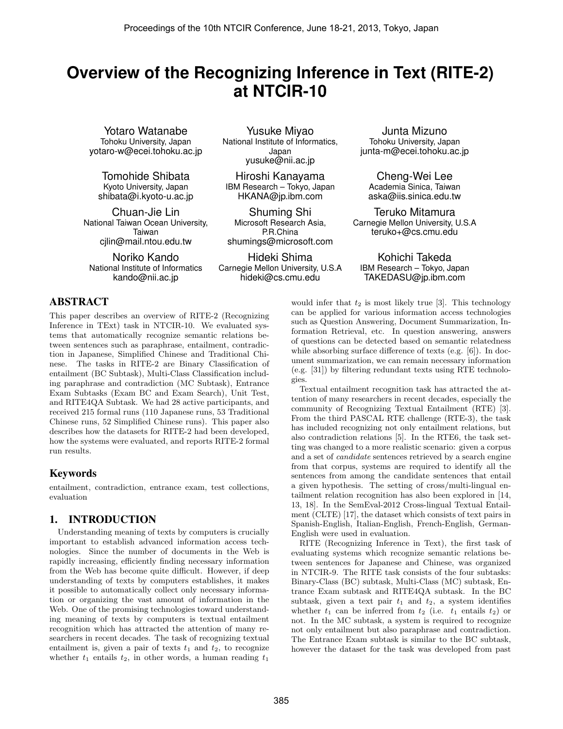# **Overview of the Recognizing Inference in Text (RITE-2) at NTCIR-10**

Yotaro Watanabe Tohoku University, Japan yotaro-w@ecei.tohoku.ac.jp

Tomohide Shibata Kyoto University, Japan shibata@i.kyoto-u.ac.jp

Chuan-Jie Lin National Taiwan Ocean University, Taiwan cjlin@mail.ntou.edu.tw

Noriko Kando National Institute of Informatics kando@nii.ac.jp

### ABSTRACT

This paper describes an overview of RITE-2 (Recognizing Inference in TExt) task in NTCIR-10. We evaluated systems that automatically recognize semantic relations between sentences such as paraphrase, entailment, contradiction in Japanese, Simplified Chinese and Traditional Chinese. The tasks in RITE-2 are Binary Classification of entailment (BC Subtask), Multi-Class Classification including paraphrase and contradiction (MC Subtask), Entrance Exam Subtasks (Exam BC and Exam Search), Unit Test, and RITE4QA Subtask. We had 28 active participants, and received 215 formal runs (110 Japanese runs, 53 Traditional Chinese runs, 52 Simplified Chinese runs). This paper also describes how the datasets for RITE-2 had been developed, how the systems were evaluated, and reports RITE-2 formal run results.

### Keywords

entailment, contradiction, entrance exam, test collections, evaluation

### 1. INTRODUCTION

Understanding meaning of texts by computers is crucially important to establish advanced information access technologies. Since the number of documents in the Web is rapidly increasing, efficiently finding necessary information from the Web has become quite difficult. However, if deep understanding of texts by computers establishes, it makes it possible to automatically collect only necessary information or organizing the vast amount of information in the Web. One of the promising technologies toward understanding meaning of texts by computers is textual entailment recognition which has attracted the attention of many researchers in recent decades. The task of recognizing textual entailment is, given a pair of texts  $t_1$  and  $t_2$ , to recognize whether  $t_1$  entails  $t_2$ , in other words, a human reading  $t_1$ 

Yusuke Miyao National Institute of Informatics, Japan yusuke@nii.ac.jp

Hiroshi Kanayama IBM Research – Tokyo, Japan HKANA@jp.ibm.com

Shuming Shi Microsoft Research Asia, P.R.China shumings@microsoft.com

Hideki Shima Carnegie Mellon University, U.S.A hideki@cs.cmu.edu

Junta Mizuno Tohoku University, Japan junta-m@ecei.tohoku.ac.jp

Cheng-Wei Lee Academia Sinica, Taiwan aska@iis.sinica.edu.tw

Teruko Mitamura Carnegie Mellon University, U.S.A teruko+@cs.cmu.edu

Kohichi Takeda IBM Research – Tokyo, Japan TAKEDASU@jp.ibm.com

would infer that  $t_2$  is most likely true [3]. This technology can be applied for various information access technologies such as Question Answering, Document Summarization, Information Retrieval, etc. In question answering, answers of questions can be detected based on semantic relatedness while absorbing surface difference of texts (e.g. [6]). In document summarization, we can remain necessary information (e.g. [31]) by filtering redundant texts using RTE technologies.

Textual entailment recognition task has attracted the attention of many researchers in recent decades, especially the community of Recognizing Textual Entailment (RTE) [3]. From the third PASCAL RTE challenge (RTE-3), the task has included recognizing not only entailment relations, but also contradiction relations [5]. In the RTE6, the task setting was changed to a more realistic scenario: given a corpus and a set of *candidate* sentences retrieved by a search engine from that corpus, systems are required to identify all the sentences from among the candidate sentences that entail a given hypothesis. The setting of cross/multi-lingual entailment relation recognition has also been explored in [14, 13, 18]. In the SemEval-2012 Cross-lingual Textual Entailment (CLTE) [17], the dataset which consists of text pairs in Spanish-English, Italian-English, French-English, German-English were used in evaluation.

RITE (Recognizing Inference in Text), the first task of evaluating systems which recognize semantic relations between sentences for Japanese and Chinese, was organized in NTCIR-9. The RITE task consists of the four subtasks: Binary-Class (BC) subtask, Multi-Class (MC) subtask, Entrance Exam subtask and RITE4QA subtask. In the BC subtask, given a text pair  $t_1$  and  $t_2$ , a system identifies whether  $t_1$  can be inferred from  $t_2$  (i.e.  $t_1$  entails  $t_2$ ) or not. In the MC subtask, a system is required to recognize not only entailment but also paraphrase and contradiction. The Entrance Exam subtask is similar to the BC subtask, however the dataset for the task was developed from past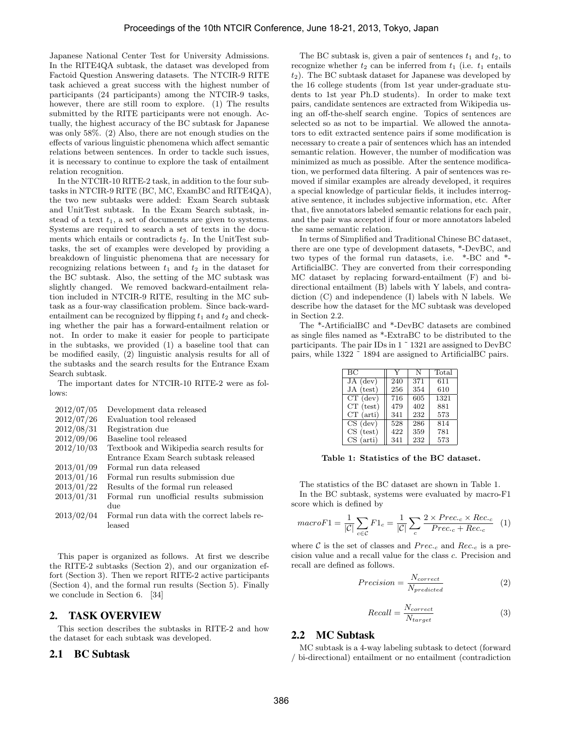Japanese National Center Test for University Admissions. In the RITE4QA subtask, the dataset was developed from Factoid Question Answering datasets. The NTCIR-9 RITE task achieved a great success with the highest number of participants (24 participants) among the NTCIR-9 tasks, however, there are still room to explore. (1) The results submitted by the RITE participants were not enough. Actually, the highest accuracy of the BC subtask for Japanese was only 58%. (2) Also, there are not enough studies on the effects of various linguistic phenomena which affect semantic relations between sentences. In order to tackle such issues, it is necessary to continue to explore the task of entailment relation recognition.

In the NTCIR-10 RITE-2 task, in addition to the four subtasks in NTCIR-9 RITE (BC, MC, ExamBC and RITE4QA), the two new subtasks were added: Exam Search subtask and UnitTest subtask. In the Exam Search subtask, instead of a text *t*1, a set of documents are given to systems. Systems are required to search a set of texts in the documents which entails or contradicts  $t_2$ . In the UnitTest subtasks, the set of examples were developed by providing a breakdown of linguistic phenomena that are necessary for recognizing relations between *t*<sup>1</sup> and *t*<sup>2</sup> in the dataset for the BC subtask. Also, the setting of the MC subtask was slightly changed. We removed backward-entailment relation included in NTCIR-9 RITE, resulting in the MC subtask as a four-way classification problem. Since back-wardentailment can be recognized by flipping  $t_1$  and  $t_2$  and checking whether the pair has a forward-entailment relation or not. In order to make it easier for people to participate in the subtasks, we provided (1) a baseline tool that can be modified easily, (2) linguistic analysis results for all of the subtasks and the search results for the Entrance Exam Search subtask.

The important dates for NTCIR-10 RITE-2 were as follows:

| 2012/07/05 | Development data released                   |
|------------|---------------------------------------------|
| 2012/07/26 | Evaluation tool released                    |
| 2012/08/31 | Registration due                            |
| 2012/09/06 | Baseline tool released                      |
| 2012/10/03 | Textbook and Wikipedia search results for   |
|            | Entrance Exam Search subtask released       |
| 2013/01/09 | Formal run data released                    |
| 2013/01/16 | Formal run results submission due           |
| 2013/01/22 | Results of the formal run released          |
| 2013/01/31 | Formal run unofficial results submission    |
|            | due                                         |
| 2013/02/04 | Formal run data with the correct labels re- |
|            | leased                                      |

This paper is organized as follows. At first we describe the RITE-2 subtasks (Section 2), and our organization effort (Section 3). Then we report RITE-2 active participants (Section 4), and the formal run results (Section 5). Finally we conclude in Section 6. [34]

### 2. TASK OVERVIEW

This section describes the subtasks in RITE-2 and how the dataset for each subtask was developed.

### 2.1 BC Subtask

The BC subtask is, given a pair of sentences  $t_1$  and  $t_2$ , to recognize whether  $t_2$  can be inferred from  $t_1$  (i.e.  $t_1$  entails *t*2). The BC subtask dataset for Japanese was developed by the 16 college students (from 1st year under-graduate students to 1st year Ph.D students). In order to make text pairs, candidate sentences are extracted from Wikipedia using an off-the-shelf search engine. Topics of sentences are selected so as not to be impartial. We allowed the annotators to edit extracted sentence pairs if some modification is necessary to create a pair of sentences which has an intended semantic relation. However, the number of modification was minimized as much as possible. After the sentence modification, we performed data filtering. A pair of sentences was removed if similar examples are already developed, it requires a special knowledge of particular fields, it includes interrogative sentence, it includes subjective information, etc. After that, five annotators labeled semantic relations for each pair, and the pair was accepted if four or more annotators labeled the same semantic relation.

In terms of Simplified and Traditional Chinese BC dataset, there are one type of development datasets, \*-DevBC, and two types of the formal run datasets, i.e. \*-BC and \*- ArtificialBC. They are converted from their corresponding MC dataset by replacing forward-entailment (F) and bidirectional entailment (B) labels with Y labels, and contradiction (C) and independence (I) labels with N labels. We describe how the dataset for the MC subtask was developed in Section 2.2.

The \*-ArtificialBC and \*-DevBC datasets are combined as single files named as \*-ExtraBC to be distributed to the participants. The pair IDs in 1 ˜ 1321 are assigned to DevBC pairs, while 1322 ˜ 1894 are assigned to ArtificialBC pairs.

| BC          |     |     | Total |
|-------------|-----|-----|-------|
| $JA$ (dev)  | 240 | 371 | 611   |
| JA (test)   | 256 | 354 | 610   |
| $CT$ (dev)  | 716 | 605 | 1321  |
| $CT$ (test) | 479 | 402 | 881   |
| $CT$ (arti) | 341 | 232 | 573   |
| $CS$ (dev)  | 528 | 286 | 814   |
| $CS$ (test) | 422 | 359 | 781   |
| $CS$ (arti) | 341 | 232 | 573   |

**Table 1: Statistics of the BC dataset.**

The statistics of the BC dataset are shown in Table 1. In the BC subtask, systems were evaluated by macro-F1 score which is defined by

$$
macroF1 = \frac{1}{|\mathcal{C}|} \sum_{c \in \mathcal{C}} F1_c = \frac{1}{|\mathcal{C}|} \sum_{c} \frac{2 \times Prec_{\cdot c} \times Rec_{\cdot c}}{Prec_{\cdot c} + Rec_{\cdot c}} \quad (1)
$$

where  $C$  is the set of classes and  $Prec_c$  and  $Rec_c$  is a precision value and a recall value for the class *c*. Precision and recall are defined as follows.

$$
Precision = \frac{N_{correct}}{N_{predicted}} \tag{2}
$$

$$
Recall = \frac{N_{correct}}{N_{target}}\tag{3}
$$

#### 2.2 MC Subtask

MC subtask is a 4-way labeling subtask to detect (forward / bi-directional) entailment or no entailment (contradiction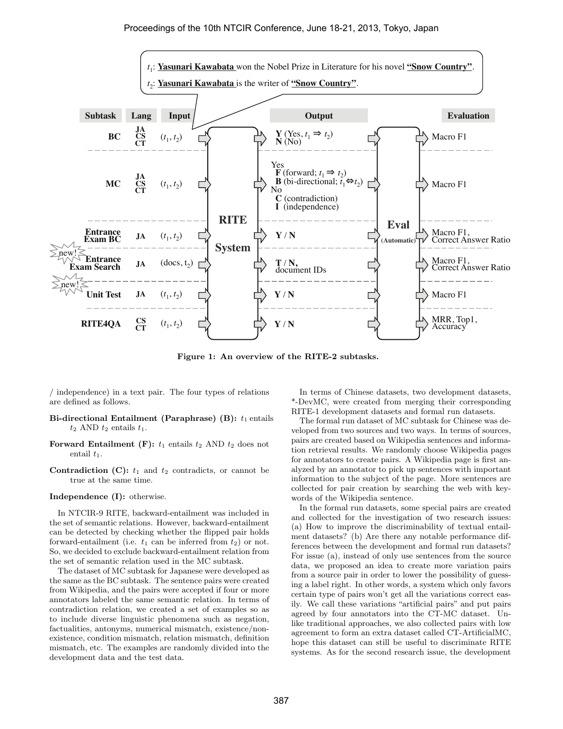

**Figure 1: An overview of the RITE-2 subtasks.**

/ independence) in a text pair. The four types of relations are defined as follows.

- **Bi-directional Entailment (Paraphrase) (B):**  $t_1$  entails  $t_2$  AND  $t_2$  entails  $t_1$ .
- **Forward Entailment (F):**  $t_1$  entails  $t_2$  AND  $t_2$  does not entail  $t_1$ .
- **Contradiction (C):**  $t_1$  and  $t_2$  contradicts, or cannot be true at the same time.

**Independence (I):** otherwise.

In NTCIR-9 RITE, backward-entailment was included in the set of semantic relations. However, backward-entailment can be detected by checking whether the flipped pair holds forward-entailment (i.e.  $t_1$  can be inferred from  $t_2$ ) or not. So, we decided to exclude backward-entailment relation from the set of semantic relation used in the MC subtask.

The dataset of MC subtask for Japanese were developed as the same as the BC subtask. The sentence pairs were created from Wikipedia, and the pairs were accepted if four or more annotators labeled the same semantic relation. In terms of contradiction relation, we created a set of examples so as to include diverse linguistic phenomena such as negation, factualities, antonyms, numerical mismatch, existence/nonexistence, condition mismatch, relation mismatch, definition mismatch, etc. The examples are randomly divided into the development data and the test data.

In terms of Chinese datasets, two development datasets, \*-DevMC, were created from merging their corresponding RITE-1 development datasets and formal run datasets.

The formal run dataset of MC subtask for Chinese was developed from two sources and two ways. In terms of sources, pairs are created based on Wikipedia sentences and information retrieval results. We randomly choose Wikipedia pages for annotators to create pairs. A Wikipedia page is first analyzed by an annotator to pick up sentences with important information to the subject of the page. More sentences are collected for pair creation by searching the web with keywords of the Wikipedia sentence.

In the formal run datasets, some special pairs are created and collected for the investigation of two research issues: (a) How to improve the discriminability of textual entailment datasets? (b) Are there any notable performance differences between the development and formal run datasets? For issue (a), instead of only use sentences from the source data, we proposed an idea to create more variation pairs from a source pair in order to lower the possibility of guessing a label right. In other words, a system which only favors certain type of pairs won't get all the variations correct easily. We call these variations "artificial pairs" and put pairs agreed by four annotators into the CT-MC dataset. Unlike traditional approaches, we also collected pairs with low agreement to form an extra dataset called CT-ArtificialMC, hope this dataset can still be useful to discriminate RITE systems. As for the second research issue, the development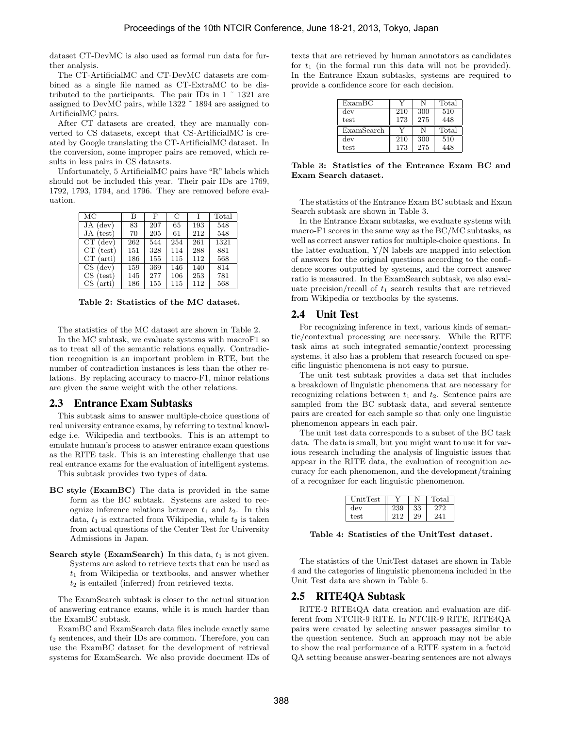dataset CT-DevMC is also used as formal run data for further analysis.

The CT-ArtificialMC and CT-DevMC datasets are combined as a single file named as CT-ExtraMC to be distributed to the participants. The pair IDs in 1 ˜ 1321 are assigned to DevMC pairs, while 1322 ˜ 1894 are assigned to ArtificialMC pairs.

After CT datasets are created, they are manually converted to CS datasets, except that CS-ArtificialMC is created by Google translating the CT-ArtificialMC dataset. In the conversion, some improper pairs are removed, which results in less pairs in CS datasets.

Unfortunately, 5 ArtificialMC pairs have "R" labels which should not be included this year. Their pair IDs are 1769, 1792, 1793, 1794, and 1796. They are removed before evaluation.

| $\overline{\text{MC}}$ | В   | F   | C   |     | Total             |
|------------------------|-----|-----|-----|-----|-------------------|
| $JA$ (dev)             | 83  | 207 | 65  | 193 | 548               |
| JA (test)              | 70  | 205 | 61  | 212 | 548               |
| $CT$ (dev)             | 262 | 544 | 254 | 261 | $13\overline{21}$ |
| $CT$ (test)            | 151 | 328 | 114 | 288 | 881               |
| $CT$ (arti)            | 186 | 155 | 115 | 112 | 568               |
| $CS$ (dev)             | 159 | 369 | 146 | 140 | 814               |
| $CS$ (test)            | 145 | 277 | 106 | 253 | 781               |
| $(\text{arti})$<br>CS. | 186 | 155 | 115 | 112 | 568               |

**Table 2: Statistics of the MC dataset.**

The statistics of the MC dataset are shown in Table 2. In the MC subtask, we evaluate systems with macroF1 so as to treat all of the semantic relations equally. Contradiction recognition is an important problem in RTE, but the number of contradiction instances is less than the other relations. By replacing accuracy to macro-F1, minor relations are given the same weight with the other relations.

### 2.3 Entrance Exam Subtasks

This subtask aims to answer multiple-choice questions of real university entrance exams, by referring to textual knowledge i.e. Wikipedia and textbooks. This is an attempt to emulate human's process to answer entrance exam questions as the RITE task. This is an interesting challenge that use real entrance exams for the evaluation of intelligent systems.

This subtask provides two types of data.

- **BC style (ExamBC)** The data is provided in the same form as the BC subtask. Systems are asked to recognize inference relations between  $t_1$  and  $t_2$ . In this data,  $t_1$  is extracted from Wikipedia, while  $t_2$  is taken from actual questions of the Center Test for University Admissions in Japan.
- **Search style (ExamSearch)** In this data,  $t_1$  is not given. Systems are asked to retrieve texts that can be used as *t*<sup>1</sup> from Wikipedia or textbooks, and answer whether *t*<sup>2</sup> is entailed (inferred) from retrieved texts.

The ExamSearch subtask is closer to the actual situation of answering entrance exams, while it is much harder than the ExamBC subtask.

ExamBC and ExamSearch data files include exactly same *t*<sup>2</sup> sentences, and their IDs are common. Therefore, you can use the ExamBC dataset for the development of retrieval systems for ExamSearch. We also provide document IDs of texts that are retrieved by human annotators as candidates for  $t_1$  (in the formal run this data will not be provided). In the Entrance Exam subtasks, systems are required to provide a confidence score for each decision.

| ExampleC   |     |     | Total |
|------------|-----|-----|-------|
| dev        | 210 | 300 | 510   |
| test       | 173 | 275 | 448   |
| ExamSearch |     |     | Total |
| dev        | 210 | 300 | 510   |
| test       | 173 | 275 | 448   |

**Table 3: Statistics of the Entrance Exam BC and Exam Search dataset.**

The statistics of the Entrance Exam BC subtask and Exam Search subtask are shown in Table 3.

In the Entrance Exam subtasks, we evaluate systems with macro-F1 scores in the same way as the BC/MC subtasks, as well as correct answer ratios for multiple-choice questions. In the latter evaluation, Y/N labels are mapped into selection of answers for the original questions according to the confidence scores outputted by systems, and the correct answer ratio is measured. In the ExamSearch subtask, we also evaluate precision/recall of  $t_1$  search results that are retrieved from Wikipedia or textbooks by the systems.

#### 2.4 Unit Test

For recognizing inference in text, various kinds of semantic/contextual processing are necessary. While the RITE task aims at such integrated semantic/context processing systems, it also has a problem that research focused on specific linguistic phenomena is not easy to pursue.

The unit test subtask provides a data set that includes a breakdown of linguistic phenomena that are necessary for recognizing relations between *t*<sup>1</sup> and *t*2. Sentence pairs are sampled from the BC subtask data, and several sentence pairs are created for each sample so that only one linguistic phenomenon appears in each pair.

The unit test data corresponds to a subset of the BC task data. The data is small, but you might want to use it for various research including the analysis of linguistic issues that appear in the RITE data, the evaluation of recognition accuracy for each phenomenon, and the development/training of a recognizer for each linguistic phenomenon.

| JnitTest |    | `otal |
|----------|----|-------|
| dev      | 33 |       |
| test     | 29 |       |

**Table 4: Statistics of the UnitTest dataset.**

The statistics of the UnitTest dataset are shown in Table 4 and the categories of linguistic phenomena included in the Unit Test data are shown in Table 5.

#### 2.5 RITE4QA Subtask

RITE-2 RITE4QA data creation and evaluation are different from NTCIR-9 RITE. In NTCIR-9 RITE, RITE4QA pairs were created by selecting answer passages similar to the question sentence. Such an approach may not be able to show the real performance of a RITE system in a factoid QA setting because answer-bearing sentences are not always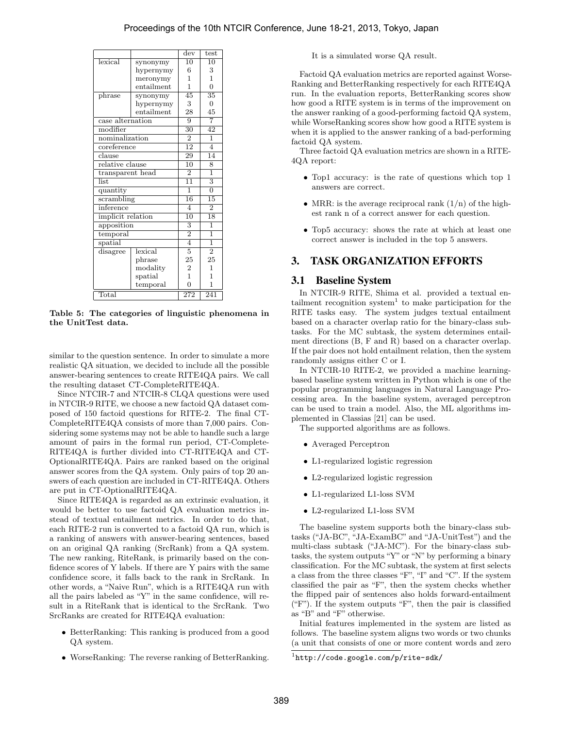|                                    |            | dev             | test                      |
|------------------------------------|------------|-----------------|---------------------------|
| lexical                            | synonymy   | 10              | 10                        |
|                                    | hypernymy  | 6               | 3                         |
|                                    | meronymy   | 1               | 1                         |
|                                    | entailment | 1               | $\Omega$                  |
| phrase                             | synonymy   | $\overline{45}$ | $\overline{35}$           |
|                                    | hypernymy  | 3               | $\overline{0}$            |
|                                    | entailment | 28              | 45                        |
| case alternation                   |            | 9               | 7                         |
| modifier                           |            | $\overline{30}$ | 42                        |
| nominalization                     |            | $\overline{2}$  | ī                         |
| $\overline{\mathrm{core}}$ ference |            | 12              | $\overline{4}$            |
| $\overline{\text{clause}}$         |            | 29              | $\overline{14}$           |
| relative clause                    |            | 10              | 8                         |
| transparent head                   |            | $\overline{2}$  | ī                         |
| list.                              |            | $\overline{11}$ | $\overline{\overline{3}}$ |
| quantity                           |            | ī               | $\overline{0}$            |
| scrambling                         |            | 16              | $\overline{15}$           |
| inference                          |            | 4               | $\overline{2}$            |
| implicit relation                  |            | $\overline{10}$ | $\overline{18}$           |
| apposition                         |            | 3               | ī                         |
| temporal                           |            | $\overline{2}$  | $\mathbf{1}$              |
| spatial                            |            | $\overline{4}$  | ī                         |
| disagree                           | lexical    | $\overline{5}$  | $\overline{2}$            |
|                                    | phrase     | 25              | 25                        |
|                                    | modality   | $\overline{2}$  | 1                         |
|                                    | spatial    | $\mathbf{1}$    | 1                         |
|                                    | temporal   | $\overline{0}$  | 1                         |
| Total                              |            | 272             | 241                       |

**Table 5: The categories of linguistic phenomena in the UnitTest data.**

similar to the question sentence. In order to simulate a more realistic QA situation, we decided to include all the possible answer-bearing sentences to create RITE4QA pairs. We call the resulting dataset CT-CompleteRITE4QA.

Since NTCIR-7 and NTCIR-8 CLQA questions were used in NTCIR-9 RITE, we choose a new factoid QA dataset composed of 150 factoid questions for RITE-2. The final CT-CompleteRITE4QA consists of more than 7,000 pairs. Considering some systems may not be able to handle such a large amount of pairs in the formal run period, CT-Complete-RITE4QA is further divided into CT-RITE4QA and CT-OptionalRITE4QA. Pairs are ranked based on the original answer scores from the QA system. Only pairs of top 20 answers of each question are included in CT-RITE4QA. Others are put in CT-OptionalRITE4QA.

Since RITE4QA is regarded as an extrinsic evaluation, it would be better to use factoid QA evaluation metrics instead of textual entailment metrics. In order to do that, each RITE-2 run is converted to a factoid QA run, which is a ranking of answers with answer-bearing sentences, based on an original QA ranking (SrcRank) from a QA system. The new ranking, RiteRank, is primarily based on the confidence scores of Y labels. If there are Y pairs with the same confidence score, it falls back to the rank in SrcRank. In other words, a "Naive Run", which is a RITE4QA run with all the pairs labeled as "Y" in the same confidence, will result in a RiteRank that is identical to the SrcRank. Two SrcRanks are created for RITE4QA evaluation:

- *•* BetterRanking: This ranking is produced from a good QA system.
- *•* WorseRanking: The reverse ranking of BetterRanking.

It is a simulated worse QA result.

Factoid QA evaluation metrics are reported against Worse-Ranking and BetterRanking respectively for each RITE4QA run. In the evaluation reports, BetterRanking scores show how good a RITE system is in terms of the improvement on the answer ranking of a good-performing factoid QA system, while WorseRanking scores show how good a RITE system is when it is applied to the answer ranking of a bad-performing factoid QA system.

Three factoid QA evaluation metrics are shown in a RITE-4QA report:

- *•* Top1 accuracy: is the rate of questions which top 1 answers are correct.
- MRR: is the average reciprocal rank  $(1/n)$  of the highest rank n of a correct answer for each question.
- Top5 accuracy: shows the rate at which at least one correct answer is included in the top 5 answers.

### 3. TASK ORGANIZATION EFFORTS

### 3.1 Baseline System

In NTCIR-9 RITE, Shima et al. provided a textual entailment recognition system<sup>1</sup> to make participation for the RITE tasks easy. The system judges textual entailment based on a character overlap ratio for the binary-class subtasks. For the MC subtask, the system determines entailment directions (B, F and R) based on a character overlap. If the pair does not hold entailment relation, then the system randomly assigns either C or I.

In NTCIR-10 RITE-2, we provided a machine learningbased baseline system written in Python which is one of the popular programming languages in Natural Language Processing area. In the baseline system, averaged perceptron can be used to train a model. Also, the ML algorithms implemented in Classias [21] can be used.

The supported algorithms are as follows.

- *•* Averaged Perceptron
- *•* L1-regularized logistic regression
- *•* L2-regularized logistic regression
- *•* L1-regularized L1-loss SVM
- *•* L2-regularized L1-loss SVM

The baseline system supports both the binary-class subtasks ("JA-BC", "JA-ExamBC" and "JA-UnitTest") and the multi-class subtask ("JA-MC"). For the binary-class subtasks, the system outputs "Y" or "N" by performing a binary classification. For the MC subtask, the system at first selects a class from the three classes "F", "I" and "C". If the system classified the pair as "F", then the system checks whether the flipped pair of sentences also holds forward-entailment ("F"). If the system outputs "F", then the pair is classified as "B" and "F" otherwise.

Initial features implemented in the system are listed as follows. The baseline system aligns two words or two chunks (a unit that consists of one or more content words and zero

<sup>1</sup> http://code.google.com/p/rite-sdk/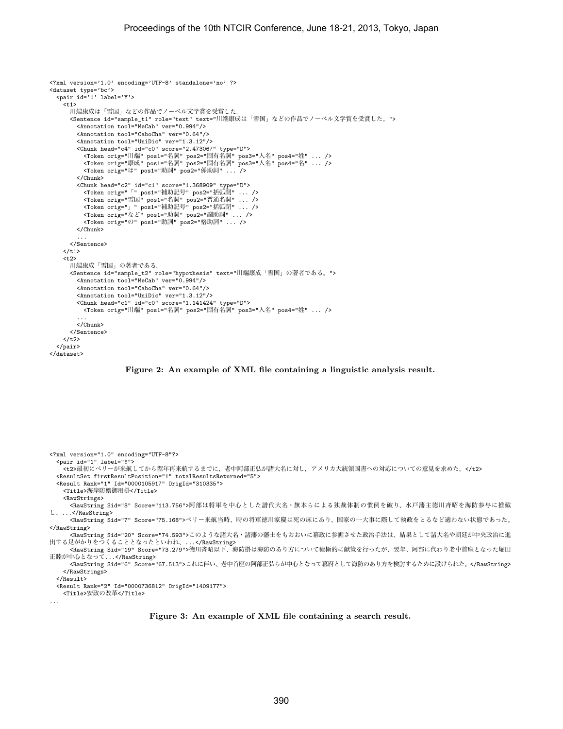```
<?xml version='1.0' encoding='UTF-8' standalone='no' ?>
<dataset type='bc'>
  <pair id='1' label='Y'>
    <t1>
       川端康成は「雪国」などの作品でノーベル文学賞を受賞した。
       <Sentence id="sample_t1" role="text" text="川端康成は「雪国」などの作品でノーベル文学賞を受賞した。">
         <Annotation tool="MeCab" ver="0.994"/>
         <Annotation tool="CaboCha" ver="0.64"/>
         <Annotation tool="UniDic" ver="1.3.12"/>
         <Chunk head="c4" id="c0" score="2.473067" type="D">
            <Token orig="川端" pos1="名詞" pos2="固有名詞" pos3="人名" pos4="姓" ... />
<Token orig="康成" pos1="名詞" pos2="固有名詞" pos3="人名" pos4="名" ... />
            <Token orig="は" pos1="助詞" pos2="係助詞" ... />
         </Chunk>
          <Chunk head="c2" id="c1" score="1.368909" type="D"><br>
<Token orig="「" pos1="補助記号" pos2="括弧開" ... /><br>
<Token orig="雪国" pos1="補助記号" pos2="音弧開" ... /><br>
<Token orig="雪国" pos1="補助記号" pos2="普通名詞" ... /><br>
<Token orig="など" pos1="
            <Token orig="の" pos1="助詞" pos2="格助詞" ... />
         </Chunk>
          ...
       </Sentence>
     \langle/t1>
     <sub>z2</sub></sub>
       川端康成「雪国」の著者である。
       <Sentence id="sample_t2" role="hypothesis" text="川端康成「雪国」の著者である。">
         <Annotation tool="MeCab" ver="0.994"/>
          <Annotation tool="CaboCha" ver="0.64"/>
         <Annotation tool="UniDic" ver="1.3.12"/>
          <Chunk head="c1" id="c0" score="1.141424" type="D">
<Token orig="川端" pos1="名詞" pos2="固有名詞" pos3="人名" pos4="姓" ... />
          ...
</Chunk>
       </Sentence>
    \langle/t2>
  </pair>
</dataset>
```
**Figure 2: An example of XML file containing a linguistic analysis result.**

| xml version="1.0" encoding="UTF-8"?<br><pair id="1" label="Y"></pair>                               |
|-----------------------------------------------------------------------------------------------------|
| <t2>最初にペリーが来航してから翌年再来航するまでに、老中阿部正弘が諸大名に対し、アメリカ大統領国書への対応についての意見を求めた。</t2>                            |
| <resultset firstresultposition="1" totalresultsreturned="5"></resultset>                            |
| <result id="0000105917" origid="310335" rank="1"></result>                                          |
| <title>海岸防禦御用掛</title>                                                                              |
| <rawstrings></rawstrings>                                                                           |
| <rawstring score="113.756" sid="8">阿部は将軍を中心とした譜代大名・旗本らによる独裁体制の慣例を破り、水戸藩主徳川斉昭を海防参与に推戴</rawstring>    |
| $\cup$ ,                                                                                            |
| <rawstring score="75.168" sid="7">ペリー来航当時、時の将軍徳川家慶は死の床にあり、国家の一大事に際して執政をとるなど適わない状態であった。</rawstring>  |
|                                                                                                     |
| <rawstring score="74.593" sid="20">このような諸大名・諸藩の藩士をもおおいに幕政に参画させた政治手法は、結果として諸大名や朝廷が中央政治に進</rawstring> |
| 出する足がかりをつくることとなったといわれ、                                                                              |
| <rawstring score="73.279" sid="19">徳川斉昭以下、海防掛は海防のあり方について積極的に献策を行ったが、翌年、阿部に代わり老中首座となった堀田</rawstring> |
| 正睦が中心となって                                                                                           |
| <rawstring score="67.513" sid="6">これに伴い、老中首座の阿部正弘らが中心となって幕府として海防のあり方を検討するために設けられた。</rawstring>      |
|                                                                                                     |
| $\langle$ /Result>                                                                                  |
| <result id="0000736812" origid="1409177" rank="2"></result>                                         |
| <title>安政の改革</title>                                                                                |
| $\cdots$                                                                                            |

**Figure 3: An example of XML file containing a search result.**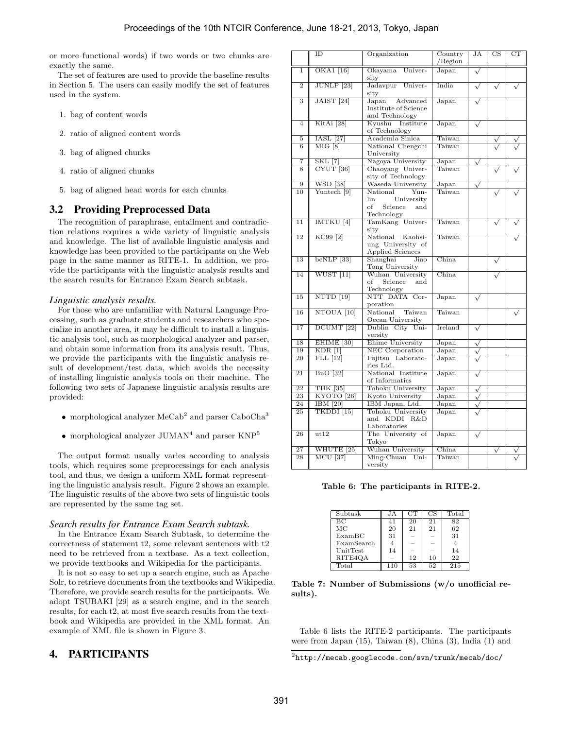or more functional words) if two words or two chunks are exactly the same.

The set of features are used to provide the baseline results in Section 5. The users can easily modify the set of features used in the system.

- 1. bag of content words
- 2. ratio of aligned content words
- 3. bag of aligned chunks
- 4. ratio of aligned chunks
- 5. bag of aligned head words for each chunks

### 3.2 Providing Preprocessed Data

The recognition of paraphrase, entailment and contradiction relations requires a wide variety of linguistic analysis and knowledge. The list of available linguistic analysis and knowledge has been provided to the participants on the Web page in the same manner as RITE-1. In addition, we provide the participants with the linguistic analysis results and the search results for Entrance Exam Search subtask.

#### *Linguistic analysis results.*

For those who are unfamiliar with Natural Language Processing, such as graduate students and researchers who specialize in another area, it may be difficult to install a linguistic analysis tool, such as morphological analyzer and parser, and obtain some information from its analysis result. Thus, we provide the participants with the linguistic analysis result of development/test data, which avoids the necessity of installing linguistic analysis tools on their machine. The following two sets of Japanese linguistic analysis results are provided:

- morphological analyzer  $\text{MeCab}^2$  and parser  $\text{CaboCha}^3$
- $\bullet$  morphological analyzer  $\mathrm{JUMAN}^4$  and parser  $\mathrm{KNP}^5$

The output format usually varies according to analysis tools, which requires some preprocessings for each analysis tool, and thus, we design a uniform XML format representing the linguistic analysis result. Figure 2 shows an example. The linguistic results of the above two sets of linguistic tools are represented by the same tag set.

#### *Search results for Entrance Exam Search subtask.*

In the Entrance Exam Search Subtask, to determine the correctness of statement t2, some relevant sentences with t2 need to be retrieved from a textbase. As a text collection, we provide textbooks and Wikipedia for the participants.

It is not so easy to set up a search engine, such as Apache Solr, to retrieve documents from the textbooks and Wikipedia. Therefore, we provide search results for the participants. We adopt TSUBAKI [29] as a search engine, and in the search results, for each t2, at most five search results from the textbook and Wikipedia are provided in the XML format. An example of XML file is shown in Figure 3.

### 4. PARTICIPANTS

|                 | ID                           | Organization                                                                | Country<br>$/$ Region | JA                    | $_{\rm CS}$  | $_{\rm CT}$ |
|-----------------|------------------------------|-----------------------------------------------------------------------------|-----------------------|-----------------------|--------------|-------------|
| $\overline{1}$  | $\overline{\text{OKA1}$ [16] | Okayama<br>Univer-<br>sity                                                  | Japan                 |                       |              |             |
| $\overline{2}$  | $JUNLP$ [23]                 | Jadavpur<br>Univer-<br>sity                                                 | India                 | $\sqrt{}$             | $\sqrt{}$    |             |
| 3               | $JAIST$ [24]                 | Japan<br>Advanced                                                           | Japan                 |                       |              |             |
|                 |                              | Institute of Science<br>and Technology                                      |                       |                       |              |             |
| $\overline{4}$  | KitAi <sup>[28]</sup>        | Kyushu Institute<br>of Technology                                           | Japan                 |                       |              |             |
| 5               | <b>IASL</b> [27]             | Academia Sinica                                                             | Taiwan                |                       |              |             |
| 6               | MIG [8]                      | National Chengchi<br>University                                             | Taiwan                |                       |              |             |
| 7               | <b>SKL [7]</b>               | Nagoya University                                                           | Japan                 | $\sqrt{}$             |              |             |
| 8               | CYUT <sup>[36]</sup>         | Chaoyang Univer-<br>sity of Technology                                      | Taiwan                |                       |              |             |
| 9               | <b>WSD</b> [38]              | Waseda University                                                           | Japan                 | $\sqrt{}$             |              |             |
| 10              | Yuntech <sup>[9]</sup>       | National<br>Yun-<br>lin<br>University<br>of<br>Science<br>and<br>Technology | Taiwan                |                       |              |             |
| $\overline{11}$ | IMTKU <sup>[4]</sup>         | TamKang Univer-<br>sity                                                     | Taiwan                |                       | $\checkmark$ |             |
| $\overline{12}$ | KC99 <sup>[2]</sup>          | National<br>Kaohsi-<br>ung University of<br>Applied Sciences                | Taiwan                |                       |              |             |
| 13              | $bcNLP$ [33]                 | Shanghai<br>Jiao<br>Tong University                                         | China                 |                       |              |             |
| 14              | WUST [11]                    | Wuhan University<br>of<br>Science<br>and<br>Technology                      | China                 |                       |              |             |
| 15              | NTTD [19]                    | NTT DATA Cor-<br>poration                                                   | Japan                 | $\checkmark$          |              |             |
| 16              | NTOUA <sup>[10]</sup>        | National<br>Taiwan<br>Ocean University                                      | Taiwan                |                       |              |             |
| 17              | DCUMT <sup>[22]</sup>        | Dublin City Uni-<br>versity                                                 | Ireland               | $\checkmark$          |              |             |
| 18              | EHIME <sup>[30]</sup>        | Ehime University                                                            | Japan                 | $\sqrt{}$             |              |             |
| 19              | $KDR$ <sup>[1]</sup>         | NEC Corporation                                                             | Japan                 |                       |              |             |
| 20              | $FLL$ [12]                   | Fujitsu Laborato-<br>ries Ltd.                                              | Japan                 |                       |              |             |
| 21              | $BnO$ [32]                   | National Institute<br>of Informatics                                        | Japan                 | $\sqrt{}$             |              |             |
| $\overline{22}$ | <b>THK [35]</b>              | Tohoku University                                                           | Japan                 | $\overline{\sqrt{} }$ |              |             |
| 23              | KYOTO <sup>[26]</sup>        | Kyoto University                                                            | Japan                 | $\sqrt{}$             |              |             |
| 24              | <b>IBM</b> [20]              | IBM Japan, Ltd.                                                             | Japan                 | $\sqrt{}$             |              |             |
| 25              | TKDDI <sup>[15]</sup>        | Tohoku University<br>and KDDI<br>R&D<br>Laboratories                        | Japan                 |                       |              |             |
| 26              | ut12                         | The University of<br>Tokyo                                                  | Japan                 | $\checkmark$          |              |             |
| 27              | WHUTE <sup>[25]</sup>        | Wuhan University                                                            | China                 |                       | $\sqrt{}$    |             |
| 28              | <b>MCU</b> [37]              | Ming-Chuan<br>$Uni-$<br>versity                                             | Taiwan                |                       |              |             |

**Table 6: The participants in RITE-2.**

| Subtask    | J A | CT | CS | Total |
|------------|-----|----|----|-------|
| BC         | 41  | 20 | 21 | 82    |
| МC         | 20  | 21 | 21 | 62    |
| ExampleC   | 31  |    |    | 31    |
| ExamSearch |     | -  |    |       |
| UnitTest   | 14  | -  |    | 14    |
| RITE4QA    |     | 12 | 10 | 22    |
| Total      | 110 | 53 | 52 | 215   |

**Table 7: Number of Submissions (w/o unofficial results).**

Table 6 lists the RITE-2 participants. The participants were from Japan (15), Taiwan (8), China (3), India (1) and

 $^2$ http://mecab.googlecode.com/svn/trunk/mecab/doc/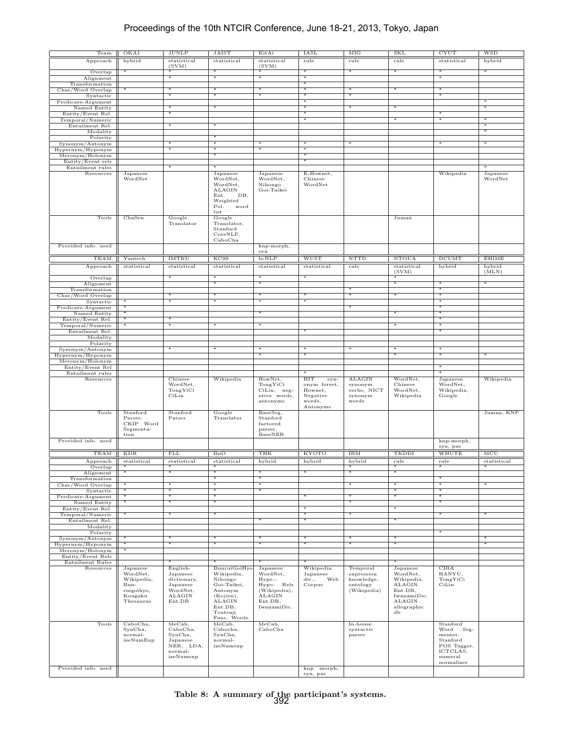## Proceedings of the 10th NTCIR Conference, June 18-21, 2013, Tokyo, Japan

| Team                                  | OKA1                                                                             | <b>JUNLP</b>                                                                    | <b>JAIST</b>                                                                                                  | KitAi                                                                                            | <b>IASL</b>                                                              | MIG                                                             | <b>SKL</b>                                                                                            | <b>CYUT</b>                                                                                           | <b>WSD</b>          |
|---------------------------------------|----------------------------------------------------------------------------------|---------------------------------------------------------------------------------|---------------------------------------------------------------------------------------------------------------|--------------------------------------------------------------------------------------------------|--------------------------------------------------------------------------|-----------------------------------------------------------------|-------------------------------------------------------------------------------------------------------|-------------------------------------------------------------------------------------------------------|---------------------|
| Approach                              | hybrid                                                                           | statistical                                                                     | statistical                                                                                                   | statistical                                                                                      | rule                                                                     | rule                                                            | rule                                                                                                  | statistical                                                                                           | hybrid              |
| Overlap                               | *                                                                                | (SVM)                                                                           | ∗                                                                                                             | (SVM)                                                                                            | ∗                                                                        | ∗                                                               | $\ast$                                                                                                | ₩                                                                                                     | ∗                   |
| Alignment                             |                                                                                  |                                                                                 |                                                                                                               |                                                                                                  |                                                                          |                                                                 |                                                                                                       |                                                                                                       |                     |
| Transformation                        |                                                                                  |                                                                                 |                                                                                                               |                                                                                                  |                                                                          |                                                                 |                                                                                                       |                                                                                                       |                     |
| Char/Word Overlap<br>Syntactic        | *                                                                                | *<br>$\overline{\ast}$                                                          | $*$<br>₩                                                                                                      | *<br>₩                                                                                           | $*$<br>$\overline{\ast}$                                                 | *<br>∗                                                          | $\ast$                                                                                                | $*$<br>₩                                                                                              |                     |
| Predicate-Argument                    |                                                                                  |                                                                                 |                                                                                                               |                                                                                                  |                                                                          |                                                                 |                                                                                                       |                                                                                                       |                     |
| Named Entity                          |                                                                                  |                                                                                 |                                                                                                               |                                                                                                  |                                                                          |                                                                 |                                                                                                       |                                                                                                       |                     |
| Entity/Event Rel.<br>Temporal/Numeric |                                                                                  |                                                                                 |                                                                                                               |                                                                                                  |                                                                          |                                                                 |                                                                                                       |                                                                                                       |                     |
| Entailment Rel.                       |                                                                                  |                                                                                 |                                                                                                               |                                                                                                  |                                                                          |                                                                 |                                                                                                       |                                                                                                       |                     |
| Modality                              |                                                                                  |                                                                                 |                                                                                                               |                                                                                                  |                                                                          |                                                                 |                                                                                                       |                                                                                                       | ∗                   |
| Polarity<br>Synonym/Antonym           |                                                                                  |                                                                                 | *                                                                                                             |                                                                                                  |                                                                          |                                                                 |                                                                                                       |                                                                                                       |                     |
| Hypernym/Hyponym                      |                                                                                  |                                                                                 |                                                                                                               |                                                                                                  |                                                                          |                                                                 |                                                                                                       |                                                                                                       |                     |
| Meronym/Holonym<br>Entity/Event rels  |                                                                                  |                                                                                 | ∗                                                                                                             |                                                                                                  | ∗                                                                        |                                                                 |                                                                                                       |                                                                                                       |                     |
| Entailment rules                      |                                                                                  |                                                                                 |                                                                                                               |                                                                                                  |                                                                          |                                                                 |                                                                                                       |                                                                                                       |                     |
| Resources                             | Japanese<br>WordNet                                                              |                                                                                 | Japanese<br>WordNet,<br>WordNet,<br>ALAGIN<br>DB,<br>Ent.<br>Weighted<br>Pol.<br>word<br>list                 | Japanese<br>WordNet,<br>Nihongo<br>Goi-Taikei                                                    | E-Hownet,<br>Chinese<br>WordNet                                          |                                                                 |                                                                                                       | Wikipedia                                                                                             | Japanese<br>WordNet |
| Tools                                 | ChaSen                                                                           | Google<br>Translator                                                            | Google<br>Translator,<br>Stanford<br>CoreNLP,<br>CaboCha                                                      |                                                                                                  |                                                                          |                                                                 | Juman                                                                                                 |                                                                                                       |                     |
| Provided info. used                   |                                                                                  |                                                                                 |                                                                                                               | knp-morph,                                                                                       |                                                                          |                                                                 |                                                                                                       |                                                                                                       |                     |
| TEAM                                  | Yuntech                                                                          | <b>IMTKU</b>                                                                    | KC99                                                                                                          | syn<br>bcNLP                                                                                     | <b>WUST</b>                                                              | <b>NTTD</b>                                                     | <b>NTOUA</b>                                                                                          | <b>DCUMT</b>                                                                                          | <b>EHIME</b>        |
| Approach                              | statistical                                                                      | statistical                                                                     | statistical                                                                                                   | statistical                                                                                      | statistical                                                              | rule                                                            | statistical                                                                                           | hybrid                                                                                                | hybrid              |
|                                       |                                                                                  | ☀                                                                               | ☀                                                                                                             | ∗                                                                                                | $*$                                                                      |                                                                 | (SVM)                                                                                                 |                                                                                                       | (MLN)               |
| Overlap<br>Alignment                  |                                                                                  |                                                                                 | ₩                                                                                                             | ₩                                                                                                |                                                                          |                                                                 | *<br>$*$                                                                                              | 宋                                                                                                     | ∗                   |
| Transformation                        |                                                                                  |                                                                                 |                                                                                                               |                                                                                                  |                                                                          |                                                                 |                                                                                                       |                                                                                                       |                     |
| Char/Word Overlap<br>Syntactic        |                                                                                  | ₩                                                                               |                                                                                                               |                                                                                                  | $\overline{\ast}$<br>₩                                                   |                                                                 |                                                                                                       |                                                                                                       |                     |
| Predicate-Argument                    |                                                                                  |                                                                                 |                                                                                                               |                                                                                                  |                                                                          |                                                                 |                                                                                                       |                                                                                                       |                     |
| Named Entity                          | ☀                                                                                | ₩                                                                               |                                                                                                               |                                                                                                  |                                                                          |                                                                 |                                                                                                       | ∗                                                                                                     |                     |
| Entity/Event Rel.<br>Temporal/Numeric |                                                                                  |                                                                                 |                                                                                                               |                                                                                                  |                                                                          |                                                                 |                                                                                                       |                                                                                                       |                     |
| Entailment Rel.                       |                                                                                  |                                                                                 |                                                                                                               |                                                                                                  |                                                                          |                                                                 |                                                                                                       |                                                                                                       |                     |
| Modality<br>Polarity                  |                                                                                  |                                                                                 |                                                                                                               |                                                                                                  |                                                                          |                                                                 |                                                                                                       |                                                                                                       |                     |
| Synonym/Antonym                       |                                                                                  |                                                                                 | ж                                                                                                             |                                                                                                  | ж                                                                        |                                                                 | ∗                                                                                                     |                                                                                                       |                     |
| Hypernym/Hyponym<br>Meronym/Holonym   |                                                                                  |                                                                                 |                                                                                                               |                                                                                                  | ∗                                                                        |                                                                 | *                                                                                                     | *                                                                                                     |                     |
|                                       |                                                                                  |                                                                                 |                                                                                                               |                                                                                                  |                                                                          |                                                                 |                                                                                                       |                                                                                                       |                     |
| Entity/Event Rel                      |                                                                                  |                                                                                 |                                                                                                               |                                                                                                  |                                                                          |                                                                 |                                                                                                       |                                                                                                       |                     |
| Entailment rules                      |                                                                                  |                                                                                 |                                                                                                               |                                                                                                  |                                                                          |                                                                 |                                                                                                       |                                                                                                       |                     |
| Resources                             |                                                                                  | Chinese<br>WordNet,<br>TongYiCi<br>CiLin                                        | Wikipedia                                                                                                     | HowNet,<br>TongYiCi<br>CiLin, neg-<br>ative words,<br>antonyms                                   | HIT<br>syn-<br>onym forest,<br>Hownet,<br>Negative<br>words,<br>Antonyms | <b>ALAGIN</b><br>synonym<br>verbs, NICT<br>synonym<br>words     | WordNet,<br>${\bf Chinese}$<br>WordNet,<br>Wikipedia                                                  | Japanese<br>WordNet,<br>Wikipedia,<br>Google                                                          | Wikipedia           |
| Tools                                 | Stanford<br>Parser,<br>CKIP Word<br>Segmenta-<br>tion                            | Stanford<br>Parser                                                              | Google<br>Translator                                                                                          | BaseSeg,<br>Stanford<br>factored<br>parser,<br>BaseNER                                           |                                                                          |                                                                 |                                                                                                       |                                                                                                       | Juman, KNP          |
| Provided info. used                   |                                                                                  |                                                                                 |                                                                                                               |                                                                                                  |                                                                          |                                                                 |                                                                                                       | knp-morph,                                                                                            |                     |
| TEAM                                  | <b>KDR</b>                                                                       | FLL                                                                             | BnO                                                                                                           | THK                                                                                              | <b>KYOTO</b>                                                             | <b>IBM</b>                                                      | TKDDI                                                                                                 | syn, pas<br>WHUTE                                                                                     | MCU                 |
| Approacn                              | statistical                                                                      | statistical                                                                     | statistical                                                                                                   | nyoria                                                                                           | nyoria                                                                   | hybrid                                                          | ruie                                                                                                  | ruie                                                                                                  | statistical         |
| Overlap                               | ☀                                                                                | *                                                                               |                                                                                                               |                                                                                                  |                                                                          | *                                                               | *                                                                                                     | ☀                                                                                                     | *                   |
| Alignment<br>Transformation           | ☀                                                                                |                                                                                 |                                                                                                               |                                                                                                  |                                                                          |                                                                 |                                                                                                       |                                                                                                       |                     |
| Char/Word Overlap                     | *                                                                                | *                                                                               | ∗                                                                                                             | ₩                                                                                                |                                                                          | ∗                                                               | ∗                                                                                                     | ₩                                                                                                     |                     |
| Syntactic                             | $^*$                                                                             | ☀                                                                               | ☀<br>₩                                                                                                        | ☀                                                                                                | ₩                                                                        |                                                                 | $\ast$<br>☀                                                                                           | ☀                                                                                                     |                     |
| Predicate-Argument<br>Named Entity    |                                                                                  |                                                                                 |                                                                                                               |                                                                                                  |                                                                          |                                                                 |                                                                                                       |                                                                                                       |                     |
| Entity/Event Rel.                     |                                                                                  |                                                                                 | ∗                                                                                                             |                                                                                                  | ☀<br>₩                                                                   |                                                                 | ☀                                                                                                     |                                                                                                       |                     |
| Temporal/Numeric<br>Entailment Rel.   |                                                                                  |                                                                                 |                                                                                                               |                                                                                                  | ☀                                                                        |                                                                 | ∗                                                                                                     |                                                                                                       |                     |
| Modality                              |                                                                                  |                                                                                 |                                                                                                               |                                                                                                  |                                                                          |                                                                 |                                                                                                       |                                                                                                       |                     |
| Polarity<br>Synonym/Antonym           |                                                                                  |                                                                                 |                                                                                                               |                                                                                                  |                                                                          |                                                                 |                                                                                                       |                                                                                                       |                     |
| Hypernym/Hyponym                      |                                                                                  |                                                                                 |                                                                                                               |                                                                                                  |                                                                          |                                                                 |                                                                                                       |                                                                                                       |                     |
| Meronym/Holonym                       |                                                                                  |                                                                                 |                                                                                                               |                                                                                                  |                                                                          |                                                                 |                                                                                                       |                                                                                                       |                     |
| Entity/Event Rels<br>Entailment Rules |                                                                                  |                                                                                 |                                                                                                               |                                                                                                  |                                                                          |                                                                 | *                                                                                                     |                                                                                                       |                     |
| Resources                             | Japanese<br>WordNet,<br>Wikipedia,<br>Bun-<br>ruigoihyo,<br>Kougaku<br>Thesaurus | English-<br>Japanese<br>dictionary,<br>Japanese<br>WordNet,<br>ALAGIN<br>Ent.DB | BunruiGoiHyo<br>Wikipedia,<br>Nihongo<br>Goi-Taikei,<br>Antonym<br>(Kojien),<br>ALAGIN<br>Ent.DB,<br>Tsutsuji | Japanese<br>WordNet,<br>Hype.-<br>Hypo. Rels<br>(Wikipedia),<br>ALAGIN<br>Ent.DB,<br>IwanamiDic. | Wikipedia,<br>Japanese<br>dic., Web<br>Corpus                            | Temporal<br>expression<br>knowledge,<br>ontology<br>(Wikipedia) | Japanese<br>WordNet,<br>Wikipedia,<br>ALAGIN<br>Ent.DB,<br>IwanamiDic,<br>ALAGIN<br>allographic<br>db | CIBA<br>HANYU,<br>TongYiCi<br>CiLin                                                                   |                     |
| Tools<br>Provided info. used          | CaboCha,<br>SynCha,<br>normal-<br>izeNumExp                                      | MeCab,<br>CaboCha,<br>SynCha,<br>Japanese<br>NER, LDA,<br>normal-<br>izeNumexp  | Func. Words<br>MeCab,<br>Cabocha,<br>SynCha,<br>normal-<br>izeNumexp                                          | MeCab,<br>CaboCha                                                                                | knp morph,                                                               | In-house<br>syntactic<br>parser                                 |                                                                                                       | Stanford<br>Word<br>$Seg-$<br>menter,<br>Stanford<br>POS Tagger,<br>ICTCLAS,<br>numeral<br>normalizer |                     |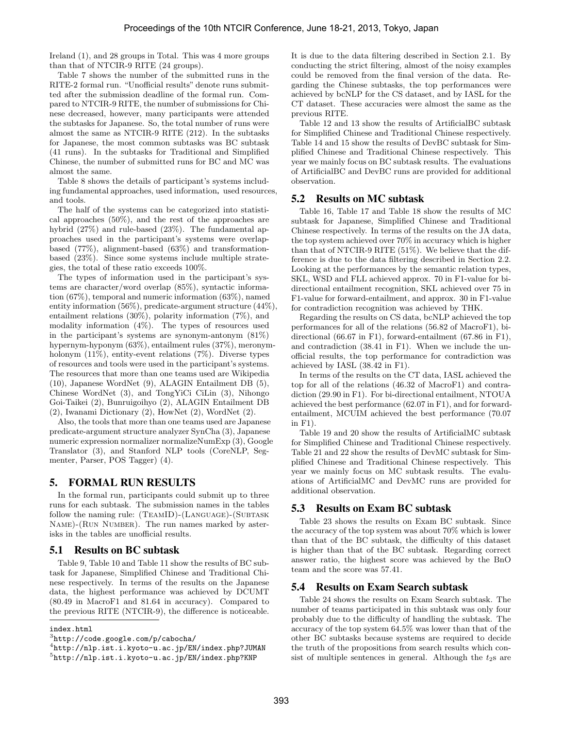Ireland (1), and 28 groups in Total. This was 4 more groups than that of NTCIR-9 RITE (24 groups).

Table 7 shows the number of the submitted runs in the RITE-2 formal run. "Unofficial results" denote runs submitted after the submission deadline of the formal run. Compared to NTCIR-9 RITE, the number of submissions for Chinese decreased, however, many participants were attended the subtasks for Japanese. So, the total number of runs were almost the same as NTCIR-9 RITE (212). In the subtasks for Japanese, the most common subtasks was BC subtask (41 runs). In the subtasks for Traditional and Simplified Chinese, the number of submitted runs for BC and MC was almost the same.

Table 8 shows the details of participant's systems including fundamental approaches, used information, used resources, and tools.

The half of the systems can be categorized into statistical approaches (50%), and the rest of the approaches are hybrid (27%) and rule-based (23%). The fundamental approaches used in the participant's systems were overlapbased (77%), alignment-based (63%) and transformationbased (23%). Since some systems include multiple strategies, the total of these ratio exceeds 100%.

The types of information used in the participant's systems are character/word overlap (85%), syntactic information (67%), temporal and numeric information (63%), named entity information (56%), predicate-argument structure (44%), entailment relations (30%), polarity information (7%), and modality information (4%). The types of resources used in the participant's systems are synonym-antonym (81%) hypernym-hyponym (63%), entailment rules (37%), meronymholonym (11%), entity-event relations (7%). Diverse types of resources and tools were used in the participant's systems. The resources that more than one teams used are Wikipedia (10), Japanese WordNet (9), ALAGIN Entailment DB (5), Chinese WordNet (3), and TongYiCi CiLin (3), Nihongo Goi-Taikei (2), Bunruigoihyo (2), ALAGIN Entailment DB (2), Iwanami Dictionary (2), HowNet (2), WordNet (2).

Also, the tools that more than one teams used are Japanese predicate-argument structure analyzer SynCha (3), Japanese numeric expression normalizer normalizeNumExp (3), Google Translator (3), and Stanford NLP tools (CoreNLP, Segmenter, Parser, POS Tagger) (4).

### 5. FORMAL RUN RESULTS

In the formal run, participants could submit up to three runs for each subtask. The submission names in the tables follow the naming rule: (TEAMID)-(LANGUAGE)-(SUBTASK Name)-(Run Number). The run names marked by asterisks in the tables are unofficial results.

### 5.1 Results on BC subtask

Table 9, Table 10 and Table 11 show the results of BC subtask for Japanese, Simplified Chinese and Traditional Chinese respectively. In terms of the results on the Japanese data, the highest performance was achieved by DCUMT (80.49 in MacroF1 and 81.64 in accuracy). Compared to the previous RITE (NTCIR-9), the difference is noticeable.

It is due to the data filtering described in Section 2.1. By conducting the strict filtering, almost of the noisy examples could be removed from the final version of the data. Regarding the Chinese subtasks, the top performances were achieved by bcNLP for the CS dataset, and by IASL for the CT dataset. These accuracies were almost the same as the previous RITE.

Table 12 and 13 show the results of ArtificialBC subtask for Simplified Chinese and Traditional Chinese respectively. Table 14 and 15 show the results of DevBC subtask for Simplified Chinese and Traditional Chinese respectively. This year we mainly focus on BC subtask results. The evaluations of ArtificialBC and DevBC runs are provided for additional observation.

#### 5.2 Results on MC subtask

Table 16, Table 17 and Table 18 show the results of MC subtask for Japanese, Simplified Chinese and Traditional Chinese respectively. In terms of the results on the JA data, the top system achieved over 70% in accuracy which is higher than that of NTCIR-9 RITE (51%). We believe that the difference is due to the data filtering described in Section 2.2. Looking at the performances by the semantic relation types, SKL, WSD and FLL achieved approx. 70 in F1-value for bidirectional entailment recognition, SKL achieved over 75 in F1-value for forward-entailment, and approx. 30 in F1-value for contradiction recognition was achieved by THK.

Regarding the results on CS data, bcNLP achieved the top performances for all of the relations (56.82 of MacroF1), bidirectional (66.67 in F1), forward-entailment (67.86 in F1), and contradiction (38.41 in F1). When we include the unofficial results, the top performance for contradiction was achieved by IASL (38.42 in F1).

In terms of the results on the CT data, IASL achieved the top for all of the relations (46.32 of MacroF1) and contradiction (29.90 in F1). For bi-directional entailment, NTOUA achieved the best performance (62.07 in F1), and for forwardentailment, MCUIM achieved the best performance (70.07 in F1).

Table 19 and 20 show the results of ArtificialMC subtask for Simplified Chinese and Traditional Chinese respectively. Table 21 and 22 show the results of DevMC subtask for Simplified Chinese and Traditional Chinese respectively. This year we mainly focus on MC subtask results. The evaluations of ArtificialMC and DevMC runs are provided for additional observation.

### 5.3 Results on Exam BC subtask

Table 23 shows the results on Exam BC subtask. Since the accuracy of the top system was about 70% which is lower than that of the BC subtask, the difficulty of this dataset is higher than that of the BC subtask. Regarding correct answer ratio, the highest score was achieved by the BnO team and the score was 57.41.

### 5.4 Results on Exam Search subtask

Table 24 shows the results on Exam Search subtask. The number of teams participated in this subtask was only four probably due to the difficulty of handling the subtask. The accuracy of the top system 64.5% was lower than that of the other BC subtasks because systems are required to decide the truth of the propositions from search results which consist of multiple sentences in general. Although the  $t_{2}$ s are

index.html

 $^3$ http:// $\text{code.google.com/p/cabocha/}$ 

<sup>4</sup> http://nlp.ist.i.kyoto-u.ac.jp/EN/index.php?JUMAN

<sup>5</sup> http://nlp.ist.i.kyoto-u.ac.jp/EN/index.php?KNP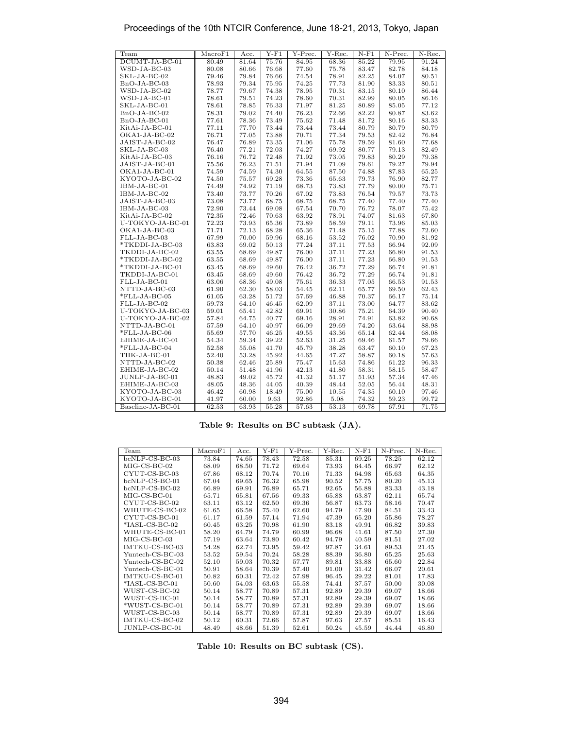| Team              | MacroF1 | Acc.  | $Y-F1$ | Y-Prec. | Y-Rec. | $N-F1$ | N-Prec. | N-Rec. |
|-------------------|---------|-------|--------|---------|--------|--------|---------|--------|
| DCUMT-JA-BC-01    | 80.49   | 81.64 | 75.76  | 84.95   | 68.36  | 85.22  | 79.95   | 91.24  |
| $WSD-JA-BC-03$    | 80.08   | 80.66 | 76.68  | 77.60   | 75.78  | 83.47  | 82.78   | 84.18  |
| SKL-JA-BC-02      | 79.46   | 79.84 | 76.66  | 74.54   | 78.91  | 82.25  | 84.07   | 80.51  |
| $BnO-JA-BC-03$    | 78.93   | 79.34 | 75.95  | 74.25   | 77.73  | 81.90  | 83.33   | 80.51  |
| $WSD-JA-BC-02$    | 78.77   | 79.67 | 74.38  | 78.95   | 70.31  | 83.15  | 80.10   | 86.44  |
| WSD-JA-BC-01      | 78.61   | 79.51 | 74.23  | 78.60   | 70.31  | 82.99  | 80.05   | 86.16  |
| SKL-JA-BC-01      | 78.61   | 78.85 | 76.33  | 71.97   | 81.25  | 80.89  | 85.05   | 77.12  |
| $BnO-JA-BC-02$    | 78.31   | 79.02 | 74.40  | 76.23   | 72.66  | 82.22  | 80.87   | 83.62  |
| $BnO-JA-BC-01$    | 77.61   | 78.36 | 73.49  | 75.62   | 71.48  | 81.72  | 80.16   | 83.33  |
| KitAi-JA-BC-01    | 77.11   | 77.70 | 73.44  | 73.44   | 73.44  | 80.79  | 80.79   | 80.79  |
| OKA1-JA-BC-02     | 76.71   | 77.05 | 73.88  | 70.71   | 77.34  | 79.53  | 82.42   | 76.84  |
| JAIST-JA-BC-02    | 76.47   | 76.89 | 73.35  | 71.06   | 75.78  | 79.59  | 81.60   | 77.68  |
| SKL-JA-BC-03      | 76.40   | 77.21 | 72.03  | 74.27   | 69.92  | 80.77  | 79.13   | 82.49  |
| KitAi-JA-BC-03    | 76.16   | 76.72 | 72.48  | 71.92   | 73.05  | 79.83  | 80.29   | 79.38  |
| JAIST-JA-BC-01    | 75.56   | 76.23 | 71.51  | 71.94   | 71.09  | 79.61  | 79.27   | 79.94  |
| OKA1-JA-BC-01     | 74.59   | 74.59 | 74.30  | 64.55   | 87.50  | 74.88  | 87.83   | 65.25  |
| KYOTO-JA-BC-02    | 74.50   | 75.57 | 69.28  | 73.36   | 65.63  | 79.73  | 76.90   | 82.77  |
| IBM-JA-BC-01      | 74.49   | 74.92 | 71.19  | 68.73   | 73.83  | 77.79  | 80.00   | 75.71  |
| IBM-JA-BC-02      | 73.40   | 73.77 | 70.26  | 67.02   | 73.83  | 76.54  | 79.57   | 73.73  |
| JAIST-JA-BC-03    | 73.08   | 73.77 | 68.75  | 68.75   | 68.75  | 77.40  | 77.40   | 77.40  |
| IBM-JA-BC-03      | 72.90   | 73.44 | 69.08  | 67.54   | 70.70  | 76.72  | 78.07   | 75.42  |
| KitAi-JA-BC-02    | 72.35   | 72.46 | 70.63  | 63.92   | 78.91  | 74.07  | 81.63   | 67.80  |
| U-TOKYO-JA-BC-01  | 72.23   | 73.93 | 65.36  | 73.89   | 58.59  | 79.11  | 73.96   | 85.03  |
| OKA1-JA-BC-03     | 71.71   | 72.13 | 68.28  | 65.36   | 71.48  | 75.15  | 77.88   | 72.60  |
| FLL-JA-BC-03      | 67.99   | 70.00 | 59.96  | 68.16   | 53.52  | 76.02  | 70.90   | 81.92  |
| *TKDDI-JA-BC-03   | 63.83   | 69.02 | 50.13  | 77.24   | 37.11  | 77.53  | 66.94   | 92.09  |
| TKDDI-JA-BC-02    | 63.55   | 68.69 | 49.87  | 76.00   | 37.11  | 77.23  | 66.80   | 91.53  |
| *TKDDI-JA-BC-02   | 63.55   | 68.69 | 49.87  | 76.00   | 37.11  | 77.23  | 66.80   | 91.53  |
| *TKDDI-JA-BC-01   | 63.45   | 68.69 | 49.60  | 76.42   | 36.72  | 77.29  | 66.74   | 91.81  |
| TKDDI-JA-BC-01    | 63.45   | 68.69 | 49.60  | 76.42   | 36.72  | 77.29  | 66.74   | 91.81  |
| FLL-JA-BC-01      | 63.06   | 68.36 | 49.08  | 75.61   | 36.33  | 77.05  | 66.53   | 91.53  |
| NTTD-JA-BC-03     | 61.90   | 62.30 | 58.03  | 54.45   | 62.11  | 65.77  | 69.50   | 62.43  |
| *FLL-JA-BC-05     | 61.05   | 63.28 | 51.72  | 57.69   | 46.88  | 70.37  | 66.17   | 75.14  |
| FLL-JA-BC-02      | 59.73   | 64.10 | 46.45  | 62.09   | 37.11  | 73.00  | 64.77   | 83.62  |
| U-TOKYO-JA-BC-03  | 59.01   | 65.41 | 42.82  | 69.91   | 30.86  | 75.21  | 64.39   | 90.40  |
| U-TOKYO-JA-BC-02  | 57.84   | 64.75 | 40.77  | 69.16   | 28.91  | 74.91  | 63.82   | 90.68  |
| NTTD-JA-BC-01     | 57.59   | 64.10 | 40.97  | 66.09   | 29.69  | 74.20  | 63.64   | 88.98  |
| *FLL-JA-BC-06     | 55.69   | 57.70 | 46.25  | 49.55   | 43.36  | 65.14  | 62.44   | 68.08  |
| EHIME-JA-BC-01    | 54.34   | 59.34 | 39.22  | 52.63   | 31.25  | 69.46  | 61.57   | 79.66  |
| *FLL-JA-BC-04     | 52.58   | 55.08 | 41.70  | 45.79   | 38.28  | 63.47  | 60.10   | 67.23  |
| THK-JA-BC-01      | 52.40   | 53.28 | 45.92  | 44.65   | 47.27  | 58.87  | 60.18   | 57.63  |
| NTTD-JA-BC-02     | 50.38   | 62.46 | 25.89  | 75.47   | 15.63  | 74.86  | 61.22   | 96.33  |
| EHIME-JA-BC-02    | 50.14   | 51.48 | 41.96  | 42.13   | 41.80  | 58.31  | 58.15   | 58.47  |
| JUNLP-JA-BC-01    | 48.83   | 49.02 | 45.72  | 41.32   | 51.17  | 51.93  | 57.34   | 47.46  |
| EHIME-JA-BC-03    | 48.05   | 48.36 | 44.05  | 40.39   | 48.44  | 52.05  | 56.44   | 48.31  |
| KYOTO-JA-BC-03    | 46.42   | 60.98 | 18.49  | 75.00   | 10.55  | 74.35  | 60.10   | 97.46  |
| KYOTO-JA-BC-01    | 41.97   | 60.00 | 9.63   | 92.86   | 5.08   | 74.32  | 59.23   | 99.72  |
| Baseline-JA-BC-01 | 62.53   | 63.93 | 55.28  | 57.63   | 53.13  | 69.78  | 67.91   | 71.75  |

**Table 9: Results on BC subtask (JA).**

| Team             | MacroF1 | Acc.  | Y-F1  | $\overline{Y}$ -Prec. | Y-Rec. | $N-F1$ | $\overline{\text{N}}$ -Prec. | N-Rec. |
|------------------|---------|-------|-------|-----------------------|--------|--------|------------------------------|--------|
| $bcNLP-CS-BC-03$ | 73.84   | 74.65 | 78.43 | 72.58                 | 85.31  | 69.25  | 78.25                        | 62.12  |
| $MIG-CS-BC-02$   | 68.09   | 68.50 | 71.72 | 69.64                 | 73.93  | 64.45  | 66.97                        | 62.12  |
| CYUT-CS-BC-03    | 67.86   | 68.12 | 70.74 | 70.16                 | 71.33  | 64.98  | 65.63                        | 64.35  |
| $bcNLP-CS-BC-01$ | 67.04   | 69.65 | 76.32 | 65.98                 | 90.52  | 57.75  | 80.20                        | 45.13  |
| bcNLP-CS-BC-02   | 66.89   | 69.91 | 76.89 | 65.71                 | 92.65  | 56.88  | 83.33                        | 43.18  |
| $MIG-CS-BC-01$   | 65.71   | 65.81 | 67.56 | 69.33                 | 65.88  | 63.87  | 62.11                        | 65.74  |
| CYUT-CS-BC-02    | 63.11   | 63.12 | 62.50 | 69.36                 | 56.87  | 63.73  | 58.16                        | 70.47  |
| WHUTE-CS-BC-02   | 61.65   | 66.58 | 75.40 | 62.60                 | 94.79  | 47.90  | 84.51                        | 33.43  |
| CYUT-CS-BC-01    | 61.17   | 61.59 | 57.14 | 71.94                 | 47.39  | 65.20  | 55.86                        | 78.27  |
| *IASL-CS-BC-02   | 60.45   | 63.25 | 70.98 | 61.90                 | 83.18  | 49.91  | 66.82                        | 39.83  |
| WHUTE-CS-BC-01   | 58.20   | 64.79 | 74.79 | 60.99                 | 96.68  | 41.61  | 87.50                        | 27.30  |
| $MIG-CS-BC-03$   | 57.19   | 63.64 | 73.80 | 60.42                 | 94.79  | 40.59  | 81.51                        | 27.02  |
| IMTKU-CS-BC-03   | 54.28   | 62.74 | 73.95 | 59.42                 | 97.87  | 34.61  | 89.53                        | 21.45  |
| Yuntech-CS-BC-03 | 53.52   | 59.54 | 70.24 | 58.28                 | 88.39  | 36.80  | 65.25                        | 25.63  |
| Yuntech-CS-BC-02 | 52.10   | 59.03 | 70.32 | 57.77                 | 89.81  | 33.88  | 65.60                        | 22.84  |
| Yuntech-CS-BC-01 | 50.91   | 58.64 | 70.39 | 57.40                 | 91.00  | 31.42  | 66.07                        | 20.61  |
| IMTKU-CS-BC-01   | 50.82   | 60.31 | 72.42 | 57.98                 | 96.45  | 29.22  | 81.01                        | 17.83  |
| $*IASL-CS-BC-01$ | 50.60   | 54.03 | 63.63 | 55.58                 | 74.41  | 37.57  | 50.00                        | 30.08  |
| WUST-CS-BC-02    | 50.14   | 58.77 | 70.89 | 57.31                 | 92.89  | 29.39  | 69.07                        | 18.66  |
| WUST-CS-BC-01    | 50.14   | 58.77 | 70.89 | 57.31                 | 92.89  | 29.39  | 69.07                        | 18.66  |
| *WUST-CS-BC-01   | 50.14   | 58.77 | 70.89 | 57.31                 | 92.89  | 29.39  | 69.07                        | 18.66  |
| WUST-CS-BC-03    | 50.14   | 58.77 | 70.89 | 57.31                 | 92.89  | 29.39  | 69.07                        | 18.66  |
| IMTKU-CS-BC-02   | 50.12   | 60.31 | 72.66 | 57.87                 | 97.63  | 27.57  | 85.51                        | 16.43  |
| JUNLP-CS-BC-01   | 48.49   | 48.66 | 51.39 | 52.61                 | 50.24  | 45.59  | 44.44                        | 46.80  |

**Table 10: Results on BC subtask (CS).**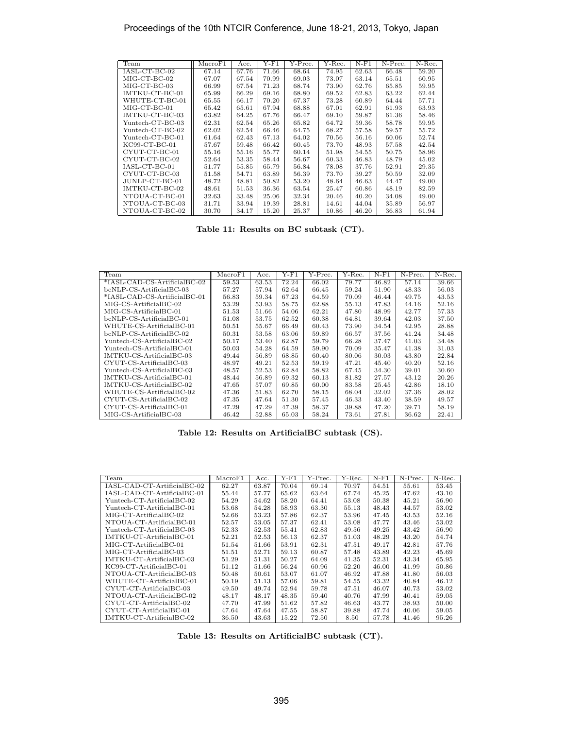| Team             | MacroF1 | Acc.  | $Y$ -F1 | Y-Prec. | Y-Rec. | $N-F1$ | N-Prec. | N-Rec. |
|------------------|---------|-------|---------|---------|--------|--------|---------|--------|
| IASL-CT-BC-02    | 67.14   | 67.76 | 71.66   | 68.64   | 74.95  | 62.63  | 66.48   | 59.20  |
| $MIG-CT-BC-02$   | 67.07   | 67.54 | 70.99   | 69.03   | 73.07  | 63.14  | 65.51   | 60.95  |
| $MIG-CT-BC-03$   | 66.99   | 67.54 | 71.23   | 68.74   | 73.90  | 62.76  | 65.85   | 59.95  |
| IMTKU-CT-BC-01   | 65.99   | 66.29 | 69.16   | 68.80   | 69.52  | 62.83  | 63.22   | 62.44  |
| WHUTE-CT-BC-01   | 65.55   | 66.17 | 70.20   | 67.37   | 73.28  | 60.89  | 64.44   | 57.71  |
| $MIG-CT-BC-01$   | 65.42   | 65.61 | 67.94   | 68.88   | 67.01  | 62.91  | 61.93   | 63.93  |
| IMTKU-CT-BC-03   | 63.82   | 64.25 | 67.76   | 66.47   | 69.10  | 59.87  | 61.36   | 58.46  |
| Yuntech-CT-BC-03 | 62.31   | 62.54 | 65.26   | 65.82   | 64.72  | 59.36  | 58.78   | 59.95  |
| Yuntech-CT-BC-02 | 62.02   | 62.54 | 66.46   | 64.75   | 68.27  | 57.58  | 59.57   | 55.72  |
| Yuntech-CT-BC-01 | 61.64   | 62.43 | 67.13   | 64.02   | 70.56  | 56.16  | 60.06   | 52.74  |
| $KC99-CT-BC-01$  | 57.67   | 59.48 | 66.42   | 60.45   | 73.70  | 48.93  | 57.58   | 42.54  |
| CYUT-CT-BC-01    | 55.16   | 55.16 | 55.77   | 60.14   | 51.98  | 54.55  | 50.75   | 58.96  |
| CYUT-CT-BC-02    | 52.64   | 53.35 | 58.44   | 56.67   | 60.33  | 46.83  | 48.79   | 45.02  |
| IASL-CT-BC-01    | 51.77   | 55.85 | 65.79   | 56.84   | 78.08  | 37.76  | 52.91   | 29.35  |
| CYUT-CT-BC-03    | 51.58   | 54.71 | 63.89   | 56.39   | 73.70  | 39.27  | 50.59   | 32.09  |
| JUNLP-CT-BC-01   | 48.72   | 48.81 | 50.82   | 53.20   | 48.64  | 46.63  | 44.47   | 49.00  |
| IMTKU-CT-BC-02   | 48.61   | 51.53 | 36.36   | 63.54   | 25.47  | 60.86  | 48.19   | 82.59  |
| NTOUA-CT-BC-01   | 32.63   | 33.48 | 25.06   | 32.34   | 20.46  | 40.20  | 34.08   | 49.00  |
| NTOUA-CT-BC-03   | 31.71   | 33.94 | 19.39   | 28.81   | 14.61  | 44.04  | 35.89   | 56.97  |
| NTOUA-CT-BC-02   | 30.70   | 34.17 | 15.20   | 25.37   | 10.86  | 46.20  | 36.83   | 61.94  |

**Table 11: Results on BC subtask (CT).**

| Team                                              | MacroF1 | Acc.  | $Y-F1$ | Y-Prec. | Y-Rec. | $N-F1$ | N-Prec. | N-Rec. |
|---------------------------------------------------|---------|-------|--------|---------|--------|--------|---------|--------|
| *IASL-CAD-CS-ArtificialBC-02                      | 59.53   | 63.53 | 72.24  | 66.02   | 79.77  | 46.82  | 57.14   | 39.66  |
| bcNLP-CS-ArtificialBC-03                          | 57.27   | 57.94 | 62.64  | 66.45   | 59.24  | 51.90  | 48.33   | 56.03  |
| *IASL-CAD-CS-ArtificialBC-01                      | 56.83   | 59.34 | 67.23  | 64.59   | 70.09  | 46.44  | 49.75   | 43.53  |
| MIG-CS-ArtificialBC-02                            | 53.29   | 53.93 | 58.75  | 62.88   | 55.13  | 47.83  | 44.16   | 52.16  |
| MIG-CS-ArtificialBC-01                            | 51.53   | 51.66 | 54.06  | 62.21   | 47.80  | 48.99  | 42.77   | 57.33  |
| bcNLP-CS-ArtificialBC-01                          | 51.08   | 53.75 | 62.52  | 60.38   | 64.81  | 39.64  | 42.03   | 37.50  |
| WHUTE-CS-ArtificialBC-01                          | 50.51   | 55.67 | 66.49  | 60.43   | 73.90  | 34.54  | 42.95   | 28.88  |
| bcNLP-CS-ArtificialBC-02                          | 50.31   | 53.58 | 63.06  | 59.89   | 66.57  | 37.56  | 41.24   | 34.48  |
| $Yuntech\text{-}CS\text{-}ArtificialBC\text{-}02$ | 50.17   | 53.40 | 62.87  | 59.79   | 66.28  | 37.47  | 41.03   | 34.48  |
| Yuntech-CS-ArtificialBC-01                        | 50.03   | 54.28 | 64.59  | 59.90   | 70.09  | 35.47  | 41.38   | 31.03  |
| IMTKU-CS-ArtificialBC-03                          | 49.44   | 56.89 | 68.85  | 60.40   | 80.06  | 30.03  | 43.80   | 22.84  |
| CYUT-CS-ArtificialBC-03                           | 48.97   | 49.21 | 52.53  | 59.19   | 47.21  | 45.40  | 40.20   | 52.16  |
| Yuntech-CS-ArtificialBC-03                        | 48.57   | 52.53 | 62.84  | 58.82   | 67.45  | 34.30  | 39.01   | 30.60  |
| IMTKU-CS-ArtificialBC-01                          | 48.44   | 56.89 | 69.32  | 60.13   | 81.82  | 27.57  | 43.12   | 20.26  |
| IMTKU-CS-ArtificialBC-02                          | 47.65   | 57.07 | 69.85  | 60.00   | 83.58  | 25.45  | 42.86   | 18.10  |
| WHUTE-CS-ArtificialBC-02                          | 47.36   | 51.83 | 62.70  | 58.15   | 68.04  | 32.02  | 37.36   | 28.02  |
| $CYUT-CS-Artificial BC-02$                        | 47.35   | 47.64 | 51.30  | 57.45   | 46.33  | 43.40  | 38.59   | 49.57  |
| $CYUT-CS-Artificial BC-01$                        | 47.29   | 47.29 | 47.39  | 58.37   | 39.88  | 47.20  | 39.71   | 58.19  |
| MIG-CS-ArtificialBC-03                            | 46.42   | 52.88 | 65.03  | 58.24   | 73.61  | 27.81  | 36.62   | 22.41  |

**Table 12: Results on ArtificialBC subtask (CS).**

| Team                        | MacroF1 | Acc.  | Y-F1  | Y-Prec. | Y-Rec. | $N-F1$ | N-Prec. | N-Rec. |
|-----------------------------|---------|-------|-------|---------|--------|--------|---------|--------|
| IASL-CAD-CT-ArtificialBC-02 | 62.27   | 63.87 | 70.04 | 69.14   | 70.97  | 54.51  | 55.61   | 53.45  |
| IASL-CAD-CT-ArtificialBC-01 | 55.44   | 57.77 | 65.62 | 63.64   | 67.74  | 45.25  | 47.62   | 43.10  |
| Yuntech-CT-ArtificialBC-02  | 54.29   | 54.62 | 58.20 | 64.41   | 53.08  | 50.38  | 45.21   | 56.90  |
| Yuntech-CT-ArtificialBC-01  | 53.68   | 54.28 | 58.93 | 63.30   | 55.13  | 48.43  | 44.57   | 53.02  |
| MIG-CT-ArtificialBC-02      | 52.66   | 53.23 | 57.86 | 62.37   | 53.96  | 47.45  | 43.53   | 52.16  |
| NTOUA-CT-ArtificialBC-01    | 52.57   | 53.05 | 57.37 | 62.41   | 53.08  | 47.77  | 43.46   | 53.02  |
| Yuntech-CT-ArtificialBC-03  | 52.33   | 52.53 | 55.41 | 62.83   | 49.56  | 49.25  | 43.42   | 56.90  |
| IMTKU-CT-ArtificialBC-01    | 52.21   | 52.53 | 56.13 | 62.37   | 51.03  | 48.29  | 43.20   | 54.74  |
| MIG-CT-ArtificialBC-01      | 51.54   | 51.66 | 53.91 | 62.31   | 47.51  | 49.17  | 42.81   | 57.76  |
| MIG-CT-ArtificialBC-03      | 51.51   | 52.71 | 59.13 | 60.87   | 57.48  | 43.89  | 42.23   | 45.69  |
|                             |         |       |       |         |        |        |         |        |
| IMTKU-CT-ArtificialBC-03    | 51.29   | 51.31 | 50.27 | 64.09   | 41.35  | 52.31  | 43.34   | 65.95  |
| $KC99$ -CT-ArtificialBC-01  | 51.12   | 51.66 | 56.24 | 60.96   | 52.20  | 46.00  | 41.99   | 50.86  |
| NTOUA-CT-ArtificialBC-03    | 50.48   | 50.61 | 53.07 | 61.07   | 46.92  | 47.88  | 41.80   | 56.03  |
| WHUTE-CT-ArtificialBC-01    | 50.19   | 51.13 | 57.06 | 59.81   | 54.55  | 43.32  | 40.84   | 46.12  |
| CYUT-CT-ArtificialBC-03     | 49.50   | 49.74 | 52.94 | 59.78   | 47.51  | 46.07  | 40.73   | 53.02  |
| NTOUA-CT-ArtificialBC-02    | 48.17   | 48.17 | 48.35 | 59.40   | 40.76  | 47.99  | 40.41   | 59.05  |
| $CYUT-CT-Artificial BC-02$  | 47.70   | 47.99 | 51.62 | 57.82   | 46.63  | 43.77  | 38.93   | 50.00  |
| $CYUT-CT-Artificial BC-01$  | 47.64   | 47.64 | 47.55 | 58.87   | 39.88  | 47.74  | 40.06   | 59.05  |
| IMTKU-CT-ArtificialBC-02    | 36.50   | 43.63 | 15.22 | 72.50   | 8.50   | 57.78  | 41.46   | 95.26  |

**Table 13: Results on ArtificialBC subtask (CT).**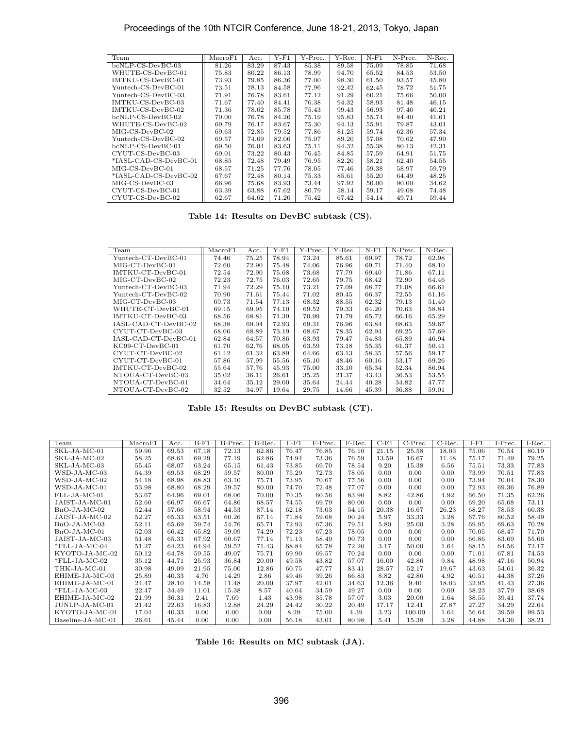| Team                  | MacroF1 | Acc.  | Y-F1  | Y-Prec. | Y-Rec. | $N-F1$ | N-Prec. | N-Rec. |
|-----------------------|---------|-------|-------|---------|--------|--------|---------|--------|
| $bcNLP-CS-DevBC-03$   | 81.26   | 83.29 | 87.43 | 85.38   | 89.58  | 75.09  | 78.85   | 71.68  |
| WHUTE-CS-DevBC-01     | 75.83   | 80.22 | 86.13 | 78.99   | 94.70  | 65.52  | 84.53   | 53.50  |
| IMTKU-CS-DevBC-01     | 73.93   | 79.85 | 86.36 | 77.00   | 98.30  | 61.50  | 93.57   | 45.80  |
| Yuntech-CS-DevBC-01   | 73.51   | 78.13 | 84.58 | 77.96   | 92.42  | 62.45  | 78.72   | 51.75  |
| Yuntech-CS-DevBC-03   | 71.91   | 76.78 | 83.61 | 77.12   | 91.29  | 60.21  | 75.66   | 50.00  |
| IMTKU-CS-DevBC-03     | 71.67   | 77.40 | 84.41 | 76.38   | 94.32  | 58.93  | 81.48   | 46.15  |
| IMTKU-CS-DevBC-02     | 71.36   | 78.62 | 85.78 | 75.43   | 99.43  | 56.93  | 97.46   | 40.21  |
| $bcNLP-CS-DevBC-02$   | 70.00   | 76.78 | 84.26 | 75.19   | 95.83  | 55.74  | 84.40   | 41.61  |
| WHUTE-CS-DevBC-02     | 69.79   | 76.17 | 83.67 | 75.30   | 94.13  | 55.91  | 79.87   | 43.01  |
| $MIG-CS-DevBC-02$     | 69.63   | 72.85 | 79.52 | 77.86   | 81.25  | 59.74  | 62.36   | 57.34  |
| Yuntech-CS-DevBC-02   | 69.57   | 74.69 | 82.06 | 75.97   | 89.20  | 57.08  | 70.62   | 47.90  |
| bcNLP-CS-DevBC-01     | 69.50   | 76.04 | 83.63 | 75.11   | 94.32  | 55.38  | 80.13   | 42.31  |
| CYUT-CS-DevBC-03      | 69.01   | 73.22 | 80.43 | 76.45   | 84.85  | 57.59  | 64.91   | 51.75  |
| *IASL-CAD-CS-DevBC-01 | 68.85   | 72.48 | 79.49 | 76.95   | 82.20  | 58.21  | 62.40   | 54.55  |
| MIG-CS-DevBC-01       | 68.57   | 71.25 | 77.76 | 78.05   | 77.46  | 59.38  | 58.97   | 59.79  |
| *IASL-CAD-CS-DevBC-02 | 67.67   | 72.48 | 80.14 | 75.33   | 85.61  | 55.20  | 64.49   | 48.25  |
| MIG-CS-DevBC-03       | 66.96   | 75.68 | 83.93 | 73.44   | 97.92  | 50.00  | 90.00   | 34.62  |
| CYUT-CS-DevBC-01      | 63.39   | 63.88 | 67.62 | 80.79   | 58.14  | 59.17  | 49.08   | 74.48  |
| CYUT-CS-DevBC-02      | 62.67   | 64.62 | 71.20 | 75.42   | 67.42  | 54.14  | 49.71   | 59.44  |

**Table 14: Results on DevBC subtask (CS).**

| Team                  | $\rm MacroF1$ | Acc.  | Y-F1  | Y-Prec. | Y-Rec. | $N-F1$ | N-Prec. | N-Rec. |
|-----------------------|---------------|-------|-------|---------|--------|--------|---------|--------|
| $Yuntech-CT-DevBC-01$ | 74.46         | 75.25 | 78.94 | 73.24   | 85.61  | 69.97  | 78.72   | 62.98  |
| MIG-CT-DevBC-01       | 72.60         | 72.90 | 75.48 | 74.06   | 76.96  | 69.71  | 71.40   | 68.10  |
| IMTKU-CT-DevBC-01     | 72.54         | 72.90 | 75.68 | 73.68   | 77.79  | 69.40  | 71.86   | 67.11  |
| MIG-CT-DevBC-02       | 72.23         | 72.75 | 76.03 | 72.65   | 79.75  | 68.42  | 72.90   | 64.46  |
| Yuntech-CT-DevBC-03   | 71.94         | 72.29 | 75.10 | 73.21   | 77.09  | 68.77  | 71.08   | 66.61  |
| Yuntech-CT-DevBC-02   | 70.90         | 71.61 | 75.44 | 71.02   | 80.45  | 66.37  | 72.55   | 61.16  |
| MIG-CT-DevBC-03       | 69.73         | 71.54 | 77.13 | 68.32   | 88.55  | 62.32  | 79.13   | 51.40  |
| WHUTE-CT-DevBC-01     | 69.15         | 69.95 | 74.10 | 69.52   | 79.33  | 64.20  | 70.63   | 58.84  |
| IMTKU-CT-DevBC-03     | 68.56         | 68.81 | 71.39 | 70.99   | 71.79  | 65.72  | 66.16   | 65.29  |
| IASL-CAD-CT-DevBC-02  | 68.38         | 69.04 | 72.93 | 69.31   | 76.96  | 63.84  | 68.63   | 59.67  |
| CYUT-CT-DevBC-03      | 68.06         | 68.89 | 73.19 | 68.67   | 78.35  | 62.94  | 69.25   | 57.69  |
| IASL-CAD-CT-DevBC-01  | 62.84         | 64.57 | 70.86 | 63.93   | 79.47  | 54.83  | 65.89   | 46.94  |
| $KC99$ -CT-DevBC-01   | 61.70         | 62.76 | 68.05 | 63.59   | 73.18  | 55.35  | 61.37   | 50.41  |
| CYUT-CT-DevBC-02      | 61.12         | 61.32 | 63.89 | 64.66   | 63.13  | 58.35  | 57.56   | 59.17  |
| CYUT-CT-DevBC-01      | 57.86         | 57.99 | 55.56 | 65.10   | 48.46  | 60.16  | 53.17   | 69.26  |
| IMTKU-CT-DevBC-02     | 55.64         | 57.76 | 45.93 | 75.00   | 33.10  | 65.34  | 52.34   | 86.94  |
| NTOUA-CT-DevBC-03     | 35.02         | 36.11 | 26.61 | 35.25   | 21.37  | 43.43  | 36.53   | 53.55  |
| NTOUA-CT-DevBC-01     | 34.64         | 35.12 | 29.00 | 35.64   | 24.44  | 40.28  | 34.82   | 47.77  |
| NTOUA-CT-DevBC-02     | 32.52         | 34.97 | 19.64 | 29.75   | 14.66  | 45.39  | 36.88   | 59.01  |

**Table 15: Results on DevBC subtask (CT).**

| Team              | MacroF1 | Acc.  | $B-F1$ | $\overline{\text{B-P}}$ rec. | $B-Rec.$ | $F-F1$ | F-Prec. | $F-Rec.$ | $C-F1$ | $C-Prec.$ | $C-Rec.$ | $I-F1$ | $I-Prec.$ | $I-Rec.$ |
|-------------------|---------|-------|--------|------------------------------|----------|--------|---------|----------|--------|-----------|----------|--------|-----------|----------|
| $SKL-JA-MC-01$    | 59.96   | 69.53 | 67.18  | 72.13                        | 62.86    | 76.47  | 76.85   | 76.10    | 21.15  | 25.58     | 18.03    | 75.06  | 70.54     | 80.19    |
| $SKL-JA-MC-02$    | 58.25   | 68.61 | 69.29  | 77.19                        | 62.86    | 74.94  | 73.36   | 76.59    | 13.59  | 16.67     | 11.48    | 75.17  | 71.49     | 79.25    |
| SKL-JA-MC-03      | 55.45   | 68.07 | 63.24  | 65.15                        | 61.43    | 73.85  | 69.70   | 78.54    | 9.20   | 15.38     | 6.56     | 75.51  | 73.33     | 77.83    |
| $WSD-JA-MC-03$    | 54.39   | 69.53 | 68.29  | 59.57                        | 80.00    | 75.29  | 72.73   | 78.05    | 0.00   | 0.00      | 0.00     | 73.99  | 70.51     | 77.83    |
| WSD-JA-MC-02      | 54.18   | 68.98 | 68.83  | 63.10                        | 75.71    | 73.95  | 70.67   | 77.56    | 0.00   | 0.00      | 0.00     | 73.94  | 70.04     | 78.30    |
| WSD-JA-MC-01      | 53.98   | 68.80 | 68.29  | 59.57                        | 80.00    | 74.70  | 72.48   | 77.07    | 0.00   | 0.00      | 0.00     | 72.93  | 69.36     | 76.89    |
| FLL-JA-MC-01      | 53.67   | 64.96 | 69.01  | 68.06                        | 70.00    | 70.35  | 60.56   | 83.90    | 8.82   | 42.86     | 4.92     | 66.50  | 71.35     | 62.26    |
| JAIST-JA-MC-01    | 52.60   | 66.97 | 66.67  | 64.86                        | 68.57    | 74.55  | 69.79   | 80.00    | 0.00   | 0.00      | 0.00     | 69.20  | 65.68     | 73.11    |
| $BnO-JA-MC-02$    | 52.44   | 57.66 | 58.94  | 44.53                        | 87.14    | 62.18  | 73.03   | 54.15    | 20.38  | 16.67     | 26.23    | 68.27  | 78.53     | 60.38    |
| JAIST-JA-MC-02    | 52.27   | 65.33 | 63.51  | 60.26                        | 67.14    | 71.84  | 59.68   | 90.24    | 5.97   | 33.33     | 3.28     | 67.76  | 80.52     | 58.49    |
| $BnO-JA-MC-03$    | 52.11   | 65.69 | 59.74  | 54.76                        | 65.71    | 72.93  | 67.36   | 79.51    | 5.80   | 25.00     | 3.28     | 69.95  | 69.63     | 70.28    |
| $BnO-JA-MC-01$    | 52.03   | 66.42 | 65.82  | 59.09                        | 74.29    | 72.23  | 67.23   | 78.05    | 0.00   | 0.00      | 0.00     | 70.05  | 68.47     | 71.70    |
| JAIST-JA-MC-03    | 51.48   | 65.33 | 67.92  | 60.67                        | 77.14    | 71.13  | 58.49   | 90.73    | 0.00   | 0.00      | 0.00     | 66.86  | 83.69     | 55.66    |
| $*$ FLL-JA-MC-04  | 51.27   | 64.23 | 64.94  | 59.52                        | 71.43    | 68.84  | 65.78   | 72.20    | 3.17   | 50.00     | 1.64     | 68.15  | 64.56     | 72.17    |
| KYOTO-JA-MC-02    | 50.12   | 64.78 | 59.55  | 49.07                        | 75.71    | 69.90  | 69.57   | 70.24    | 0.00   | 0.00      | 0.00     | 71.01  | 67.81     | 74.53    |
| $*$ FLL-JA-MC-02  | 35.12   | 44.71 | 25.93  | 36.84                        | 20.00    | 49.58  | 43.82   | 57.07    | 16.00  | 42.86     | 9.84     | 48.98  | 47.16     | 50.94    |
| THK-JA-MC-01      | 30.98   | 49.09 | 21.95  | 75.00                        | 12.86    | 60.75  | 47.77   | 83.41    | 28.57  | 52.17     | 19.67    | 43.63  | 54.61     | 36.32    |
| EHIME-JA-MC-03    | 25.89   | 40.33 | 4.76   | 14.29                        | 2.86     | 49.46  | 39.26   | 66.83    | 8.82   | 42.86     | 4.92     | 40.51  | 44.38     | 37.26    |
| EHIME-JA-MC-01    | 24.47   | 28.10 | 14.58  | 11.48                        | 20.00    | 37.97  | 42.01   | 34.63    | 12.36  | 9.40      | 18.03    | 32.95  | 41.43     | 27.36    |
| $*$ FLL-JA-MC-03  | 22.47   | 34.49 | 11.01  | 15.38                        | 8.57     | 40.64  | 34.59   | 49.27    | 0.00   | 0.00      | 0.00     | 38.23  | 37.79     | 38.68    |
| EHIME-JA-MC-02    | 21.99   | 36.31 | 2.41   | 7.69                         | 1.43     | 43.98  | 35.78   | 57.07    | 3.03   | 20.00     | 1.64     | 38.55  | 39.41     | 37.74    |
| JUNLP-JA-MC-01    | 21.42   | 22.63 | 16.83  | 12.88                        | 24.29    | 24.42  | 30.22   | 20.49    | 17.17  | 12.41     | 27.87    | 27.27  | 34.29     | 22.64    |
| KYOTO-JA-MC-01    | 17.04   | 40.33 | 0.00   | 0.00                         | 0.00     | 8.29   | 75.00   | 4.39     | 3.23   | 100.00    | 1.64     | 56.64  | 39.59     | 99.53    |
| Baseline-JA-MC-01 | 26.61   | 45.44 | 0.00   | 0.00                         | 0.00     | 56.18  | 43.01   | 80.98    | 5.41   | 15.38     | 3.28     | 44.88  | 54.36     | 38.21    |

**Table 16: Results on MC subtask (JA).**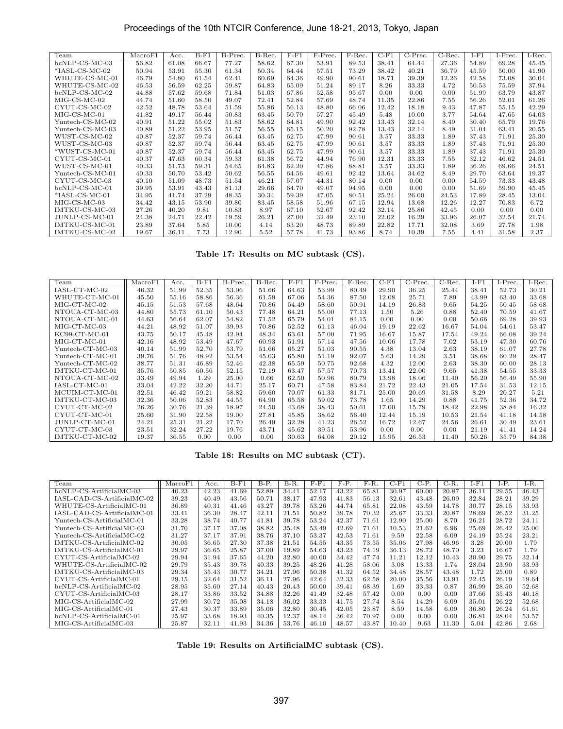| Team             | MacroF1 | Acc.  | $B-F1$ | B-Prec. | B-Rec. | $F - F1$ | F-Prec. | F-Rec. | $C-F1$ | $C-Prec.$ | $C$ -Rec. | $I-F1$ | $I-Prec.$ | $I-Rec.$ |
|------------------|---------|-------|--------|---------|--------|----------|---------|--------|--------|-----------|-----------|--------|-----------|----------|
| $bcNLP-CS-MC-03$ | 56.82   | 61.08 | 66.67  | 77.27   | 58.62  | 67.30    | 53.91   | 89.53  | 38.41  | 64.44     | 27.36     | 54.89  | 69.28     | 45.45    |
| $*IASL-CS-MC-02$ | 50.94   | 53.91 | 55.30  | 61.34   | 50.34  | 64.44    | 57.51   | 73.29  | 38.42  | 40.21     | 36.79     | 45.59  | 50.00     | 41.90    |
| WHUTE-CS-MC-01   | 46.79   | 54.80 | 61.54  | 62.41   | 60.69  | 64.36    | 49.90   | 90.61  | 18.71  | 39.39     | 12.26     | 42.58  | 73.08     | 30.04    |
| WHUTE-CS-MC-02   | 46.53   | 56.59 | 62.25  | 59.87   | 64.83  | 65.09    | 51.24   | 89.17  | 8.26   | 33.33     | 4.72      | 50.53  | 75.59     | 37.94    |
| bcNLP-CS-MC-02   | 44.88   | 57.62 | 59.68  | 71.84   | 51.03  | 67.86    | 52.58   | 95.67  | 0.00   | 0.00      | 0.00      | 51.99  | 63.79     | 43.87    |
| $MIG-CS-MC-02$   | 44.74   | 51.60 | 58.50  | 49.07   | 72.41  | 52.84    | 57.69   | 48.74  | 11.35  | 22.86     | 7.55      | 56.26  | 52.01     | 61.26    |
| CYUT-CS-MC-02    | 42.52   | 48.78 | 53.64  | 51.59   | 55.86  | 56.13    | 48.80   | 66.06  | 12.42  | 18.18     | 9.43      | 47.87  | 55.15     | 42.29    |
| $MIG-CS-MC-01$   | 41.82   | 49.17 | 56.44  | 50.83   | 63.45  | 50.70    | 57.27   | 45.49  | 5.48   | 10.00     | 3.77      | 54.64  | 47.65     | 64.03    |
| Yuntech-CS-MC-02 | 40.91   | 51.22 | 55.02  | 51.83   | 58.62  | 64.81    | 49.90   | 92.42  | 13.43  | 32.14     | 8.49      | 30.40  | 65.79     | 19.76    |
| Yuntech-CS-MC-03 | 40.89   | 51.22 | 53.95  | 51.57   | 56.55  | 65.15    | 50.20   | 92.78  | 13.43  | 32.14     | 8.49      | 31.04  | 63.41     | 20.55    |
| WUST-CS-MC-02    | 40.87   | 52.37 | 59.74  | 56.44   | 63.45  | 62.75    | 47.99   | 90.61  | 3.57   | 33.33     | 1.89      | 37.43  | 71.91     | 25.30    |
| WUST-CS-MC-03    | 40.87   | 52.37 | 59.74  | 56.44   | 63.45  | 62.75    | 47.99   | 90.61  | 3.57   | 33.33     | 1.89      | 37.43  | 71.91     | 25.30    |
| *WUST-CS-MC-01   | 40.87   | 52.37 | 59.74  | 56.44   | 63.45  | 62.75    | 47.99   | 90.61  | 3.57   | 33.33     | 1.89      | 37.43  | 71.91     | 25.30    |
| CYUT-CS-MC-01    | 40.37   | 47.63 | 60.34  | 59.33   | 61.38  | 56.72    | 44.94   | 76.90  | 12.31  | 33.33     | 7.55      | 32.12  | 46.62     | 24.51    |
| WUST-CS-MC-01    | 40.33   | 51.73 | 59.31  | 54.65   | 64.83  | 62.20    | 47.86   | 88.81  | 3.57   | 33.33     | 1.89      | 36.26  | 69.66     | 24.51    |
| Yuntech-CS-MC-01 | 40.33   | 50.70 | 53.42  | 50.62   | 56.55  | 64.56    | 49.61   | 92.42  | 13.64  | 34.62     | 8.49      | 29.70  | 63.64     | 19.37    |
| CYUT-CS-MC-03    | 40.10   | 51.09 | 48.73  | 51.54   | 46.21  | 57.07    | 44.31   | 80.14  | 0.00   | 0.00      | 0.00      | 54.59  | 73.33     | 43.48    |
| $bcNLP-CS-MC-01$ | 39.95   | 53.91 | 43.43  | 81.13   | 29.66  | 64.70    | 49.07   | 94.95  | 0.00   | 0.00      | 0.00      | 51.69  | 59.90     | 45.45    |
| $*IASL-CS-MC-01$ | 34.95   | 41.74 | 37.29  | 48.35   | 30.34  | 59.39    | 47.05   | 80.51  | 25.24  | 26.00     | 24.53     | 17.89  | 28.45     | 13.04    |
| $MIG-CS-MC-03$   | 34.42   | 43.15 | 53.90  | 39.80   | 83.45  | 58.58    | 51.96   | 67.15  | 12.94  | 13.68     | 12.26     | 12.27  | 70.83     | 6.72     |
| IMTKU-CS-MC-03   | 27.26   | 40.20 | 9.81   | 10.83   | 8.97   | 67.10    | 52.67   | 92.42  | 32.14  | 25.86     | 42.45     | 0.00   | 0.00      | 0.00     |
| JUNLP-CS-MC-01   | 24.38   | 24.71 | 22.42  | 19.59   | 26.21  | 27.00    | 32.49   | 23.10  | 22.02  | 16.29     | 33.96     | 26.07  | 32.54     | 21.74    |
| IMTKU-CS-MC-01   | 23.89   | 37.64 | 5.85   | 10.00   | 4.14   | 63.20    | 48.73   | 89.89  | 22.82  | 17.71     | 32.08     | 3.69   | 27.78     | 1.98     |
| IMTKU-CS-MC-02   | 19.67   | 36.11 | 7.73   | 12.90   | 5.52   | 57.78    | 41.73   | 93.86  | 8.74   | 10.39     | 7.55      | 4.41   | 31.58     | 2.37     |

**Table 17: Results on MC subtask (CS).**

| Team             | MacroF1 | Acc.  | $B-F1$ | B-Prec. | B-Rec. | $F - F1$ | F-Prec. | F-Rec. | $C-F1$ | $\overline{C}$ -Prec. | $C-Rec.$ | $I-F1$ | $I-Prec.$ | I-Rec. |
|------------------|---------|-------|--------|---------|--------|----------|---------|--------|--------|-----------------------|----------|--------|-----------|--------|
| $IASL-CT-MC-02$  | 46.32   | 51.99 | 52.35  | 53.06   | 51.66  | 64.63    | 53.99   | 80.49  | 29.90  | 36.25                 | 25.44    | 38.41  | 52.73     | 30.21  |
| WHUTE-CT-MC-01   | 45.50   | 55.16 | 58.86  | 56.36   | 61.59  | 67.06    | 54.36   | 87.50  | 12.08  | 25.71                 | 7.89     | 43.99  | 63.40     | 33.68  |
| $MIG-CT-MC-02$   | 45.15   | 51.53 | 57.68  | 48.64   | 70.86  | 54.49    | 58.60   | 50.91  | 14.19  | 26.83                 | 9.65     | 54.25  | 50.45     | 58.68  |
| NTOUA-CT-MC-03   | 44.80   | 55.73 | 61.10  | 50.43   | 77.48  | 64.21    | 55.00   | 77.13  | 1.50   | 5.26                  | 0.88     | 52.40  | 70.59     | 41.67  |
| NTOUA-CT-MC-01   | 44.63   | 56.64 | 62.07  | 54.82   | 71.52  | 65.79    | 54.01   | 84.15  | 0.00   | 0.00                  | 0.00     | 50.66  | 69.28     | 39.93  |
| $MIG-CT-MC-03$   | 44.21   | 48.92 | 51.07  | 39.93   | 70.86  | 52.52    | 61.13   | 46.04  | 19.19  | 22.62                 | 16.67    | 54.04  | 54.61     | 53.47  |
| $KC99-CT-MC-01$  | 43.75   | 50.17 | 45.48  | 42.94   | 48.34  | 63.61    | 57.00   | 71.95  | 16.67  | 15.87                 | 17.54    | 49.24  | 66.08     | 39.24  |
| $MIG-CT-MC-01$   | 42.16   | 48.92 | 53.49  | 47.67   | 60.93  | 51.91    | 57.14   | 47.56  | 10.06  | 17.78                 | 7.02     | 53.19  | 47.30     | 60.76  |
| Yuntech-CT-MC-03 | 40.14   | 51.99 | 52.70  | 53.79   | 51.66  | 65.27    | 51.03   | 90.55  | 4.38   | 13.04                 | 2.63     | 38.19  | 61.07     | 27.78  |
| Yuntech-CT-MC-01 | 39.76   | 51.76 | 48.92  | 53.54   | 45.03  | 65.80    | 51.19   | 92.07  | 5.63   | 14.29                 | 3.51     | 38.68  | 60.29     | 28.47  |
| Yuntech-CT-MC-02 | 38.77   | 51.31 | 46.89  | 52.46   | 42.38  | 65.59    | 50.75   | 92.68  | 4.32   | 12.00                 | 2.63     | 38.30  | 60.00     | 28.13  |
| IMTKU-CT-MC-01   | 35.76   | 50.85 | 60.56  | 52.15   | 72.19  | 63.47    | 57.57   | 70.73  | 13.41  | 22.00                 | 9.65     | 41.38  | 54.55     | 33.33  |
| NTOUA-CT-MC-02   | 33.49   | 49.94 | 1.29   | 25.00   | 0.66   | 62.50    | 50.96   | 80.79  | 13.98  | 18.06                 | 11.40    | 56.20  | 56.49     | 55.90  |
| IASL-CT-MC-01    | 33.04   | 42.22 | 32.20  | 44.71   | 25.17  | 60.71    | 47.58   | 83.84  | 21.72  | 22.43                 | 21.05    | 17.54  | 31.53     | 12.15  |
| MCUIM-CT-MC-01   | 32.51   | 46.42 | 59.21  | 58.82   | 59.60  | 70.07    | 61.33   | 81.71  | 25.00  | 20.69                 | 31.58    | 8.29   | 20.27     | 5.21   |
| IMTKU-CT-MC-03   | 32.36   | 50.06 | 52.83  | 44.55   | 64.90  | 65.58    | 59.02   | 73.78  | 1.65   | 14.29                 | 0.88     | 41.75  | 52.36     | 34.72  |
| CYUT-CT-MC-02    | 26.26   | 30.76 | 21.39  | 18.97   | 24.50  | 43.68    | 38.43   | 50.61  | 17.00  | 15.79                 | 18.42    | 22.98  | 38.84     | 16.32  |
| CYUT-CT-MC-01    | 25.60   | 31.90 | 22.58  | 19.00   | 27.81  | 45.85    | 38.62   | 56.40  | 12.44  | 15.19                 | 10.53    | 21.54  | 41.18     | 14.58  |
| JUNLP-CT-MC-01   | 24.21   | 25.31 | 21.22  | 17.70   | 26.49  | 32.28    | 41.23   | 26.52  | 16.72  | 12.67                 | 24.56    | 26.61  | 30.49     | 23.61  |
| CYUT-CT-MC-03    | 23.51   | 32.24 | 27.22  | 19.76   | 43.71  | 45.62    | 39.51   | 53.96  | 0.00   | 0.00                  | 0.00     | 21.19  | 41.41     | 14.24  |
| IMTKU-CT-MC-02   | 19.37   | 36.55 | 0.00   | 0.00    | 0.00   | 30.63    | 64.08   | 20.12  | 15.95  | 26.53                 | 11.40    | 50.26  | 35.79     | 84.38  |

**Table 18: Results on MC subtask (CT).**

| Team                        | $\rm MacroF1$ | Acc.  | $B-F1$ | B-P.  | B-R.  | $F- F1$ | F-P.  | F-R.  | $C-F1$ | С-Р.  | C-R.  | $I-F1$ | I-P.  | $I-R.$ |
|-----------------------------|---------------|-------|--------|-------|-------|---------|-------|-------|--------|-------|-------|--------|-------|--------|
| bcNLP-CS-ArtificialMC-03    | 40.23         | 42.23 | 41.69  | 52.89 | 34.41 | 52.17   | 43.22 | 65.81 | 30.97  | 60.00 | 20.87 | 36.11  | 29.55 | 46.43  |
| IASL-CAD-CS-ArtificialMC-02 | 39.23         | 40.49 | 43.56  | 50.71 | 38.17 | 47.93   | 41.83 | 56.13 | 32.61  | 43.48 | 26.09 | 32.84  | 28.21 | 39.29  |
| WHUTE-CS-ArtificialMC-01    | 36.89         | 40.31 | 41.46  | 43.27 | 39.78 | 53.26   | 44.74 | 65.81 | 22.08  | 43.59 | 14.78 | 30.77  | 28.15 | 33.93  |
| IASL-CAD-CS-ArtificialMC-01 | 33.41         | 36.30 | 28.47  | 42.11 | 21.51 | 50.82   | 39.78 | 70.32 | 25.67  | 33.33 | 20.87 | 28.69  | 26.52 | 31.25  |
| Yuntech-CS-ArtificialMC-01  | 33.28         | 38.74 | 40.77  | 41.81 | 39.78 | 53.24   | 42.37 | 71.61 | 12.90  | 25.00 | 8.70  | 26.21  | 28.72 | 24.11  |
| Yuntech-CS-ArtificialMC-03  | 31.70         | 37.17 | 37.08  | 38.82 | 35.48 | 53.49   | 42.69 | 71.61 | 10.53  | 21.62 | 6.96  | 25.69  | 26.42 | 25.00  |
| Yuntech-CS-ArtificialMC-02  | 31.27         | 37.17 | 37.91  | 38.76 | 37.10 | 53.37   | 42.53 | 71.61 | 9.59   | 22.58 | 6.09  | 24.19  | 25.24 | 23.21  |
| IMTKU-CS-ArtificialMC-02    | 30.05         | 36.65 | 27.30  | 37.38 | 21.51 | 54.55   | 43.35 | 73.55 | 35.06  | 27.98 | 46.96 | 3.28   | 20.00 | 1.79   |
| IMTKU-CS-ArtificialMC-01    | 29.97         | 36.65 | 25.87  | 37.00 | 19.89 | 54.63   | 43.23 | 74.19 | 36.13  | 28.72 | 48.70 | 3.23   | 16.67 | 1.79   |
| CYUT-CS-ArtificialMC-02     | 29.94         | 31.94 | 37.65  | 44.20 | 32.80 | 40.00   | 34.42 | 47.74 | 11.21  | 12.12 | 10.43 | 30.90  | 29.75 | 32.14  |
| WHUTE-CS-ArtificialMC-02    | 29.79         | 35.43 | 39.78  | 40.33 | 39.25 | 48.26   | 41.28 | 58.06 | 3.08   | 13.33 | 1.74  | 28.04  | 23.90 | 33.93  |
| IMTKU-CS-ArtificialMC-03    | 29.34         | 35.43 | 30.77  | 34.21 | 27.96 | 50.38   | 41.32 | 64.52 | 34.48  | 28.57 | 43.48 | 1.72   | 25.00 | 0.89   |
| CYUT-CS-ArtificialMC-01     | 29.15         | 32.64 | 31.52  | 36.11 | 27.96 | 42.64   | 32.33 | 62.58 | 20.00  | 35.56 | 13.91 | 22.45  | 26.19 | 19.64  |
| bcNLP-CS-ArtificialMC-02    | 28.95         | 35.60 | 27.14  | 40.43 | 20.43 | 50.00   | 39.41 | 68.39 | 1.69   | 33.33 | 0.87  | 36.99  | 28.50 | 52.68  |
| CYUT-CS-ArtificialMC-03     | 28.17         | 33.86 | 33.52  | 34.88 | 32.26 | 41.49   | 32.48 | 57.42 | 0.00   | 0.00  | 0.00  | 37.66  | 35.43 | 40.18  |
| $MIG-CS-Artificial MC-02$   | 27.99         | 30.72 | 35.08  | 34.18 | 36.02 | 33.33   | 41.75 | 27.74 | 8.54   | 14.29 | 6.09  | 35.01  | 26.22 | 52.68  |
| $MIG-CS-Artificial MC-01$   | 27.43         | 30.37 | 33.89  | 35.06 | 32.80 | 30.45   | 42.05 | 23.87 | 8.59   | 14.58 | 6.09  | 36.80  | 26.24 | 61.61  |
| bcNLP-CS-ArtificialMC-01    | 25.97         | 33.68 | 18.93  | 40.35 | 12.37 | 48.14   | 36.42 | 70.97 | 0.00   | 0.00  | 0.00  | 36.81  | 28.04 | 53.57  |
| MIG-CS-ArtificialMC-03      | 25.87         | 32.11 | 41.93  | 34.36 | 53.76 | 46.10   | 48.57 | 43.87 | 10.40  | 9.63  | 11.30 | 5.04   | 42.86 | 2.68   |

**Table 19: Results on ArtificialMC subtask (CS).**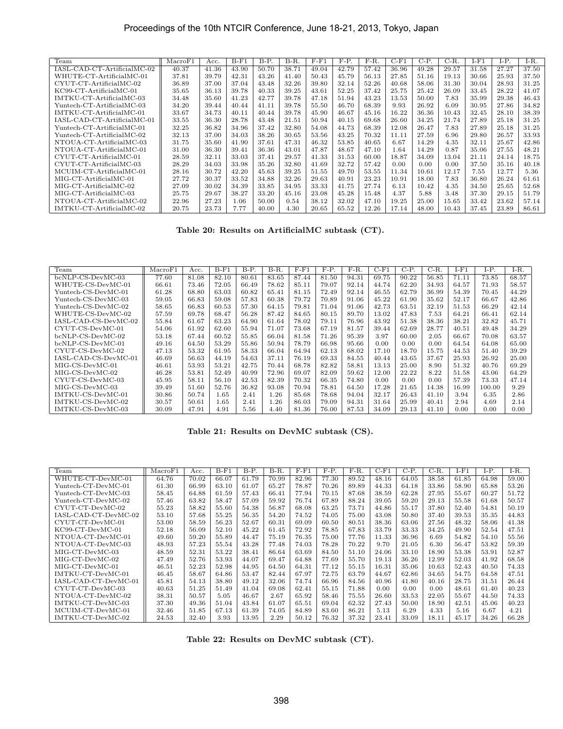| Team                        | MacroF1 | Acc.  | $B-F1$ | <b>B-P.</b> | $B-R.$ | $F-F1$ | F-P.  | F-R.  | $C-F1$ | $C-P.$ | C-R.  | $I-F1$ | LP.   | $I-R.$ |
|-----------------------------|---------|-------|--------|-------------|--------|--------|-------|-------|--------|--------|-------|--------|-------|--------|
| IASL-CAD-CT-ArtificialMC-02 | 40.37   | 41.36 | 43.90  | 50.70       | 38.71  | 49.04  | 42.79 | 57.42 | 36.96  | 49.28  | 29.57 | 31.58  | 27.27 | 37.50  |
| WHUTE-CT-ArtificialMC-01    | 37.81   | 39.79 | 42.31  | 43.26       | 41.40  | 50.43  | 45.79 | 56.13 | 27.85  | 51.16  | 19.13 | 30.66  | 25.93 | 37.50  |
| CYUT-CT-ArtificialMC-02     | 36.89   | 37.00 | 37.04  | 43.48       | 32.26  | 39.80  | 32.14 | 52.26 | 40.68  | 58.06  | 31.30 | 30.04  | 28.93 | 31.25  |
| $KC99-CT-Artificial MC-01$  | 35.65   | 36.13 | 39.78  | 40.33       | 39.25  | 43.61  | 52.25 | 37.42 | 25.75  | 25.42  | 26.09 | 33.45  | 28.22 | 41.07  |
| IMTKU-CT-ArtificialMC-03    | 34.48   | 35.60 | 41.23  | 42.77       | 39.78  | 47.18  | 51.94 | 43.23 | 13.53  | 50.00  | 7.83  | 35.99  | 29.38 | 46.43  |
| Yuntech-CT-ArtificialMC-03  | 34.20   | 39.44 | 40.44  | 41.11       | 39.78  | 55.50  | 46.70 | 68.39 | 9.93   | 26.92  | 6.09  | 30.95  | 27.86 | 34.82  |
| IMTKU-CT-ArtificialMC-01    | 33.67   | 34.73 | 40.11  | 40.44       | 39.78  | 45.90  | 46.67 | 45.16 | 16.22  | 36.36  | 10.43 | 32.45  | 28.10 | 38.39  |
| IASL-CAD-CT-ArtificialMC-01 | 33.55   | 36.30 | 28.78  | 43.48       | 21.51  | 50.94  | 40.15 | 69.68 | 26.60  | 34.25  | 21.74 | 27.89  | 25.18 | 31.25  |
| Yuntech-CT-ArtificialMC-01  | 32.25   | 36.82 | 34.96  | 37.42       | 32.80  | 54.08  | 44.73 | 68.39 | 12.08  | 26.47  | 7.83  | 27.89  | 25.18 | 31.25  |
| Yuntech-CT-ArtificialMC-02  | 32.13   | 37.00 | 34.03  | 38.26       | 30.65  | 53.56  | 43.25 | 70.32 | 11.11  | 27.59  | 6.96  | 29.80  | 26.57 | 33.93  |
| NTOUA-CT-ArtificialMC-03    | 31.75   | 35.60 | 41.90  | 37.61       | 47.31  | 46.32  | 53.85 | 40.65 | 6.67   | 14.29  | 4.35  | 32.11  | 25.67 | 42.86  |
| NTOUA-CT-ArtificialMC-01    | 31.00   | 36.30 | 39.41  | 36.36       | 43.01  | 47.87  | 48.67 | 47.10 | 1.64   | 14.29  | 0.87  | 35.06  | 27.55 | 48.21  |
| $CYUT-CT-Artificial MC-01$  | 28.59   | 32.11 | 33.03  | 37.41       | 29.57  | 41.33  | 31.53 | 60.00 | 18.87  | 34.09  | 13.04 | 21.11  | 24.14 | 18.75  |
| CYUT-CT-ArtificialMC-03     | 28.29   | 34.03 | 33.98  | 35.26       | 32.80  | 41.69  | 32.72 | 57.42 | 0.00   | 0.00   | 0.00  | 37.50  | 35.16 | 40.18  |
| MCUIM-CT-ArtificialMC-01    | 28.16   | 30.72 | 42.20  | 45.63       | 39.25  | 51.55  | 49.70 | 53.55 | 11.34  | 10.61  | 12.17 | 7.55   | 12.77 | 5.36   |
| MIG-CT-ArtificialMC-01      | 27.72   | 30.37 | 33.52  | 34.88       | 32.26  | 29.63  | 40.91 | 23.23 | 10.91  | 18.00  | 7.83  | 36.80  | 26.24 | 61.61  |
| $MIG-CT-Artificial MC-02$   | 27.09   | 30.02 | 34.39  | 33.85       | 34.95  | 33.33  | 41.75 | 27.74 | 6.13   | 10.42  | 4.35  | 34.50  | 25.65 | 52.68  |
| MIG-CT-ArtificialMC-03      | 25.75   | 29.67 | 38.27  | 33.20       | 45.16  | 23.08  | 45.28 | 15.48 | 4.37   | 5.88   | 3.48  | 37.30  | 29.15 | 51.79  |
| NTOUA-CT-ArtificialMC-02    | 22.96   | 27.23 | 1.06   | 50.00       | 0.54   | 38.12  | 32.02 | 47.10 | 19.25  | 25.00  | 15.65 | 33.42  | 23.62 | 57.14  |
| IMTKU-CT-ArtificialMC-02    | 20.75   | 23.73 | 7.77   | 40.00       | 4.30   | 20.65  | 65.52 | 12.26 | 17.14  | 48.00  | 10.43 | 37.45  | 23.89 | 86.61  |

**Table 20: Results on ArtificialMC subtask (CT).**

| Team                 | $\rm MacroF1$ | Acc.  | $B-F1$ | <b>B-P.</b> | B-R.  | $F - F1$ | F-P.  | $F-R.$ | $C-F1$ | C-P.  | C-R.  | I-F1  | I-P.   | $I-R.$ |
|----------------------|---------------|-------|--------|-------------|-------|----------|-------|--------|--------|-------|-------|-------|--------|--------|
| bcNLP-CS-DevMC-03    | 77.60         | 81.08 | 82.10  | 80.61       | 83.65 | 87.44    | 81.50 | 94.31  | 69.75  | 90.22 | 56.85 | 71.11 | 73.85  | 68.57  |
| WHUTE-CS-DevMC-01    | 66.61         | 73.46 | 72.05  | 66.49       | 78.62 | 85.11    | 79.07 | 92.14  | 44.74  | 62.20 | 34.93 | 64.57 | 71.93  | 58.57  |
| Yuntech-CS-DevMC-01  | 61.28         | 68.80 | 63.03  | 60.82       | 65.41 | 81.15    | 72.49 | 92.14  | 46.55  | 62.79 | 36.99 | 54.39 | 70.45  | 44.29  |
| Yuntech-CS-DevMC-03  | 59.05         | 66.83 | 59.08  | 57.83       | 60.38 | 79.72    | 70.89 | 91.06  | 45.22  | 61.90 | 35.62 | 52.17 | 66.67  | 42.86  |
| Yuntech-CS-DevMC-02  | 58.65         | 66.83 | 60.53  | 57.30       | 64.15 | 79.81    | 71.04 | 91.06  | 42.73  | 63.51 | 32.19 | 51.53 | 66.29  | 42.14  |
| WHUTE-CS-DevMC-02    | 57.59         | 69.78 | 68.47  | 56.28       | 87.42 | 84.65    | 80.15 | 89.70  | 13.02  | 47.83 | 7.53  | 64.21 | 66.41  | 62.14  |
| IASL-CAD-CS-DevMC-02 | 55.84         | 61.67 | 63.23  | 64.90       | 61.64 | 78.02    | 79.11 | 76.96  | 43.92  | 51.38 | 38.36 | 38.21 | 32.82  | 45.71  |
| CYUT-CS-DevMC-01     | 54.06         | 61.92 | 62.60  | 55.94       | 71.07 | 73.68    | 67.19 | 81.57  | 39.44  | 62.69 | 28.77 | 40.51 | 49.48  | 34.29  |
| $bcNLP-CS-DevMC-02$  | 53.18         | 67.44 | 60.52  | 55.85       | 66.04 | 81.58    | 71.26 | 95.39  | 3.97   | 60.00 | 2.05  | 66.67 | 70.08  | 63.57  |
| bcNLP-CS-DevMC-01    | 49.16         | 64.50 | 53.29  | 55.86       | 50.94 | 78.79    | 66.98 | 95.66  | 0.00   | 0.00  | 0.00  | 64.54 | 64.08  | 65.00  |
| CYUT-CS-DevMC-02     | 47.13         | 53.32 | 61.95  | 58.33       | 66.04 | 64.94    | 62.13 | 68.02  | 17.10  | 18.70 | 15.75 | 44.53 | 51.40  | 39.29  |
| IASL-CAD-CS-DevMC-01 | 46.69         | 56.63 | 44.19  | 54.63       | 37.11 | 76.19    | 69.33 | 84.55  | 40.44  | 43.65 | 37.67 | 25.93 | 26.92  | 25.00  |
| MIG-CS-DevMC-01      | 46.61         | 53.93 | 53.21  | 42.75       | 70.44 | 68.78    | 82.82 | 58.81  | 13.13  | 25.00 | 8.90  | 51.32 | 40.76  | 69.29  |
| MIG-CS-DevMC-02      | 46.28         | 53.81 | 52.49  | 40.99       | 72.96 | 69.07    | 82.09 | 59.62  | 12.00  | 22.22 | 8.22  | 51.58 | 43.06  | 64.29  |
| CYUT-CS-DevMC-03     | 45.95         | 58.11 | 56.10  | 42.53       | 82.39 | 70.32    | 66.35 | 74.80  | 0.00   | 0.00  | 0.00  | 57.39 | 73.33  | 47.14  |
| MIG-CS-DevMC-03      | 39.49         | 51.60 | 52.76  | 36.82       | 93.08 | 70.94    | 78.81 | 64.50  | 17.28  | 21.65 | 14.38 | 16.99 | 100.00 | 9.29   |
| IMTKU-CS-DevMC-01    | 30.86         | 50.74 | 1.65   | 2.41        | 1.26  | 85.68    | 78.68 | 94.04  | 32.17  | 26.43 | 41.10 | 3.94  | 6.35   | 2.86   |
| IMTKU-CS-DevMC-02    | 30.57         | 50.61 | 1.65   | 2.41        | 1.26  | 86.03    | 79.09 | 94.31  | 31.64  | 25.99 | 40.41 | 2.94  | 4.69   | 2.14   |
| IMTKU-CS-DevMC-03    | 30.09         | 47.91 | 4.91   | 5.56        | 4.40  | 81.36    | 76.00 | 87.53  | 34.09  | 29.13 | 41.10 | 0.00  | 0.00   | 0.00   |

**Table 21: Results on DevMC subtask (CS).**

| Team                 | MacroF1 | Acc.  | $B-F1$ | <b>B-P.</b> | $B-R$ . | $F-F1$ | F-P.  | F-R.  | $C-F1$ | C-P.  | $C-R.$ | $I-F1$ | $I-P.$ | I-R.  |
|----------------------|---------|-------|--------|-------------|---------|--------|-------|-------|--------|-------|--------|--------|--------|-------|
| WHUTE-CT-DevMC-01    | 64.76   | 70.02 | 66.07  | 61.79       | 70.99   | 82.96  | 77.30 | 89.52 | 48.16  | 64.05 | 38.58  | 61.85  | 64.98  | 59.00 |
| Yuntech-CT-DevMC-01  | 61.30   | 66.99 | 63.10  | 61.07       | 65.27   | 78.87  | 70.26 | 89.89 | 44.33  | 64.18 | 33.86  | 58.90  | 65.88  | 53.26 |
| Yuntech-CT-DevMC-03  | 58.45   | 64.88 | 61.59  | 57.43       | 66.41   | 77.94  | 70.15 | 87.68 | 38.59  | 62.28 | 27.95  | 55.67  | 60.27  | 51.72 |
| Yuntech-CT-DevMC-02  | 57.46   | 63.82 | 58.47  | 57.09       | 59.92   | 76.74  | 67.89 | 88.24 | 39.05  | 59.20 | 29.13  | 55.58  | 61.68  | 50.57 |
| CYUT-CT-DevMC-02     | 55.23   | 58.82 | 55.60  | 54.38       | 56.87   | 68.08  | 63.25 | 73.71 | 44.86  | 55.17 | 37.80  | 52.40  | 54.81  | 50.19 |
| IASL-CAD-CT-DevMC-02 | 53.10   | 57.68 | 55.25  | 56.35       | 54.20   | 74.52  | 74.05 | 75.00 | 43.08  | 50.80 | 37.40  | 39.53  | 35.35  | 44.83 |
| CYUT-CT-DevMC-01     | 53.00   | 58.59 | 56.23  | 52.67       | 60.31   | 69.09  | 60.50 | 80.51 | 38.36  | 63.06 | 27.56  | 48.32  | 58.06  | 41.38 |
| KC99-CT-DevMC-01     | 52.18   | 56.09 | 52.10  | 45.22       | 61.45   | 72.92  | 78.85 | 67.83 | 33.79  | 33.33 | 34.25  | 49.90  | 52.54  | 47.51 |
| NTOUA-CT-DevMC-01    | 49.60   | 59.20 | 55.89  | 44.47       | 75.19   | 76.35  | 75.00 | 77.76 | 11.33  | 36.96 | 6.69   | 54.82  | 54.10  | 55.56 |
| NTOUA-CT-DevMC-03    | 48.93   | 57.23 | 55.54  | 43.28       | 77.48   | 74.03  | 78.28 | 70.22 | 9.70   | 21.05 | 6.30   | 56.47  | 53.82  | 59.39 |
| MIG-CT-DevMC-03      | 48.59   | 52.31 | 53.22  | 38.41       | 86.64   | 63.69  | 84.50 | 51.10 | 24.06  | 33.10 | 18.90  | 53.38  | 53.91  | 52.87 |
| $MIG-CT-DevMC-02$    | 47.49   | 52.76 | 53.93  | 44.07       | 69.47   | 64.88  | 77.69 | 55.70 | 19.13  | 36.26 | 12.99  | 52.03  | 41.92  | 68.58 |
| MIG-CT-DevMC-01      | 46.51   | 52.23 | 52.98  | 44.95       | 64.50   | 64.31  | 77.12 | 55.15 | 16.31  | 35.06 | 10.63  | 52.43  | 40.50  | 74.33 |
| IMTKU-CT-DevMC-01    | 46.45   | 58.67 | 64.86  | 53.47       | 82.44   | 67.97  | 72.75 | 63.79 | 44.67  | 62.86 | 34.65  | 54.75  | 64.58  | 47.51 |
| IASL-CAD-CT-DevMC-01 | 45.81   | 54.13 | 38.80  | 49.12       | 32.06   | 74.74  | 66.96 | 84.56 | 40.96  | 41.80 | 40.16  | 28.75  | 31.51  | 26.44 |
| CYUT-CT-DevMC-03     | 40.63   | 51.25 | 51.49  | 41.04       | 69.08   | 62.41  | 55.15 | 71.88 | 0.00   | 0.00  | 0.00   | 48.61  | 61.40  | 40.23 |
| NTOUA-CT-DevMC-02    | 38.31   | 50.57 | 5.05   | 46.67       | 2.67    | 65.92  | 58.46 | 75.55 | 26.60  | 33.53 | 22.05  | 55.67  | 44.50  | 74.33 |
| IMTKU-CT-DevMC-03    | 37.30   | 49.36 | 51.04  | 43.84       | 61.07   | 65.51  | 69.04 | 62.32 | 27.43  | 50.00 | 18.90  | 42.51  | 45.06  | 40.23 |
| MCUIM-CT-DevMC-01    | 32.46   | 51.85 | 67.13  | 61.39       | 74.05   | 84.89  | 83.60 | 86.21 | 5.13   | 6.29  | 4.33   | 5.16   | 6.67   | 4.21  |
| IMTKU-CT-DevMC-02    | 24.53   | 32.40 | 3.93   | 13.95       | 2.29    | 50.12  | 76.32 | 37.32 | 23.41  | 33.09 | 18.11  | 45.17  | 34.26  | 66.28 |

**Table 22: Results on DevMC subtask (CT).**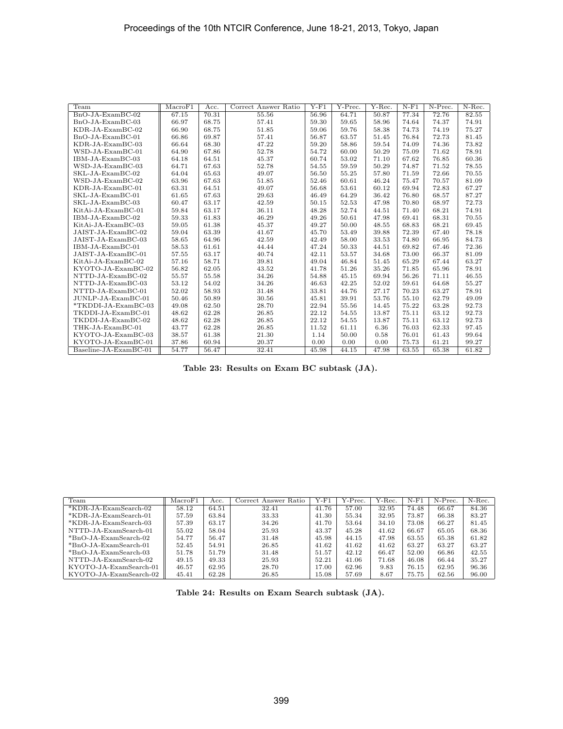| Team                  | MacroF1 | Acc.  | Correct Answer Ratio | $Y-F1$ | Y-Prec. | $Y$ -Rec. | $N-F1$ | $N-Prec.$ | $N-Rec.$ |
|-----------------------|---------|-------|----------------------|--------|---------|-----------|--------|-----------|----------|
| $BnO-JA-ExamBC-02$    | 67.15   | 70.31 | 55.56                | 56.96  | 64.71   | 50.87     | 77.34  | 72.76     | 82.55    |
| BnO-JA-ExamBC-03      | 66.97   | 68.75 | 57.41                | 59.30  | 59.65   | 58.96     | 74.64  | 74.37     | 74.91    |
| $KDR-JA-ExamBC-02$    | 66.90   | 68.75 | 51.85                | 59.06  | 59.76   | 58.38     | 74.73  | 74.19     | 75.27    |
| $BnO-JA-ExamBC-01$    | 66.86   | 69.87 | 57.41                | 56.87  | 63.57   | 51.45     | 76.84  | 72.73     | 81.45    |
| $KDR-JA-ExamBC-03$    | 66.64   | 68.30 | 47.22                | 59.20  | 58.86   | 59.54     | 74.09  | 74.36     | 73.82    |
| WSD-JA-ExamBC-01      | 64.90   | 67.86 | 52.78                | 54.72  | 60.00   | 50.29     | 75.09  | 71.62     | 78.91    |
| IBM-JA-ExamBC-03      | 64.18   | 64.51 | 45.37                | 60.74  | 53.02   | 71.10     | 67.62  | 76.85     | 60.36    |
| WSD-JA-ExamBC-03      | 64.71   | 67.63 | 52.78                | 54.55  | 59.59   | 50.29     | 74.87  | 71.52     | 78.55    |
| SKL-JA-ExamBC-02      | 64.04   | 65.63 | 49.07                | 56.50  | 55.25   | 57.80     | 71.59  | 72.66     | 70.55    |
| WSD-JA-ExamBC-02      | 63.96   | 67.63 | 51.85                | 52.46  | 60.61   | 46.24     | 75.47  | 70.57     | 81.09    |
| $KDR-JA-ExamBC-01$    | 63.31   | 64.51 | 49.07                | 56.68  | 53.61   | 60.12     | 69.94  | 72.83     | 67.27    |
| SKL-JA-ExamBC-01      | 61.65   | 67.63 | 29.63                | 46.49  | 64.29   | 36.42     | 76.80  | 68.57     | 87.27    |
| SKL-JA-ExamBC-03      | 60.47   | 63.17 | 42.59                | 50.15  | 52.53   | 47.98     | 70.80  | 68.97     | 72.73    |
| KitAi-JA-ExamBC-01    | 59.84   | 63.17 | 36.11                | 48.28  | 52.74   | 44.51     | 71.40  | 68.21     | 74.91    |
| IBM-JA-ExamBC-02      | 59.33   | 61.83 | 46.29                | 49.26  | 50.61   | 47.98     | 69.41  | 68.31     | 70.55    |
| KitAi-JA-ExamBC-03    | 59.05   | 61.38 | 45.37                | 49.27  | 50.00   | 48.55     | 68.83  | 68.21     | 69.45    |
| JAIST-JA-ExamBC-02    | 59.04   | 63.39 | 41.67                | 45.70  | 53.49   | 39.88     | 72.39  | 67.40     | 78.18    |
| JAIST-JA-ExamBC-03    | 58.65   | 64.96 | 42.59                | 42.49  | 58.00   | 33.53     | 74.80  | 66.95     | 84.73    |
| IBM-JA-ExamBC-01      | 58.53   | 61.61 | 44.44                | 47.24  | 50.33   | 44.51     | 69.82  | 67.46     | 72.36    |
| JAIST-JA-ExamBC-01    | 57.55   | 63.17 | 40.74                | 42.11  | 53.57   | 34.68     | 73.00  | 66.37     | 81.09    |
| KitAi-JA-ExamBC-02    | 57.16   | 58.71 | 39.81                | 49.04  | 46.84   | 51.45     | 65.29  | 67.44     | 63.27    |
| KYOTO-JA-ExamBC-02    | 56.82   | 62.05 | 43.52                | 41.78  | 51.26   | 35.26     | 71.85  | 65.96     | 78.91    |
| NTTD-JA-ExamBC-02     | 55.57   | 55.58 | 34.26                | 54.88  | 45.15   | 69.94     | 56.26  | 71.11     | 46.55    |
| NTTD-JA-ExamBC-03     | 53.12   | 54.02 | 34.26                | 46.63  | 42.25   | 52.02     | 59.61  | 64.68     | 55.27    |
| NTTD-JA-ExamBC-01     | 52.02   | 58.93 | 31.48                | 33.81  | 44.76   | 27.17     | 70.23  | 63.27     | 78.91    |
| JUNLP-JA-ExamBC-01    | 50.46   | 50.89 | 30.56                | 45.81  | 39.91   | 53.76     | 55.10  | 62.79     | 49.09    |
| *TKDDI-JA-ExamBC-03   | 49.08   | 62.50 | 28.70                | 22.94  | 55.56   | 14.45     | 75.22  | 63.28     | 92.73    |
| TKDDI-JA-ExamBC-01    | 48.62   | 62.28 | 26.85                | 22.12  | 54.55   | 13.87     | 75.11  | 63.12     | 92.73    |
| TKDDI-JA-ExamBC-02    | 48.62   | 62.28 | 26.85                | 22.12  | 54.55   | 13.87     | 75.11  | 63.12     | 92.73    |
| THK-JA-ExamBC-01      | 43.77   | 62.28 | 26.85                | 11.52  | 61.11   | 6.36      | 76.03  | 62.33     | 97.45    |
| KYOTO-JA-ExamBC-03    | 38.57   | 61.38 | 21.30                | 1.14   | 50.00   | 0.58      | 76.01  | 61.43     | 99.64    |
| KYOTO-JA-ExamBC-01    | 37.86   | 60.94 | 20.37                | 0.00   | 0.00    | 0.00      | 75.73  | 61.21     | 99.27    |
| Baseline-JA-ExamBC-01 | 54.77   | 56.47 | 32.41                | 45.98  | 44.15   | 47.98     | 63.55  | 65.38     | 61.82    |

**Table 23: Results on Exam BC subtask (JA).**

| Team                    | MacroF1 | Acc.  | Correct Answer Ratio | $Y-F1$ | Y-Prec. | Y-Rec. | $N-F1$ | N-Prec. | N-Rec. |
|-------------------------|---------|-------|----------------------|--------|---------|--------|--------|---------|--------|
| $*KDR-JA-ExamSearch-02$ | 58.12   | 64.51 | 32.41                | 41.76  | 57.00   | 32.95  | 74.48  | 66.67   | 84.36  |
| *KDR-JA-ExamSearch-01   | 57.59   | 63.84 | 33.33                | 41.30  | 55.34   | 32.95  | 73.87  | 66.38   | 83.27  |
| *KDR-JA-ExamSearch-03   | 57.39   | 63.17 | 34.26                | 41.70  | 53.64   | 34.10  | 73.08  | 66.27   | 81.45  |
| NTTD-JA-ExamSearch-01   | 55.02   | 58.04 | 25.93                | 43.37  | 45.28   | 41.62  | 66.67  | 65.05   | 68.36  |
| $*BnO-JA-ExamSearch-02$ | 54.77   | 56.47 | 31.48                | 45.98  | 44.15   | 47.98  | 63.55  | 65.38   | 61.82  |
| $*BnO-JA-ExamSearch-01$ | 52.45   | 54.91 | 26.85                | 41.62  | 41.62   | 41.62  | 63.27  | 63.27   | 63.27  |
| $*BnO-JA-ExamSearch-03$ | 51.78   | 51.79 | 31.48                | 51.57  | 42.12   | 66.47  | 52.00  | 66.86   | 42.55  |
| NTTD-JA-ExamSearch-02   | 49.15   | 49.33 | 25.93                | 52.21  | 41.06   | 71.68  | 46.08  | 66.44   | 35.27  |
| KYOTO-JA-ExamSearch-01  | 46.57   | 62.95 | 28.70                | 17.00  | 62.96   | 9.83   | 76.15  | 62.95   | 96.36  |
| KYOTO-JA-ExamSearch-02  | 45.41   | 62.28 | 26.85                | 15.08  | 57.69   | 8.67   | 75.75  | 62.56   | 96.00  |

**Table 24: Results on Exam Search subtask (JA).**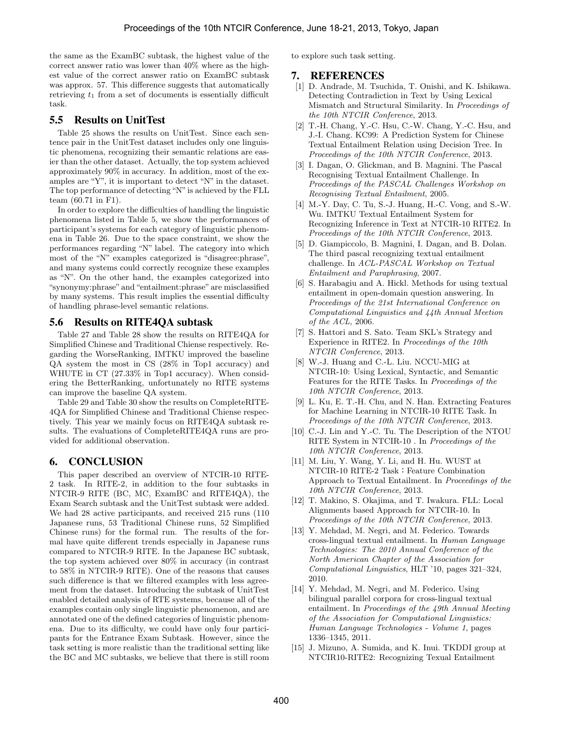the same as the ExamBC subtask, the highest value of the correct answer ratio was lower than 40% where as the highest value of the correct answer ratio on ExamBC subtask was approx. 57. This difference suggests that automatically retrieving *t*<sup>1</sup> from a set of documents is essentially difficult task.

### 5.5 Results on UnitTest

Table 25 shows the results on UnitTest. Since each sentence pair in the UnitTest dataset includes only one linguistic phenomena, recognizing their semantic relations are easier than the other dataset. Actually, the top system achieved approximately 90% in accuracy. In addition, most of the examples are "Y", it is important to detect "N" in the dataset. The top performance of detecting "N" is achieved by the FLL team (60.71 in F1).

In order to explore the difficulties of handling the linguistic phenomena listed in Table 5, we show the performances of participant's systems for each category of linguistic phenomena in Table 26. Due to the space constraint, we show the performances regarding "N" label. The category into which most of the "N" examples categorized is "disagree:phrase", and many systems could correctly recognize these examples as "N". On the other hand, the examples categorized into "synonymy:phrase" and "entailment:phrase" are misclassified by many systems. This result implies the essential difficulty of handling phrase-level semantic relations.

### 5.6 Results on RITE4QA subtask

Table 27 and Table 28 show the results on RITE4QA for Simplified Chinese and Traditional Chiense respectively. Regarding the WorseRanking, IMTKU improved the baseline QA system the most in CS (28% in Top1 accuracy) and WHUTE in CT (27.33% in Top1 accuracy). When considering the BetterRanking, unfortunately no RITE systems can improve the baseline QA system.

Table 29 and Table 30 show the results on CompleteRITE-4QA for Simplified Chinese and Traditional Chiense respectively. This year we mainly focus on RITE4QA subtask results. The evaluations of CompleteRITE4QA runs are provided for additional observation.

### 6. CONCLUSION

This paper described an overview of NTCIR-10 RITE-2 task. In RITE-2, in addition to the four subtasks in NTCIR-9 RITE (BC, MC, ExamBC and RITE4QA), the Exam Search subtask and the UnitTest subtask were added. We had 28 active participants, and received 215 runs (110 Japanese runs, 53 Traditional Chinese runs, 52 Simplified Chinese runs) for the formal run. The results of the formal have quite different trends especially in Japanese runs compared to NTCIR-9 RITE. In the Japanese BC subtask, the top system achieved over 80% in accuracy (in contrast to 58% in NTCIR-9 RITE). One of the reasons that causes such difference is that we filtered examples with less agreement from the dataset. Introducing the subtask of UnitTest enabled detailed analysis of RTE systems, because all of the examples contain only single linguistic phenomenon, and are annotated one of the defined categories of linguistic phenomena. Due to its difficulty, we could have only four participants for the Entrance Exam Subtask. However, since the task setting is more realistic than the traditional setting like the BC and MC subtasks, we believe that there is still room

to explore such task setting.

### 7. REFERENCES

- [1] D. Andrade, M. Tsuchida, T. Onishi, and K. Ishikawa. Detecting Contradiction in Text by Using Lexical Mismatch and Structural Similarity. In *Proceedings of the 10th NTCIR Conference*, 2013.
- [2] T.-H. Chang, Y.-C. Hsu, C.-W. Chang, Y.-C. Hsu, and J.-I. Chang. KC99: A Prediction System for Chinese Textual Entailment Relation using Decision Tree. In *Proceedings of the 10th NTCIR Conference*, 2013.
- [3] I. Dagan, O. Glickman, and B. Magnini. The Pascal Recognising Textual Entailment Challenge. In *Proceedings of the PASCAL Challenges Workshop on Recognising Textual Entailment*, 2005.
- [4] M.-Y. Day, C. Tu, S.-J. Huang, H.-C. Vong, and S.-W. Wu. IMTKU Textual Entailment System for Recognizing Inference in Text at NTCIR-10 RITE2. In *Proceedings of the 10th NTCIR Conference*, 2013.
- [5] D. Giampiccolo, B. Magnini, I. Dagan, and B. Dolan. The third pascal recognizing textual entailment challenge. In *ACL-PASCAL Workshop on Textual Entailment and Paraphrasing*, 2007.
- [6] S. Harabagiu and A. Hickl. Methods for using textual entailment in open-domain question answering. In *Proceedings of the 21st International Conference on Computational Linguistics and 44th Annual Meetion of the ACL*, 2006.
- [7] S. Hattori and S. Sato. Team SKL's Strategy and Experience in RITE2. In *Proceedings of the 10th NTCIR Conference*, 2013.
- [8] W.-J. Huang and C.-L. Liu. NCCU-MIG at NTCIR-10: Using Lexical, Syntactic, and Semantic Features for the RITE Tasks. In *Proceedings of the 10th NTCIR Conference*, 2013.
- [9] L. Ku, E. T.-H. Chu, and N. Han. Extracting Features for Machine Learning in NTCIR-10 RITE Task. In *Proceedings of the 10th NTCIR Conference*, 2013.
- [10] C.-J. Lin and Y.-C. Tu. The Description of the NTOU RITE System in NTCIR-10 . In *Proceedings of the 10th NTCIR Conference*, 2013.
- [11] M. Liu, Y. Wang, Y. Li, and H. Hu. WUST at NTCIR-10 RITE-2 Task:Feature Combination Approach to Textual Entailment. In *Proceedings of the 10th NTCIR Conference*, 2013.
- [12] T. Makino, S. Okajima, and T. Iwakura. FLL: Local Alignments based Approach for NTCIR-10. In *Proceedings of the 10th NTCIR Conference*, 2013.
- [13] Y. Mehdad, M. Negri, and M. Federico. Towards cross-lingual textual entailment. In *Human Language Technologies: The 2010 Annual Conference of the North American Chapter of the Association for Computational Linguistics*, HLT '10, pages 321–324, 2010.
- [14] Y. Mehdad, M. Negri, and M. Federico. Using bilingual parallel corpora for cross-lingual textual entailment. In *Proceedings of the 49th Annual Meeting of the Association for Computational Linguistics: Human Language Technologies - Volume 1*, pages 1336–1345, 2011.
- [15] J. Mizuno, A. Sumida, and K. Inui. TKDDI group at NTCIR10-RITE2: Recognizing Texual Entailment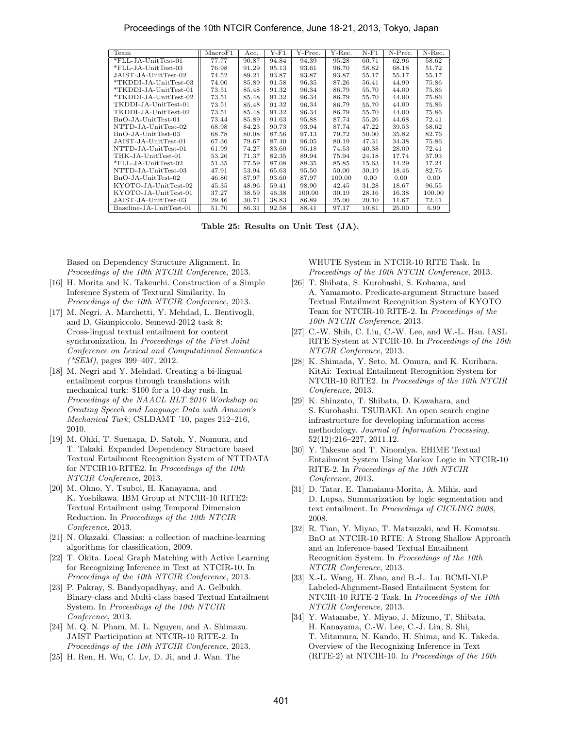#### Proceedings of the 10th NTCIR Conference, June 18-21, 2013, Tokyo, Japan

| Team                    | MacroF1 | Acc.  | Y-F1  | Y-Prec. | Y-Rec. | $N-F1$ | N-Prec. | N-Rec. |
|-------------------------|---------|-------|-------|---------|--------|--------|---------|--------|
| *FLL-JA-UnitTest-01     | 77.77   | 90.87 | 94.84 | 94.39   | 95.28  | 60.71  | 62.96   | 58.62  |
| *FLL-JA-UnitTest-03     | 76.98   | 91.29 | 95.13 | 93.61   | 96.70  | 58.82  | 68.18   | 51.72  |
| JAIST-JA-UnitTest-02    | 74.52   | 89.21 | 93.87 | 93.87   | 93.87  | 55.17  | 55.17   | 55.17  |
| *TKDDI-JA-UnitTest-03   | 74.00   | 85.89 | 91.58 | 96.35   | 87.26  | 56.41  | 44.90   | 75.86  |
| *TKDDI-JA-UnitTest-01   | 73.51   | 85.48 | 91.32 | 96.34   | 86.79  | 55.70  | 44.00   | 75.86  |
| *TKDDI-JA-UnitTest-02   | 73.51   | 85.48 | 91.32 | 96.34   | 86.79  | 55.70  | 44.00   | 75.86  |
| TKDDI-JA-UnitTest-01    | 73.51   | 85.48 | 91.32 | 96.34   | 86.79  | 55.70  | 44.00   | 75.86  |
| TKDDI-JA-UnitTest-02    | 73.51   | 85.48 | 91.32 | 96.34   | 86.79  | 55.70  | 44.00   | 75.86  |
| BnO-JA-UnitTest-01      | 73.44   | 85.89 | 91.63 | 95.88   | 87.74  | 55.26  | 44.68   | 72.41  |
| NTTD-JA-UnitTest-02     | 68.98   | 84.23 | 90.73 | 93.94   | 87.74  | 47.22  | 39.53   | 58.62  |
| BnO-JA-UnitTest-03      | 68.78   | 80.08 | 87.56 | 97.13   | 79.72  | 50.00  | 35.82   | 82.76  |
| JAIST-JA-UnitTest-01    | 67.36   | 79.67 | 87.40 | 96.05   | 80.19  | 47.31  | 34.38   | 75.86  |
| NTTD-JA-UnitTest-01     | 61.99   | 74.27 | 83.60 | 95.18   | 74.53  | 40.38  | 28.00   | 72.41  |
| THK-JA-UnitTest-01      | 53.26   | 71.37 | 82.35 | 89.94   | 75.94  | 24.18  | 17.74   | 37.93  |
| *FLL-JA-UnitTest-02     | 51.35   | 77.59 | 87.08 | 88.35   | 85.85  | 15.63  | 14.29   | 17.24  |
| NTTD-JA-UnitTest-03     | 47.91   | 53.94 | 65.63 | 95.50   | 50.00  | 30.19  | 18.46   | 82.76  |
| BnO-JA-UnitTest-02      | 46.80   | 87.97 | 93.60 | 87.97   | 100.00 | 0.00   | 0.00    | 0.00   |
| KYOTO-JA-UnitTest-02    | 45.35   | 48.96 | 59.41 | 98.90   | 42.45  | 31.28  | 18.67   | 96.55  |
| KYOTO-JA-UnitTest-01    | 37.27   | 38.59 | 46.38 | 100.00  | 30.19  | 28.16  | 16.38   | 100.00 |
| JAIST-JA-UnitTest-03    | 29.46   | 30.71 | 38.83 | 86.89   | 25.00  | 20.10  | 11.67   | 72.41  |
| Baseline-JA-UnitTest-01 | 51.70   | 86.31 | 92.58 | 88.41   | 97.17  | 10.81  | 25.00   | 6.90   |

**Table 25: Results on Unit Test (JA).**

Based on Dependency Structure Alignment. In *Proceedings of the 10th NTCIR Conference*, 2013.

- [16] H. Morita and K. Takeuchi. Construction of a Simple Inference System of Textural Similarity. In *Proceedings of the 10th NTCIR Conference*, 2013.
- [17] M. Negri, A. Marchetti, Y. Mehdad, L. Bentivogli, and D. Giampiccolo. Semeval-2012 task 8: Cross-lingual textual entailment for content synchronization. In *Proceedings of the First Joint Conference on Lexical and Computational Semantics (\*SEM)*, pages 399–407, 2012.
- [18] M. Negri and Y. Mehdad. Creating a bi-lingual entailment corpus through translations with mechanical turk: \$100 for a 10-day rush. In *Proceedings of the NAACL HLT 2010 Workshop on Creating Speech and Language Data with Amazon's Mechanical Turk*, CSLDAMT '10, pages 212–216, 2010.
- [19] M. Ohki, T. Suenaga, D. Satoh, Y. Nomura, and T. Takaki. Expanded Dependency Structure based Textual Entailment Recognition System of NTTDATA for NTCIR10-RITE2. In *Proceedings of the 10th NTCIR Conference*, 2013.
- [20] M. Ohno, Y. Tsuboi, H. Kanayama, and K. Yoshikawa. IBM Group at NTCIR-10 RITE2: Textual Entailment using Temporal Dimension Reduction. In *Proceedings of the 10th NTCIR Conference*, 2013.
- [21] N. Okazaki. Classias: a collection of machine-learning algorithms for classification, 2009.
- [22] T. Okita. Local Graph Matching with Active Learning for Recognizing Inference in Text at NTCIR-10. In *Proceedings of the 10th NTCIR Conference*, 2013.
- [23] P. Pakray, S. Bandyopadhyay, and A. Gelbukh. Binary-class and Multi-class based Textual Entailment System. In *Proceedings of the 10th NTCIR Conference*, 2013.
- [24] M. Q. N. Pham, M. L. Nguyen, and A. Shimazu. JAIST Participation at NTCIR-10 RITE-2. In *Proceedings of the 10th NTCIR Conference*, 2013.
- [25] H. Ren, H. Wu, C. Lv, D. Ji, and J. Wan. The

WHUTE System in NTCIR-10 RITE Task. In *Proceedings of the 10th NTCIR Conference*, 2013.

- [26] T. Shibata, S. Kurohashi, S. Kohama, and A. Yamamoto. Predicate-argument Structure based Textual Entailment Recognition System of KYOTO Team for NTCIR-10 RITE-2. In *Proceedings of the 10th NTCIR Conference*, 2013.
- [27] C.-W. Shih, C. Liu, C.-W. Lee, and W.-L. Hsu. IASL RITE System at NTCIR-10. In *Proceedings of the 10th NTCIR Conference*, 2013.
- [28] K. Shimada, Y. Seto, M. Omura, and K. Kurihara. KitAi: Textual Entailment Recognition System for NTCIR-10 RITE2. In *Proceedings of the 10th NTCIR Conference*, 2013.
- [29] K. Shinzato, T. Shibata, D. Kawahara, and S. Kurohashi. TSUBAKI: An open search engine infrastructure for developing information access methodology. *Journal of Information Processing*, 52(12):216–227, 2011.12.
- [30] Y. Takesue and T. Ninomiya. EHIME Textual Entailment System Using Markov Logic in NTCIR-10 RITE-2. In *Proceedings of the 10th NTCIR Conference*, 2013.
- [31] D. Tatar, E. Tamaianu-Morita, A. Mihis, and D. Lupsa. Summarization by logic segmentation and text entailment. In *Proceedings of CICLING 2008*, 2008.
- [32] R. Tian, Y. Miyao, T. Matsuzaki, and H. Komatsu. BnO at NTCIR-10 RITE: A Strong Shallow Approach and an Inference-based Textual Entailment Recognition System. In *Proceedings of the 10th NTCIR Conference*, 2013.
- [33] X.-L. Wang, H. Zhao, and B.-L. Lu. BCMI-NLP Labeled-Alignment-Based Entailment System for NTCIR-10 RITE-2 Task. In *Proceedings of the 10th NTCIR Conference*, 2013.
- [34] Y. Watanabe, Y. Miyao, J. Mizuno, T. Shibata, H. Kanayama, C.-W. Lee, C.-J. Lin, S. Shi, T. Mitamura, N. Kando, H. Shima, and K. Takeda. Overview of the Recognizing Inference in Text (RITE-2) at NTCIR-10. In *Proceedings of the 10th*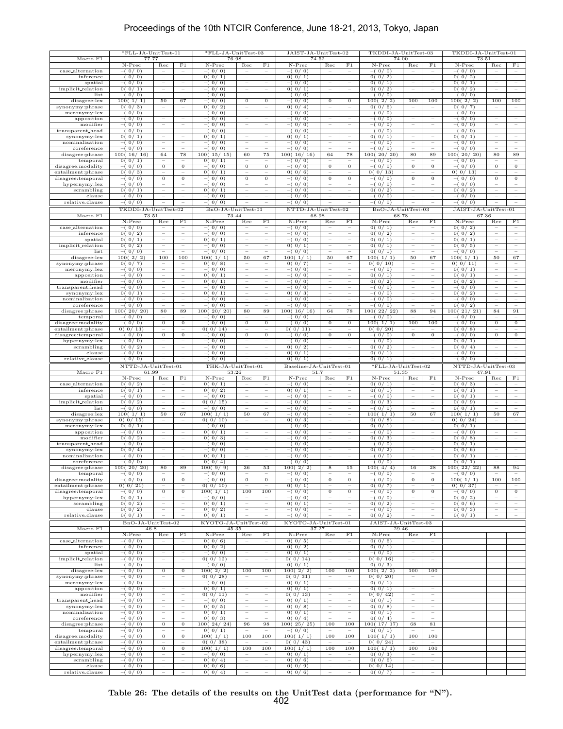### Proceedings of the 10th NTCIR Conference, June 18-21, 2013, Tokyo, Japan

|                                        | *FLL-JA-UnitTest-01             |                                                      |                                                               | *FLL-JA-UnitTest-03            |                                                      |                                                      | JAIST-JA-UnitTest-02              |                                                                                  |                                                      | TKDDI-JA-UnitTest-03          |                                                        |                                                               | TKDDI-JA-UnitTest-01            |                                               |                                                      |
|----------------------------------------|---------------------------------|------------------------------------------------------|---------------------------------------------------------------|--------------------------------|------------------------------------------------------|------------------------------------------------------|-----------------------------------|----------------------------------------------------------------------------------|------------------------------------------------------|-------------------------------|--------------------------------------------------------|---------------------------------------------------------------|---------------------------------|-----------------------------------------------|------------------------------------------------------|
| Macro F1                               | 77.77<br>N-Prec                 | Rec                                                  | F1                                                            | 76.98<br>N-Prec                | Rec                                                  | F1                                                   | 74.52<br>N-Prec                   | Rec                                                                              | F1                                                   | 74.00<br>N-Prec               | Rec                                                    | F1                                                            | 73.51<br>N-Prec                 | Rec                                           | $_{\rm F1}$                                          |
| case_alternation                       | $-(0/0)$                        |                                                      | Ξ                                                             | $-(0/0)$                       |                                                      | $\overline{\phantom{m}}$                             | $-(0/0)$                          |                                                                                  | ÷                                                    | $-(0/0)$                      |                                                        | $\overline{\phantom{a}}$                                      | $-(0/0)$                        |                                               |                                                      |
| inference<br>spatial                   | $-(0/0)$<br>$-(0/0)$            | $\hspace{1.0cm} - \hspace{1.0cm}$                    | $\qquad \qquad -$                                             | 0(0/1)<br>$-(0/0)$             | $\qquad \qquad -$                                    | -                                                    | 0(0/1)<br>$-(0/0)$                | $\qquad \qquad -$                                                                | $\qquad \qquad -$                                    | 0(0/2)<br>0(0/1)              | $\qquad \qquad -$                                      | $\qquad \qquad -$                                             | 0(0/2)<br>0(0/1)                | -                                             | $\hspace{1.0cm} - \hspace{1.0cm}$                    |
| implicit_relation                      | 0(0/1)                          | $\overline{\phantom{m}}$                             | $\qquad \qquad -$                                             | $-(0/0)$                       | $\overline{\phantom{m}}$                             | $\overline{\phantom{m}}$                             | 0(0/1)                            | $\overline{\phantom{m}}$                                                         | $\overline{\phantom{m}}$                             | 0(0/2)                        | $\overline{\phantom{m}}$                               | $\overline{\phantom{m}}$                                      | 0(0/2)                          | $\qquad \qquad -$                             | $\overline{\phantom{a}}$                             |
| list                                   | $-(0/0)$                        | $\overline{\phantom{a}}$<br>50                       | $\overline{\phantom{m}}$<br>67                                | $-(0/0)$                       | $\overline{\phantom{a}}$<br>$\overline{0}$           | $\qquad \qquad -$<br>$\overline{0}$                  | $-(0/0)$                          | $\overline{\phantom{m}}$<br>$\overline{0}$                                       | $\overline{\phantom{m}}$<br>$\overline{0}$           | $-(0/0)$                      | $\overline{\phantom{a}}$<br>100                        | $\overline{\phantom{a}}$<br>100                               | $-(0/0)$                        | $\overline{\phantom{a}}$<br>100               | 100                                                  |
| disagree:lex<br>synonymy:phrase        | 100(1/1)<br>0(0/3)              | $\sim$                                               | ÷                                                             | $-(0/0)$<br>0(0/2)             | ÷                                                    | ÷                                                    | $-(0/0)$<br>0(0/4)                | ÷                                                                                |                                                      | 100(2/2)<br>0(0/6)            |                                                        |                                                               | 100(2/2)<br>0(0/7)              |                                               |                                                      |
| meronymy:lex                           | $-(0/0)$                        | $\sim$                                               | $\overline{\phantom{a}}$                                      | $-(0/0)$                       | $\sim$                                               | $\equiv$                                             | $-(0/0)$                          | $\overline{\phantom{a}}$                                                         | $\overline{\phantom{a}}$                             | $-(0/0)$                      | $\equiv$                                               | $\equiv$                                                      | $-(0/0)$                        | $\equiv$                                      | $\overline{\phantom{a}}$                             |
| apposition<br>modifier                 | $-(0/0)$<br>$-(0/0)$            | -<br>$\hspace{0.1mm}-\hspace{0.1mm}$                 | $\overline{\phantom{0}}$<br>$\hspace{1.0cm} - \hspace{1.0cm}$ | $-(0/0)$<br>$-(0/0)$           | $\qquad \qquad -$<br>$\hspace{0.1mm}-\hspace{0.1mm}$ | -<br>$\qquad \qquad -$                               | $-(0/0)$<br>$-(0/0)$              | $\hspace{1.0cm} - \hspace{1.0cm}$<br>$\overline{\phantom{m}}$                    | -<br>$\overline{\phantom{m}}$                        | $-(0/0)$<br>$-(0/0)$          | $\qquad \qquad -$<br>$\hspace{1.0cm} - \hspace{1.0cm}$ | -<br>$\overline{\phantom{m}}$                                 | $-(0/0)$<br>$-(0/0)$            | $\overline{\phantom{0}}$<br>$\qquad \qquad -$ | -<br>$\hspace{0.1mm}-\hspace{0.1mm}$                 |
| transparent_head                       | $-(0/0)$                        | $\overline{\phantom{a}}$                             | $\overline{\phantom{a}}$                                      | $-(0/0)$                       | $\overline{\phantom{a}}$                             | $\overline{\phantom{a}}$                             | $-(0/0)$                          | $\overline{\phantom{a}}$                                                         | $\overline{\phantom{m}}$                             | $-(0/0)$                      | $\overline{\phantom{a}}$                               | $\overline{\phantom{a}}$                                      | $-(0/0)$                        | $\overline{\phantom{a}}$                      | $\hspace{0.1mm}-\hspace{0.1mm}$                      |
| synonymy:lex<br>nominalization         | 0(0/1)<br>$-(0/0)$              | $\overline{\phantom{a}}$<br>Ξ                        | $\qquad \qquad -$<br>Ξ                                        | 0(0/1)<br>$-(0/0)$             | $\overline{\phantom{m}}$<br>Ξ                        | $\overline{\phantom{m}}$<br>Ξ                        | 0(0/1)<br>$-(0/0)$                | $\qquad \qquad -$<br>Ξ                                                           | $\qquad \qquad -$<br>Ξ                               | 0(0/1)<br>$-(0/0)$            | $\hspace{1.0cm} - \hspace{1.0cm}$<br>Ξ                 | $\hspace{1.0cm} - \hspace{1.0cm}$<br>Ξ                        | 0(0/1)<br>$-(0/0)$              | $\qquad \qquad -$<br>Ξ                        | $\overline{\phantom{a}}$<br>Ξ                        |
| coreference                            | $-(0/0)$                        | $\sim$                                               | $\equiv$                                                      | $-(0/0)$                       | $\sim$                                               | $\equiv$                                             | $-(0/0)$                          | $\overline{\phantom{m}}$                                                         | $\overline{\phantom{a}}$                             | $-(0/0)$                      | $\overline{\phantom{a}}$                               | $\overline{\phantom{a}}$                                      | $-(0/0)$                        | ÷                                             | $\overline{\phantom{a}}$                             |
| disagree:phrase                        | 100(16/16)                      | 64                                                   | 78                                                            | 100(15/15)                     | 60                                                   | 75                                                   | 100(16/16)                        | 64                                                                               | 78                                                   | 100(20/20)                    | 80                                                     | 89                                                            | 100(20/20)                      | 80                                            | 89                                                   |
| temporal<br>disagree:modality          | 0(0/1)<br>$-(0/0)$              | $\qquad \qquad -$<br>$\mathbf{0}$                    | -<br>$\mathbf{0}$                                             | 0(0/1)<br>$-(0/0)$             | -<br>$\mathbf{0}$                                    | $\overline{\phantom{0}}$<br>$\boldsymbol{0}$         | $-(0/0)$<br>$-(0/0)$              | -<br>$\overline{0}$                                                              | $\boldsymbol{0}$                                     | $-(0/0)$<br>$-(0/0)$          | $\boldsymbol{0}$                                       | ÷<br>$\mathbf{0}$                                             | $-(0/0)$<br>$-(0/0)$            | ٠<br>$\mathbf{0}$                             | $\mathbf{0}$                                         |
| entailment:phrase                      | 0(0/3)                          |                                                      |                                                               | 0(0/1)                         |                                                      |                                                      | 0(0/6)                            | $\qquad \qquad -$                                                                |                                                      | 0(0/13)                       |                                                        |                                                               | 0(0/13)                         |                                               |                                                      |
| disagree:temporal<br>hypernymy:lex     | $-(0/0)$<br>$-(0/0)$            | $\overline{0}$<br>$\sim$                             | $\overline{0}$<br>Ξ                                           | $-(0/0)$<br>$-(0/0)$           | $\overline{0}$<br>Ξ                                  | $\overline{0}$<br>÷                                  | $-(0/0)$<br>$-(0/0)$              | $\overline{0}$<br>Ξ                                                              | $\overline{0}$                                       | $-(0/0)$<br>$-(0/0)$          | $\overline{0}$<br>÷                                    | $\overline{0}$<br>÷                                           | $-(0/0)$<br>$-(0/0)$            | $\overline{0}$<br>L.                          | $\overline{0}$<br>L.                                 |
| scrambling                             | 0(0/1)                          |                                                      |                                                               | 0(0/1)                         |                                                      |                                                      | $-(0/0)$                          |                                                                                  |                                                      | 0(0/2)                        |                                                        |                                                               | 0(0/2)                          |                                               |                                                      |
| clause<br>relative_clause              | $-(0/0)$<br>$-(0/0)$            |                                                      | $\overline{\phantom{0}}$                                      | $-(0/0)$<br>$-(0/0)$           | $\qquad \qquad -$                                    | $\qquad \qquad -$                                    | $-(0/0)$<br>$-(0/0)$              | ÷                                                                                |                                                      | $-(0/0)$<br>$-(0/0)$          |                                                        | Ĭ.                                                            | $-(0/0)$<br>$-(0/0)$            | Ĭ.                                            |                                                      |
|                                        | TKDDI-JA-UnitTest-02            |                                                      |                                                               | BnO-JA-UnitTest-01             |                                                      |                                                      | NTTD-JA-UnitTest-02               |                                                                                  |                                                      | BnO-JA-UnitTest-03            |                                                        |                                                               | JAIST-JA-UnitTest-01            |                                               |                                                      |
| Macro F1                               | 73.51                           |                                                      |                                                               | 73.44                          |                                                      |                                                      | 68.98                             |                                                                                  |                                                      | 68.78                         |                                                        |                                                               | 67.36                           |                                               |                                                      |
| case_alternation                       | N-Prec<br>$-(0/0)$              | Rec                                                  | F1                                                            | $N-Prec$<br>$-(0/0)$           | $_{\rm Rec}$                                         | F1                                                   | N-Prec<br>$-(0/0)$                | $_{\rm Rec}$                                                                     | F1                                                   | N-Prec<br>0(0/1)              | Rec                                                    | $_{\rm F1}$                                                   | N-Prec<br>0(0/2)                | Rec                                           | F1                                                   |
| inference                              | 0(0/2)                          | Ξ                                                    | Ξ                                                             | $-(0/0)$                       | Ξ                                                    | Ξ                                                    | $-(0/0)$                          | Ξ                                                                                | Ξ                                                    | 0(0/2)                        | Ξ                                                      | Ξ                                                             | 0(0/2)                          | Ξ                                             | $\equiv$                                             |
| spatial<br>implicit_relation           | 0(0/1)<br>0(0/2)                | $\sim$                                               | $\sim$                                                        | 0(0/1)<br>$-(0/0)$             | $\overline{\phantom{a}}$                             | $\frac{1}{2}$                                        | $-(0/0)$<br>0(0/1)                | $\sim$                                                                           | $\sim$                                               | 0(0/1)<br>0(0/1)              | $\sim$                                                 | $\equiv$                                                      | 0(0/1)<br>0(0/5)                | $\equiv$                                      | $\sim$                                               |
| list                                   | $-(0/0)$                        |                                                      |                                                               | $-(0/0)$                       | -                                                    |                                                      | $-(0/0)$                          |                                                                                  |                                                      | 0(0/1)                        |                                                        |                                                               | $-(0/0)$                        |                                               |                                                      |
| disagree:lex                           | 100(2/2)                        | 100                                                  | 100                                                           | 100(1/1)                       | 50                                                   | 67                                                   | 100(1/1)                          | 50                                                                               | 67                                                   | $\frac{100(1/1)}{1}$          | 50                                                     | 67                                                            | 100(1/1)                        | 50                                            | 67                                                   |
| synonymy:phrase<br>meronymy:lex        | 0(0/7)<br>$-(0/0)$              | $\overline{\phantom{a}}$                             | $\qquad \qquad -$<br>Ξ                                        | 0(0/8)<br>$-(0/0)$             | $\hspace{1.0cm} - \hspace{1.0cm}$<br>Ξ               | $\hspace{1.0cm} - \hspace{1.0cm}$<br>Ξ               | 0(0/7)<br>$-(0/0)$                | $\qquad \qquad -$<br>Ξ                                                           | $\overline{\phantom{0}}$<br>Ξ                        | 0(0/10)<br>$-(0/0)$           | Ξ                                                      | $\overline{\phantom{0}}$<br>÷                                 | 0(0/11)<br>0(0/1)               | $\overline{\phantom{a}}$<br>Ξ                 | $\overline{\phantom{a}}$                             |
| apposition                             | $-(0/0)$                        | $\overline{\phantom{a}}$                             | Ξ                                                             | 0(0/1)                         | Ξ                                                    | Ξ                                                    | $-(0/0)$                          | Ξ                                                                                | Ξ                                                    | 0(0/1)                        | Ξ                                                      | Ξ                                                             | 0(0/1)                          | Ξ                                             | -                                                    |
| modifier<br>transparent_head           | $-(0/0)$<br>$-(0/0)$            | $\overline{\phantom{a}}$                             | $\qquad \qquad -$                                             | 0(0/1)<br>$-(0/0)$             | $\bar{ }$                                            | $\qquad \qquad -$<br>$\overline{\phantom{0}}$        | $-(0/0)$<br>$-(0/0)$              | $\bar{ }$                                                                        | $\qquad \qquad -$                                    | 0(0/2)<br>$-(0/0)$            | $\overline{\phantom{0}}$                               | $\overline{\phantom{a}}$<br>$\hspace{1.0cm} - \hspace{1.0cm}$ | 0(0/2)<br>$-(0/0)$              | $\bar{ }$                                     | $\overline{\phantom{a}}$                             |
| synonymy:lex                           | 0(0/1)                          | $\hspace{0.1mm}-\hspace{0.1mm}$                      | $\qquad \qquad -$                                             | 0(0/1)                         | $\hspace{0.1mm}-\hspace{0.1mm}$                      | $\overline{\phantom{m}}$                             | 0(0/3)                            | $\overline{\phantom{m}}$                                                         | $\qquad \qquad -$                                    | $-(0/0)$                      | $\qquad \qquad -$                                      | $\overline{\phantom{m}}$                                      | 0(0/2)                          | $\overline{\phantom{0}}$                      | $\overline{\phantom{a}}$                             |
| nominalization<br>coreference          | $-(0/0)$<br>$-(0/0)$            | $\overline{\phantom{a}}$<br>$\overline{\phantom{a}}$ | $\overline{\phantom{m}}$<br>÷                                 | $-(0/0)$<br>$-(0/0)$           | $\hspace{0.1mm}-\hspace{0.1mm}$<br>÷,                | $\overline{\phantom{m}}$<br>÷                        | $-(0/0)$<br>$-(0/0)$              | $\overline{\phantom{m}}$<br>÷                                                    | $\overline{\phantom{m}}$<br>÷.                       | $-(0/0)$<br>$-(0/0)$          | $\overline{\phantom{m}}$<br>÷                          | $\overline{\phantom{m}}$<br>÷                                 | $-(0/0)$<br>0(0/2)              | $\overline{\phantom{m}}$<br>÷                 | $\overline{\phantom{a}}$<br>$\sim$                   |
| disagree:phrase                        | 100(20/20)                      | 80                                                   | 89                                                            | 100(20/20)                     | 80                                                   | 89                                                   | 100(16/16)                        | 64                                                                               | 78                                                   | 100(22/22)                    | 88                                                     | 94                                                            | 100(21/21)                      | 84                                            | 91                                                   |
| temporal<br>disagree:modality          | $-(0/0)$<br>$-(0/0)$            | $\overline{0}$                                       | $\overline{0}$                                                | $-(0/0)$<br>(0/0)              | $\overline{0}$                                       | $\overline{0}$                                       | $-(0/0)$<br>$-(0/0)$              | $\overline{0}$                                                                   | $\overline{0}$                                       | $-(0/0)$<br>100(1/1)          | 100                                                    | 100                                                           | $-(0/0)$<br>$-(0/0)$            | $\overline{0}$                                | $\overline{0}$                                       |
| entailment:phrase                      | 0(0/13)                         | $\overline{\phantom{m}}$                             | $\overline{\phantom{m}}$                                      | 0(0/14)                        | $\qquad \qquad -$                                    | $\qquad \qquad -$                                    | 0(0/11)                           | $\overline{\phantom{m}}$                                                         | $\overline{\phantom{0}}$                             | 0(0/20)                       | $\overline{\phantom{a}}$                               | $\overline{\phantom{a}}$                                      | 0(0/8)                          | ٠                                             | $\sim$                                               |
| disagree:temporal<br>hypernymy:lex     | $-(0/0)$<br>$-(0/0)$            | $\boldsymbol{0}$<br>$\overline{\phantom{m}}$         | $\overline{0}$<br>$\qquad \qquad -$                           | $-(0/0)$<br>$-(0/0)$           | $\overline{0}$<br>$\overline{\phantom{m}}$           | $\boldsymbol{0}$<br>$\qquad \qquad -$                | $-(0/0)$<br>$-(0/0)$              | $\overline{0}$<br>$\overline{\phantom{m}}$                                       | $\boldsymbol{0}$<br>$\overline{\phantom{m}}$         | $-(0/0)$<br>$-(0/0)$          | $\boldsymbol{0}$<br>$\overline{\phantom{m}}$           | $\mathbf{0}$<br>$\overline{\phantom{m}}$                      | $-(0/0)$<br>0(0/1)              | $\mathbf{0}$<br>$\overline{a}$                | $\boldsymbol{0}$<br>$\overline{\phantom{a}}$         |
| scrambling                             | 0(0/2)                          | $\overline{\phantom{a}}$                             | Ξ                                                             | $-(0/0)$                       | Ξ                                                    | Ξ                                                    | 0(0/2)                            | ÷                                                                                | Ξ                                                    | 0(0/2)                        | Ξ                                                      | Ξ                                                             | 0(0/4)                          | ÷                                             | Ξ                                                    |
| clause                                 | $-(0/0)$                        | $\sim$                                               | Ξ                                                             | $-(0/0)$                       | $\sim$                                               | $\overline{\phantom{m}}$                             | 0(0/1)                            | ÷                                                                                | $\equiv$                                             | 0(0/1)                        | Ξ                                                      | ÷                                                             | $-(0/0)$                        | ÷                                             | $\sim$                                               |
|                                        |                                 |                                                      |                                                               |                                |                                                      |                                                      |                                   |                                                                                  |                                                      |                               |                                                        |                                                               |                                 |                                               |                                                      |
| relative_clause                        | $-(0/0)$<br>NTTD-JA-UnitTest-01 |                                                      |                                                               | $-(0/0)$<br>THK-JA-UnitTest-01 |                                                      |                                                      | 0(0/1)<br>Baseline-JA-UnitTest-01 |                                                                                  |                                                      | 0(0/1)<br>*FLL-JA-UnitTest-02 |                                                        |                                                               | $-(0/0)$<br>NTTD-JA-UnitTest-03 |                                               |                                                      |
| Macro F1                               | 61.99                           |                                                      |                                                               | 53.26                          |                                                      |                                                      | 51.7                              |                                                                                  |                                                      | 51.35                         |                                                        |                                                               | 47.91                           |                                               |                                                      |
| case_alternation                       | N-Prec<br>0(0/2)                | Rec                                                  | F1<br>$\hspace{1.0cm} - \hspace{1.0cm}$                       | $N-Prec$<br>0(0/1)             | Rec<br>$\hspace{1.0cm} - \hspace{1.0cm}$             | F1<br>$\qquad \qquad -$                              | $N-Prec$<br>$-(0/0)$              | Rec<br>$\hspace{1.0cm} \rule{1.5cm}{0.15cm} \hspace{1.0cm} \rule{1.5cm}{0.15cm}$ | F <sub>1</sub><br>$\overline{\phantom{0}}$           | $N-Prec$<br>0(0/1)            | Rec<br>۰                                               | $_{\rm F1}$<br>$\overline{\phantom{a}}$                       | $N-Prec$<br>0(0/3)              | Rec<br>$\overline{\phantom{a}}$               | $_{\rm F1}$<br>$\overline{\phantom{m}}$              |
| inference                              | 0(0/1)                          | $\overline{\phantom{m}}$                             | $\overline{\phantom{a}}$                                      | 0(0/2)                         | $\hspace{0.1mm}-\hspace{0.1mm}$                      | $\overline{\phantom{a}}$                             | 0(0/1)                            | $\overline{\phantom{m}}$                                                         | $\overline{\phantom{m}}$                             | 0(0/1)                        | $\qquad \qquad -$                                      | $\overline{\phantom{m}}$                                      | 0(0/1)                          | $\overline{\phantom{a}}$                      | $\hspace{0.1mm}-\hspace{0.1mm}$                      |
| spatial<br>implicit_relation           | $-(0/0)$<br>0(0/2)              | $\overline{\phantom{a}}$<br>$\overline{\phantom{a}}$ | $\overline{\phantom{a}}$<br>Ξ                                 | $-(0/0)$<br>0(0/15)            | $\overline{\phantom{a}}$<br>Ξ                        | $\overline{\phantom{a}}$<br>Ξ                        | $-(0/0)$<br>$-(0/0)$              | $\overline{\phantom{a}}$<br>$\overline{\phantom{a}}$                             | $\qquad \qquad -$<br>Ξ                               | $-(0/0)$<br>0(0/3)            | $\overline{\phantom{a}}$<br>Ξ                          | $\hspace{1.0cm} - \hspace{1.0cm}$<br>Ξ                        | 0(0/1)<br>0(0/9)                | $\overline{\phantom{a}}$<br>Ξ                 | $\overline{\phantom{a}}$<br>Ξ                        |
| list                                   | $-(0/0)$                        | $\sim$                                               | $\equiv$                                                      | $-(0/0)$                       | $\equiv$                                             | $\equiv$                                             | $-(0/0)$                          | $\overline{\phantom{m}}$                                                         | $\overline{\phantom{m}}$                             | $-(0/0)$                      | $\equiv$                                               | $\overline{\phantom{a}}$                                      | 0(0/1)                          | ÷                                             | $\overline{\phantom{a}}$                             |
| disagree:lex                           | 100(1/1)                        | 50<br>$\overline{\phantom{a}}$                       | 67<br>$\overline{\phantom{m}}$                                | 100(1/1)<br>0(0/10)            | 50                                                   | 67<br>$\overline{\phantom{a}}$                       | $-(0/0)$                          | $\overline{\phantom{m}}$                                                         | $\qquad \qquad -$                                    | 100(1/1)                      | 50<br>$\hspace{1.0cm} - \hspace{1.0cm}$                | 67<br>$\hspace{1.0cm} - \hspace{1.0cm}$                       | 100(1/1)                        | 50<br>$\qquad \qquad -$                       | 67<br>$\overline{\phantom{a}}$                       |
| synonymy:phrase<br>meronymy:lex        | 0(0/15)<br>0(0/1)               | $\hspace{0.1mm}-\hspace{0.1mm}$                      | $\overline{\phantom{a}}$                                      | $-(0/0)$                       | $\overline{\phantom{a}}$<br>$\overline{\phantom{a}}$ | $\overline{\phantom{a}}$                             | 0(0/3)<br>$-(0/0)$                | $\overline{\phantom{a}}$                                                         | $\overline{\phantom{a}}$                             | 0(0/8)<br>0(0/1)              | $\overline{\phantom{a}}$                               | $\hspace{1.0cm} - \hspace{1.0cm}$                             | 0(0/24)<br>0(0/1)               | $\overline{\phantom{a}}$                      | $\overline{\phantom{a}}$                             |
| apposition<br>modifier                 | $-(0/0)$<br>0(0/2)              | $\overline{\phantom{a}}$<br>$\equiv$                 | $\overline{\phantom{a}}$<br>Ξ                                 | 0(0/1)<br>0(0/3)               | $\overline{\phantom{a}}$<br>Ξ                        | $\overline{\phantom{a}}$<br>$\overline{\phantom{0}}$ | $-(0/0)$<br>$-(0/0)$              | $\overline{\phantom{a}}$<br>Ξ                                                    | $\overline{\phantom{m}}$<br>Ξ                        | $-(0/0)$<br>0(0/3)            | $\hspace{1.0cm} - \hspace{1.0cm}$<br>Ξ                 | $\overline{\phantom{m}}$<br>Ξ                                 | $-(0/0)$                        | $\overline{\phantom{a}}$<br>Ξ                 | $\overline{\phantom{a}}$<br>$\overline{\phantom{m}}$ |
| transparent_head                       | $-(0/0)$                        | $\sim$                                               | Ξ                                                             | $-(0/0)$                       | Ξ                                                    | Ξ                                                    | $-(0/0)$                          | $\sim$                                                                           | $\sim$                                               | $-(0/0)$                      | Ξ                                                      | $\equiv$                                                      | 0(0/8)<br>0(0/1)                | Ξ                                             | Ξ                                                    |
| synonymy:lex                           | 0(0/4)                          | $\overline{\phantom{0}}$                             | $\overline{\phantom{0}}$                                      | $-(0/0)$                       | $\qquad \qquad -$                                    |                                                      | $-(0/0)$                          | $\overline{\phantom{0}}$                                                         |                                                      | 0(0/2)                        |                                                        |                                                               | 0(0/6)                          |                                               |                                                      |
| nominalization<br>coreference          | $-(0/0)$<br>$-(0/0)$            |                                                      |                                                               | 0(0/1)<br>0(0/4)               |                                                      | $\qquad \qquad -$                                    | $-(0/0)$<br>$-(0/0)$              |                                                                                  |                                                      | $-(0/0)$<br>$-(0/0)$          | $\qquad \qquad -$                                      | $\overline{\phantom{0}}$                                      | 0(0/1)<br>0(0/1)                | $\overline{\phantom{0}}$                      |                                                      |
| disagree:phrase                        | 100(20/20)                      | 80                                                   | 89<br>÷                                                       | 100(9/9)                       | 36<br>÷                                              | 53<br>÷                                              | 100(2/2)                          | 8<br>÷                                                                           | 15                                                   | 100(4/4)                      | 16                                                     | 28                                                            | 100(22/22)                      | 88                                            | 94                                                   |
| temporal<br>disagree:modality          | $-(0/0)$<br>$-(0/0)$            | $\overline{0}$                                       | $\overline{0}$                                                | $-(0/0)$<br>$-(0/0)$           | $\overline{0}$                                       | $\overline{0}$                                       | $-(0/0)$<br>$-(0/0)$              | $\overline{0}$                                                                   | $\overline{0}$                                       | $-(0/0)$<br>$-(0/0)$          | $\overline{0}$                                         | $\overline{0}$                                                | $-(0/0)$<br>100(1/1)            | 100                                           | 100                                                  |
| entailment:phrase                      | 0(0/21)                         |                                                      | ÷                                                             | 0(0/10)                        | $\sim$                                               |                                                      | 0(0/1)                            |                                                                                  |                                                      | 0(0/7)                        |                                                        |                                                               | 0(0/37)                         |                                               |                                                      |
| disagree:temporal<br>hypernymy:lex     | $-(0/0)$<br>0(0/1)              | $\overline{0}$<br>$\hspace{1.0cm} - \hspace{1.0cm}$  | $\overline{0}$<br>$\overline{\phantom{m}}$                    | 100(1/1)<br>$-(0/0)$           | 100<br>$\overline{\phantom{a}}$                      | 100<br>$\overline{\phantom{a}}$                      | $-(0/0)$<br>$-(0/0)$              | $\overline{0}$<br>$\qquad \qquad -$                                              | $\overline{0}$<br>$\overline{\phantom{m}}$           | $-(0/0)$<br>$-(0/0)$          | $\overline{0}$<br>$\qquad \qquad -$                    | $\overline{0}$<br>$\qquad \qquad -$                           | $-(0/0)$<br>0(0/2)              | $\overline{0}$<br>$\qquad \qquad -$           | $\mathbf{0}$<br>$\overline{\phantom{a}}$             |
| scrambling                             | 0(0/2)                          | $\overline{\phantom{a}}$                             | $\overline{\phantom{a}}$                                      | 0(0/1)                         | $\overline{\phantom{a}}$                             | $\overline{\phantom{a}}$                             | 0(0/1)                            | $\overline{\phantom{a}}$                                                         | $\overline{\phantom{m}}$                             | 0(0/2)                        | $\overline{\phantom{a}}$                               | $\hspace{1.0cm} - \hspace{1.0cm}$                             | 0(0/6)                          | $\overline{\phantom{a}}$                      | $\overline{\phantom{m}}$                             |
| clause<br>relative_clause              | 0(0/2)<br>0(0/1)                | $\overline{\phantom{a}}$                             | ÷                                                             | 0(0/2)<br>0(0/1)               | $\overline{\phantom{a}}$                             | ÷                                                    | $-(0/0)$<br>$-(0/0)$              | ÷                                                                                | ÷.                                                   | $-(0/0)$<br>0(0/2)            | ÷                                                      | ÷                                                             | 0(0/3)<br>0(0/1)                | $\hspace{1.0cm} - \hspace{1.0cm}$<br>÷        |                                                      |
|                                        | $BnO-JA-UnitTest-02$            |                                                      |                                                               | KYOTO-JA-UnitTest-02           |                                                      |                                                      | KYOTO-JA-UnitTest-01              |                                                                                  |                                                      | JAIST-JA-UnitTest-03          |                                                        |                                                               |                                 |                                               |                                                      |
| Macro F1                               | 46.8                            |                                                      |                                                               | 45.35                          |                                                      |                                                      | 37.27                             |                                                                                  |                                                      | 29.46                         |                                                        | F1                                                            |                                 |                                               |                                                      |
| case_alternation                       | $N-Prec$<br>$-(0/0)$            | Rec                                                  | F1                                                            | $N-Prec$<br>0(0/6)             | Rec                                                  | F1                                                   | N-Prec<br>0(0/5)                  | Rec                                                                              | F1                                                   | $N-Prec$<br>0(0/6)            | Rec                                                    |                                                               |                                 |                                               |                                                      |
| inference                              | $-(0/0)$                        | $\bar{ }$                                            | $\qquad \qquad -$                                             | 0(0/2)                         | $\qquad \qquad -$                                    | $\hspace{1.0cm} - \hspace{1.0cm}$                    | 0(0/2)                            | $\qquad \qquad -$                                                                | $\qquad \qquad -$<br>$\overline{\phantom{m}}$        | 0(0/1)                        | $\overline{\phantom{0}}$                               | Ξ<br>$\overline{\phantom{a}}$                                 |                                 |                                               |                                                      |
| spatial<br>implicit_relation           | $-(0/0)$<br>$-(0/0)$            | $\overline{\phantom{a}}$<br>$\overline{\phantom{a}}$ | $\overline{\phantom{a}}$<br>$\overline{\phantom{a}}$          | $-(0/0)$<br>0(0/12)            | $\overline{\phantom{a}}$<br>$\overline{\phantom{a}}$ | -<br>$\overline{\phantom{a}}$                        | 0(0/1)<br>0(0/14)                 | $\overline{\phantom{a}}$<br>$\overline{\phantom{a}}$                             | $\overline{\phantom{m}}$                             | $-(0/0)$<br>0(0/16)           | $\overline{\phantom{a}}$<br>$\overline{\phantom{a}}$   | $\overline{\phantom{a}}$                                      |                                 |                                               |                                                      |
| list                                   | $-(0/0)$                        | $\overline{\phantom{a}}$                             | ÷                                                             | $-(0/0)$                       | $\overline{\phantom{a}}$                             | ÷                                                    | 0(0/1)                            | $\overline{\phantom{a}}$                                                         | $\sim$                                               | 0(0/3)                        | ÷                                                      | ÷                                                             |                                 |                                               |                                                      |
| disagree:lex<br>synonymy:phrase        | $-(0/0)$<br>$-(0/0)$            | $\overline{0}$<br>$\equiv$                           | $\overline{0}$<br>$\equiv$                                    | 100(2/2)<br>0(0/28)            | 100                                                  | 100                                                  | 100(2/2)<br>0(0/31)               | 100                                                                              | 100                                                  | 100(2/2)<br>0(0/20)           | 100                                                    | 100                                                           |                                 |                                               |                                                      |
| meronymy:lex                           | $-(0/0)$                        | $\overline{\phantom{a}}$                             |                                                               | $-(0/0)$                       | $\qquad \qquad -$                                    |                                                      | 0(0/1)                            | $\overline{\phantom{a}}$                                                         |                                                      | 0(0/1)                        | $\qquad \qquad -$                                      |                                                               |                                 |                                               |                                                      |
| apposition<br>modifier                 | $-(0/0)$<br>$-(0/0)$            | $\overline{\phantom{m}}$<br>$\overline{\phantom{a}}$ | $\overline{\phantom{m}}$<br>$\overline{\phantom{a}}$          | 0(0/1)<br>0(0/11)              | $\overline{\phantom{a}}$<br>$\overline{\phantom{m}}$ | $\qquad \qquad -$<br>$\overline{\phantom{a}}$        | 0(0/1)<br>0(0/13)                 | $\overline{\phantom{m}}$<br>$\overline{\phantom{a}}$                             | $\overline{\phantom{m}}$<br>$\overline{\phantom{a}}$ | 0(0/1)<br>0(0/42)             | $\overline{\phantom{m}}$<br>$\overline{\phantom{a}}$   | $\overline{\phantom{m}}$<br>$\overline{\phantom{a}}$          |                                 |                                               |                                                      |
| transparent_head                       | $-(0/0)$                        | Ξ                                                    | $\overline{\phantom{a}}$                                      | $-(0/0)$                       | Ξ                                                    | $\overline{\phantom{a}}$                             | 0(0/1)                            | Ξ                                                                                | $\overline{\phantom{a}}$                             | 0(0/1)                        | Ξ                                                      | $\overline{\phantom{a}}$                                      |                                 |                                               |                                                      |
| $synonymy:$ lex<br>nominalization      | $-(0/0)$<br>$-(0/0)$            | Ξ<br>Ξ                                               | Ξ<br>Ξ                                                        | 0(0/5)<br>0(0/1)               | $\overline{\phantom{a}}$<br>Ξ                        | Ξ<br>÷                                               | 0(0/8)<br>0(0/1)                  | Ξ<br>Ξ                                                                           | Ξ<br>÷.                                              | 0(0/8)<br>0(0/1)              | Ξ<br>Ξ                                                 | $\overline{\phantom{a}}$<br>$\equiv$                          |                                 |                                               |                                                      |
| coreference                            | $-(0/0)$                        |                                                      |                                                               | 0(0/3)                         | $\equiv$                                             |                                                      | 0(0/4)                            | $\overline{\phantom{a}}$                                                         |                                                      | 0(0/4)                        |                                                        |                                                               |                                 |                                               |                                                      |
| disagree:phrase<br>temporal            | $-(0/0)$<br>$-(0/0)$            | $\overline{0}$<br>$\overline{\phantom{a}}$           | $\overline{0}$<br>$\overline{\phantom{a}}$                    | 100(24/24)<br>0(0/1)           | 96<br>$\overline{\phantom{a}}$                       | 98<br>$\overline{\phantom{a}}$                       | 100(25/25)<br>$-(0/0)$            | 100<br>$\overline{\phantom{m}}$                                                  | 100<br>$\hspace{0.1mm}-\hspace{0.1mm}$               | 100(17/17)<br>0(0/1)          | 68<br>$\overline{\phantom{a}}$                         | 81<br>$\overline{\phantom{a}}$                                |                                 |                                               |                                                      |
| disagree:modality                      | $-(0/0)$                        | $\bf{0}$                                             | $\mathbf{0}$                                                  | 100(1/1)                       | 100                                                  | 100                                                  | 100(1/1)                          | 100                                                                              | 100                                                  | 100(1/1)                      | 100                                                    | 100                                                           |                                 |                                               |                                                      |
| entailment:phrase<br>disagree:temporal | $-(0/0)$<br>$-(0/0)$            | $\overline{\phantom{a}}$<br>$\overline{0}$           | Ξ<br>$\overline{0}$                                           | 0(0/38)<br>100(1/1)            | 100                                                  | 100                                                  | 0(0/43)<br>100(1/1)               | 100                                                                              | 100                                                  | 0(0/24)<br>100(1/1)           | 100                                                    | 100                                                           |                                 |                                               |                                                      |
| hypernymy:lex                          | $-(0/0)$                        |                                                      |                                                               | $-(0/0)$                       |                                                      |                                                      | 0(0/1)                            |                                                                                  |                                                      | 0(0/3)                        |                                                        |                                                               |                                 |                                               |                                                      |
| scrambling<br>clause                   | $-(0/0)$<br>$-(0/0)$            | $\qquad \qquad -$<br>$\overline{\phantom{m}}$        | $\overline{\phantom{a}}$<br>$\overline{\phantom{m}}$          | 0(0/4)<br>0(0/6)               | $\overline{\phantom{a}}$<br>$\overline{\phantom{a}}$ | -<br>$\overline{\phantom{a}}$                        | 0(0/6)<br>0(0/9)                  | $\qquad \qquad -$<br>$\overline{\phantom{m}}$                                    | $\overline{\phantom{a}}$<br>$\overline{\phantom{m}}$ | 0(0/6)<br>0(0/14)             | $\overline{\phantom{a}}$<br>$\overline{\phantom{m}}$   | -<br>$\hspace{0.1mm}-\hspace{0.1mm}$                          |                                 |                                               |                                                      |

**Table 26: The details of the results on the UnitTest data (performance for "N").**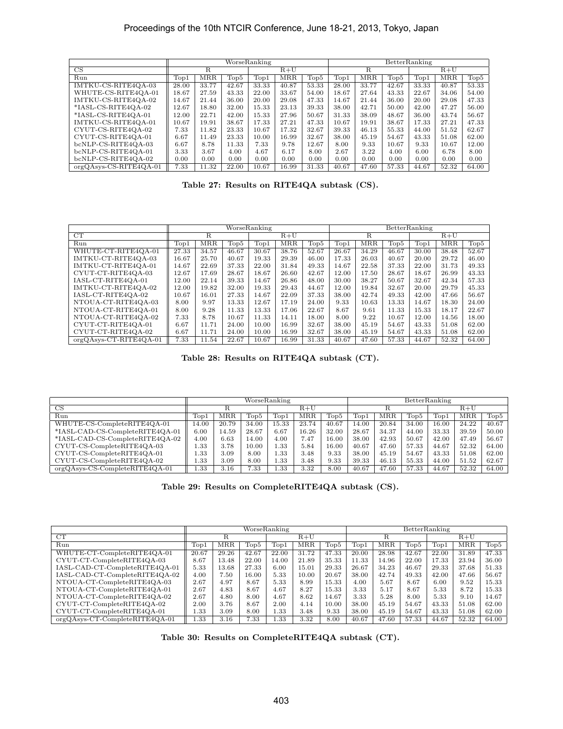|                          |               |            |       | WorseRanking |       |                       |               |            | BetterRanking |               |            |       |
|--------------------------|---------------|------------|-------|--------------|-------|-----------------------|---------------|------------|---------------|---------------|------------|-------|
| $\overline{\text{CS}}$   |               | R          |       |              | $R+U$ |                       |               | R          |               | $R+U$         |            |       |
| Run                      | $\text{Top}1$ | <b>MRR</b> | Top5  | Top1         | MRR   | $\operatorname{Top5}$ | $\text{Top}1$ | <b>MRR</b> | $\text{Top}5$ | $\text{Top}1$ | <b>MRR</b> | Top5  |
| IMTKU-CS-RITE4OA-03      | 28.00         | 33.77      | 42.67 | 33.33        | 40.87 | 53.33                 | 28.00         | 33.77      | 42.67         | 33.33         | 40.87      | 53.33 |
| WHUTE-CS-RITE4OA-01      | 18.67         | 27.59      | 43.33 | 22.00        | 33.67 | 54.00                 | 18.67         | 27.64      | 43.33         | 22.67         | 34.06      | 54.00 |
| IMTKU-CS-RITE4OA-02      | 14.67         | 21.44      | 36.00 | 20.00        | 29.08 | 47.33                 | 14.67         | 21.44      | 36.00         | 20.00         | 29.08      | 47.33 |
| *IASL-CS-RITE4OA-02      | 12.67         | 18.80      | 32.00 | 15.33        | 23.13 | 39.33                 | 38.00         | 42.71      | 50.00         | 42.00         | 47.27      | 56.00 |
| *IASL-CS-RITE4OA-01      | 12.00         | 22.71      | 42.00 | 15.33        | 27.96 | 50.67                 | 31.33         | 38.09      | 48.67         | 36.00         | 43.74      | 56.67 |
| IMTKU-CS-RITE4OA-01      | 10.67         | 19.91      | 38.67 | 17.33        | 27.21 | 47.33                 | 10.67         | 19.91      | 38.67         | 17.33         | 27.21      | 47.33 |
| CYUT-CS-RITE4QA-02       | 7.33          | 11.82      | 23.33 | 10.67        | 17.32 | 32.67                 | 39.33         | 46.13      | 55.33         | 44.00         | 51.52      | 62.67 |
| CYUT-CS-RITE4OA-01       | 6.67          | 11.49      | 23.33 | 10.00        | 16.99 | 32.67                 | 38.00         | 45.19      | 54.67         | 43.33         | 51.08      | 62.00 |
| bcNLP-CS-RITE4OA-03      | 6.67          | 8.78       | 11.33 | 7.33         | 9.78  | 12.67                 | 8.00          | 9.33       | 10.67         | 9.33          | 10.67      | 12.00 |
| bcNLP-CS-RITE4OA-01      | 3.33          | 3.67       | 4.00  | 4.67         | 6.17  | 8.00                  | 2.67          | 3.22       | 4.00          | 6.00          | 6.78       | 8.00  |
| bcNLP-CS-RITE4QA-02      | 0.00          | 0.00       | 0.00  | 0.00         | 0.00  | 0.00                  | 0.00          | 0.00       | 0.00          | 0.00          | 0.00       | 0.00  |
| $orgQAsys-CS-RITE4QA-01$ | 7.33          | 11.32      | 22.00 | 10.67        | 16.99 | 31.33                 | 40.67         | 47.60      | 57.33         | 44.67         | 52.32      | 64.00 |

**Table 27: Results on RITE4QA subtask (CS).**

|                          |       |            |               | WorseRanking |            |       |       |            | BetterRanking    |                          |            |       |
|--------------------------|-------|------------|---------------|--------------|------------|-------|-------|------------|------------------|--------------------------|------------|-------|
| CT                       |       | R          |               |              | $R+U$      |       |       | R          |                  | $R+U$                    |            |       |
| Run                      | Top1  | <b>MRR</b> | $\text{Top}5$ | Top1         | <b>MRR</b> | Top5  | Top1  | <b>MRR</b> | Top <sub>5</sub> | $\overline{\text{Top1}}$ | <b>MRR</b> | Top5  |
| WHUTE-CT-RITE4OA-01      | 27.33 | 34.57      | 46.67         | 30.67        | 38.76      | 52.67 | 26.67 | 34.29      | 46.67            | 30.00                    | 38.48      | 52.67 |
| IMTKU-CT-RITE4OA-03      | 16.67 | 25.70      | 40.67         | 19.33        | 29.39      | 46.00 | 17.33 | 26.03      | 40.67            | 20.00                    | 29.72      | 46.00 |
| IMTKU-CT-RITE4OA-01      | 14.67 | 22.69      | 37.33         | 22.00        | 31.84      | 49.33 | 14.67 | 22.58      | 37.33            | 22.00                    | 31.73      | 49.33 |
| CYUT-CT-RITE4OA-03       | 12.67 | 17.69      | 28.67         | 18.67        | 26.60      | 42.67 | 12.00 | 17.50      | 28.67            | 18.67                    | 26.99      | 43.33 |
| IASL-CT-RITE4OA-01       | 12.00 | 22.14      | 39.33         | 14.67        | 26.86      | 48.00 | 30.00 | 38.27      | 50.67            | 32.67                    | 42.34      | 57.33 |
| IMTKU-CT-RITE4OA-02      | 12.00 | 19.82      | 32.00         | 19.33        | 29.43      | 44.67 | 12.00 | 19.84      | 32.67            | 20.00                    | 29.79      | 45.33 |
| IASL-CT-RITE4QA-02       | 10.67 | 16.01      | 27.33         | 14.67        | 22.09      | 37.33 | 38.00 | 42.74      | 49.33            | 42.00                    | 47.66      | 56.67 |
| NTOUA-CT-RITE4OA-03      | 8.00  | 9.97       | 13.33         | 12.67        | 17.19      | 24.00 | 9.33  | 10.63      | 13.33            | 14.67                    | 18.30      | 24.00 |
| NTOUA-CT-RITE4OA-01      | 8.00  | 9.28       | 11.33         | 13.33        | 17.06      | 22.67 | 8.67  | 9.61       | 11.33            | 15.33                    | 18.17      | 22.67 |
| NTOUA-CT-RITE4OA-02      | 7.33  | 8.78       | 10.67         | 11.33        | 14.11      | 18.00 | 8.00  | 9.22       | 10.67            | 12.00                    | 14.56      | 18.00 |
| CYUT-CT-RITE4QA-01       | 6.67  | 11.71      | 24.00         | 10.00        | 16.99      | 32.67 | 38.00 | 45.19      | 54.67            | 43.33                    | 51.08      | 62.00 |
| CYUT-CT-RITE4QA-02       | 6.67  | 11.71      | 24.00         | 10.00        | 16.99      | 32.67 | 38.00 | 45.19      | 54.67            | 43.33                    | 51.08      | 62.00 |
| $orgQAsys-CT-RITE4QA-01$ | 7.33  | 11.54      | 22.67         | 10.67        | 16.99      | 31.33 | 40.67 | 47.60      | 57.33            | 44.67                    | 52.32      | 64.00 |

**Table 28: Results on RITE4QA subtask (CT).**

|                                  | WorseRanking |            |                       |               |            |       |               | BetterRanking |              |                       |            |       |  |  |
|----------------------------------|--------------|------------|-----------------------|---------------|------------|-------|---------------|---------------|--------------|-----------------------|------------|-------|--|--|
| CS                               |              |            |                       | $R+U$         |            |       |               |               |              |                       |            |       |  |  |
| Run                              | Top1         | <b>MRR</b> | $\operatorname{Top5}$ | $\text{Top}1$ | <b>MRR</b> | Top5  | $_{\rm Top1}$ | <b>MRR</b>    | $\Gamma$ op5 | $\operatorname{Top1}$ | <b>MRR</b> | Top5  |  |  |
| WHUTE-CS-CompleteRITE4QA-01      | 14.00        | 20.79      | 34.00                 | 15.33         | 23.74      | 40.67 | 14.00         | 20.84         | 34.00        | 16.00                 | 24.22      | 40.67 |  |  |
| *IASL-CAD-CS-CompleteRITE4QA-01  | 6.00         | 14.59      | 28.67                 | 6.67          | 16.26      | 32.00 | 28.67         | 34.37         | 44.00        | 33.33                 | 39.59      | 50.00 |  |  |
| *IASL-CAD-CS-CompleteRITE4QA-02  | 4.00         | 6.63       | 14.00                 | 4.00          | 7.47       | 16.00 | 38.00         | 42.93         | 50.67        | 42.00                 | 47.49      | 56.67 |  |  |
| CYUT-CS-CompleteRITE4QA-03       | 1.33         | 3.78       | 10.00                 | 1.33          | 5.84       | 16.00 | 40.67         | 47.60         | 57.33        | 44.67                 | 52.32      | 64.00 |  |  |
| CYUT-CS-CompleteRITE4QA-01       | 1.33         | 3.09       | 8.00                  | 1.33          | 3.48       | 9.33  | 38.00         | 45.19         | 54.67        | 43.33                 | 51.08      | 62.00 |  |  |
| CYUT-CS-CompleteRITE4QA-02       | 1.33         | 3.09       | 8.00                  | 1.33          | 3.48       | 9.33  | 39.33         | 46.13         | 55.33        | 44.00                 | 51.52      | 62.67 |  |  |
| $orgQAsys-CS-CompleteRITE4QA-01$ | 1.33         | 3.16       | 7.33                  | 1.33          | 3.32       | 8.00  | 40.67         | 47.60         | 57.33        | 44.67                 | 52.32      | 64.00 |  |  |

**Table 29: Results on CompleteRITE4QA subtask (CS).**

|                                   | WorseRanking |       |       |               |            |       |               | BetterRanking |                       |                       |       |       |  |  |
|-----------------------------------|--------------|-------|-------|---------------|------------|-------|---------------|---------------|-----------------------|-----------------------|-------|-------|--|--|
| CT                                |              | R     |       | $R+U$         |            |       |               |               |                       |                       |       |       |  |  |
| Run                               | Topl         | MRR   | Top5  | $\text{Top}1$ | <b>MRR</b> | Top5  | $_{\rm Top1}$ | MRR           | $\operatorname{Top5}$ | $\operatorname{Top1}$ | MRR   | Top5  |  |  |
| WHUTE-CT-CompleteRITE4QA-01       | 20.67        | 29.26 | 42.67 | 22.00         | 31.72      | 47.33 | 20.00         | 28.98         | 42.67                 | 22.00                 | 31.89 | 47.33 |  |  |
| CYUT-CT-CompleteRITE4QA-03        | 8.67         | 13.48 | 22.00 | 14.00         | 21.89      | 35.33 | 11.33         | 14.96         | 22.00                 | 17.33                 | 23.94 | 36.00 |  |  |
| IASL-CAD-CT-CompleteRITE4QA-01    | 5.33         | 13.68 | 27.33 | 6.00          | 15.01      | 29.33 | 26.67         | 34.23         | 46.67                 | 29.33                 | 37.68 | 51.33 |  |  |
| IASL-CAD-CT-CompleteRITE4QA-02    | 4.00         | 7.50  | 16.00 | 5.33          | 10.00      | 20.67 | 38.00         | 42.74         | 49.33                 | 42.00                 | 47.66 | 56.67 |  |  |
| NTOUA-CT-CompleteRITE4QA-03       | 2.67         | 4.97  | 8.67  | 5.33          | 8.99       | 15.33 | 4.00          | 5.67          | 8.67                  | 6.00                  | 9.52  | 15.33 |  |  |
| NTOUA-CT-CompleteRITE4QA-01       | 2.67         | 4.83  | 8.67  | 4.67          | 8.27       | 15.33 | 3.33          | 5.17          | 8.67                  | 5.33                  | 8.72  | 15.33 |  |  |
| NTOUA-CT-CompleteRITE4QA-02       | 2.67         | 4.80  | 8.00  | 4.67          | 8.62       | 14.67 | 3.33          | 5.28          | 8.00                  | 5.33                  | 9.10  | 14.67 |  |  |
| CYUT-CT-CompleteRITE4QA-02        | 2.00         | 3.76  | 8.67  | 2.00          | 4.14       | 10.00 | 38.00         | 45.19         | 54.67                 | 43.33                 | 51.08 | 62.00 |  |  |
| CYUT-CT-CompleteRITE4QA-01        | 1.33         | 3.09  | 8.00  | 1.33          | 3.48       | 9.33  | 38.00         | 45.19         | 54.67                 | 43.33                 | 51.08 | 62.00 |  |  |
| $orgQAsys-CT-Complete RITE4QA-01$ | l.33         | 3.16  | 7.33  | 1.33          | 3.32       | 8.00  | 40.67         | 47.60         | 57.33                 | 44.67                 | 52.32 | 64.00 |  |  |

**Table 30: Results on CompleteRITE4QA subtask (CT).**